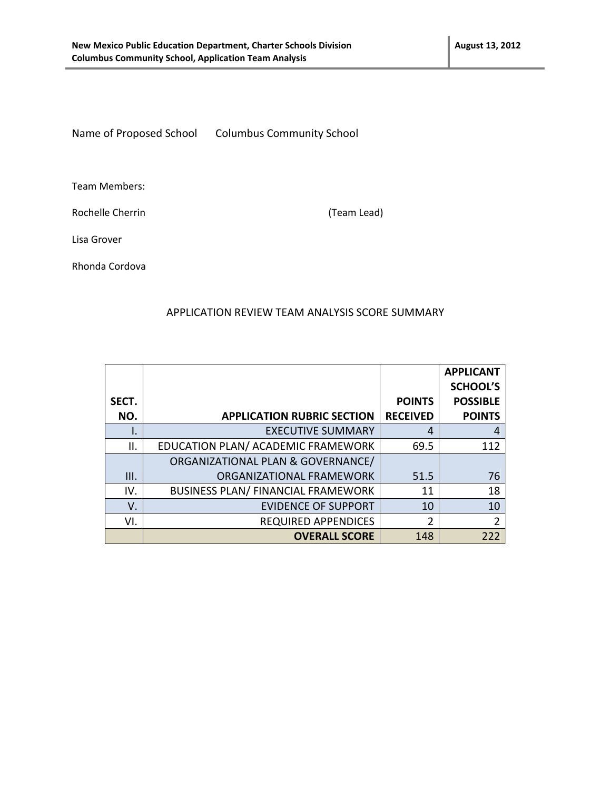Name of Proposed School Columbus Community School

Team Members:

Rochelle Cherrin (Team Lead)

Lisa Grover

Rhonda Cordova

#### APPLICATION REVIEW TEAM ANALYSIS SCORE SUMMARY

|       |                                           |                 | <b>APPLICANT</b> |
|-------|-------------------------------------------|-----------------|------------------|
|       |                                           |                 | <b>SCHOOL'S</b>  |
| SECT. |                                           | <b>POINTS</b>   | <b>POSSIBLE</b>  |
| NO.   | <b>APPLICATION RUBRIC SECTION</b>         | <b>RECEIVED</b> | <b>POINTS</b>    |
| ١.    | <b>EXECUTIVE SUMMARY</b>                  | 4               | 4                |
| Ш.    | EDUCATION PLAN/ ACADEMIC FRAMEWORK        | 69.5            | 112              |
|       | ORGANIZATIONAL PLAN & GOVERNANCE/         |                 |                  |
| Ш.    | ORGANIZATIONAL FRAMEWORK                  | 51.5            | 76               |
| IV.   | <b>BUSINESS PLAN/ FINANCIAL FRAMEWORK</b> | 11              | 18               |
| V.    | <b>EVIDENCE OF SUPPORT</b>                | 10              | 10               |
| VI.   | <b>REQUIRED APPENDICES</b>                | $\overline{2}$  | 2                |
|       | <b>OVERALL SCORE</b>                      | 148             | 222              |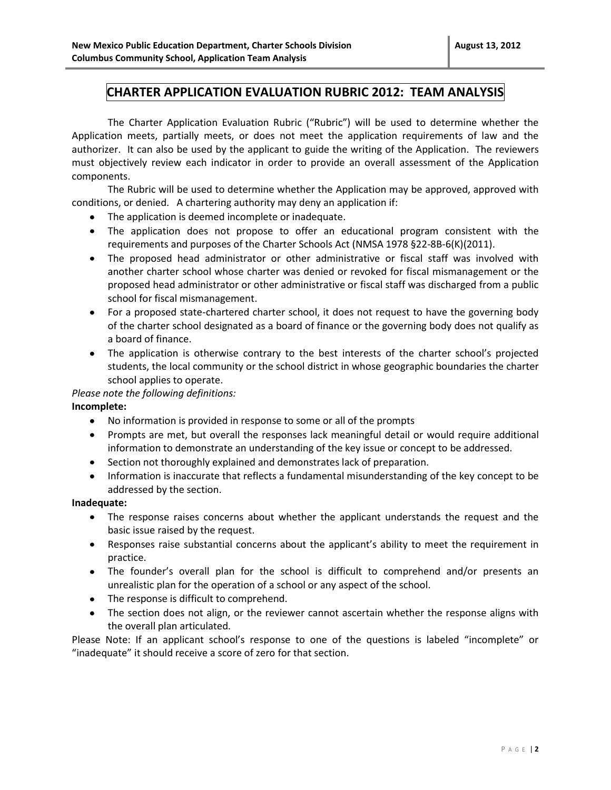### **CHARTER APPLICATION EVALUATION RUBRIC 2012: TEAM ANALYSIS**

The Charter Application Evaluation Rubric ("Rubric") will be used to determine whether the Application meets, partially meets, or does not meet the application requirements of law and the authorizer. It can also be used by the applicant to guide the writing of the Application. The reviewers must objectively review each indicator in order to provide an overall assessment of the Application components.

The Rubric will be used to determine whether the Application may be approved, approved with conditions, or denied. A chartering authority may deny an application if:

- The application is deemed incomplete or inadequate.
- The application does not propose to offer an educational program consistent with the requirements and purposes of the Charter Schools Act (NMSA 1978 §22-8B-6(K)(2011).
- The proposed head administrator or other administrative or fiscal staff was involved with another charter school whose charter was denied or revoked for fiscal mismanagement or the proposed head administrator or other administrative or fiscal staff was discharged from a public school for fiscal mismanagement.
- For a proposed state-chartered charter school, it does not request to have the governing body of the charter school designated as a board of finance or the governing body does not qualify as a board of finance.
- The application is otherwise contrary to the best interests of the charter school's projected students, the local community or the school district in whose geographic boundaries the charter school applies to operate.

#### *Please note the following definitions:*

#### **Incomplete:**

- No information is provided in response to some or all of the prompts
- Prompts are met, but overall the responses lack meaningful detail or would require additional information to demonstrate an understanding of the key issue or concept to be addressed.
- Section not thoroughly explained and demonstrates lack of preparation.
- Information is inaccurate that reflects a fundamental misunderstanding of the key concept to be addressed by the section.

#### **Inadequate:**

- The response raises concerns about whether the applicant understands the request and the basic issue raised by the request.
- Responses raise substantial concerns about the applicant's ability to meet the requirement in practice.
- The founder's overall plan for the school is difficult to comprehend and/or presents an unrealistic plan for the operation of a school or any aspect of the school.
- The response is difficult to comprehend.
- The section does not align, or the reviewer cannot ascertain whether the response aligns with the overall plan articulated.

Please Note: If an applicant school's response to one of the questions is labeled "incomplete" or "inadequate" it should receive a score of zero for that section.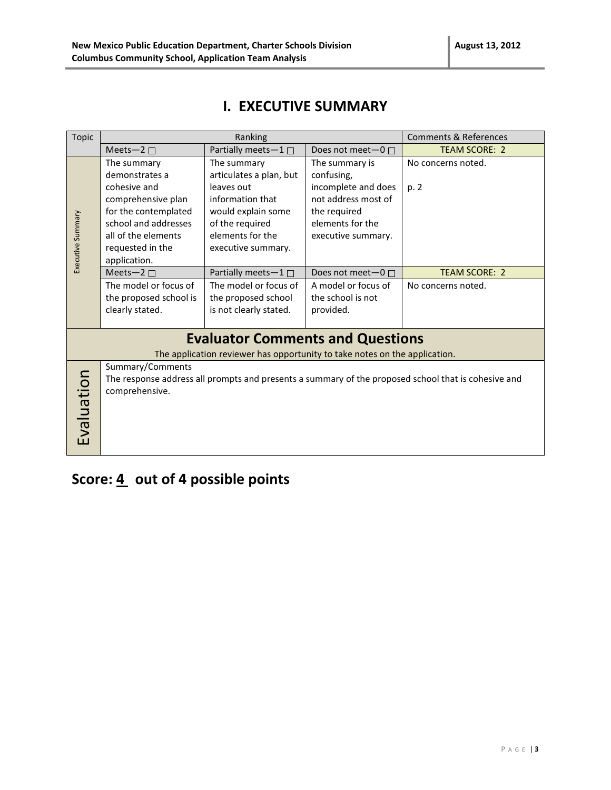### **I. EXECUTIVE SUMMARY**

| Topic             | Ranking                |                                                                            | <b>Comments &amp; References</b> |                                                                                                     |
|-------------------|------------------------|----------------------------------------------------------------------------|----------------------------------|-----------------------------------------------------------------------------------------------------|
|                   | Meets-2 $\square$      | Partially meets-1□                                                         | Does not meet $-0$ $\Box$        | <b>TEAM SCORE: 2</b>                                                                                |
|                   | The summary            | The summary                                                                | The summary is                   | No concerns noted.                                                                                  |
|                   | demonstrates a         | articulates a plan, but                                                    | confusing,                       |                                                                                                     |
|                   | cohesive and           | leaves out                                                                 | incomplete and does              | p. 2                                                                                                |
|                   | comprehensive plan     | information that                                                           | not address most of              |                                                                                                     |
|                   | for the contemplated   | would explain some                                                         | the required                     |                                                                                                     |
|                   | school and addresses   | of the required                                                            | elements for the                 |                                                                                                     |
|                   | all of the elements    | elements for the                                                           | executive summary.               |                                                                                                     |
|                   | requested in the       | executive summary.                                                         |                                  |                                                                                                     |
| Executive Summary | application.           |                                                                            |                                  |                                                                                                     |
|                   | Meets-2 $\square$      | Partially meets-1□                                                         | Does not meet-0 □                | <b>TEAM SCORE: 2</b>                                                                                |
|                   | The model or focus of  | The model or focus of                                                      | A model or focus of              | No concerns noted.                                                                                  |
|                   | the proposed school is | the proposed school                                                        | the school is not                |                                                                                                     |
|                   | clearly stated.        | is not clearly stated.                                                     | provided.                        |                                                                                                     |
|                   |                        |                                                                            |                                  |                                                                                                     |
|                   |                        | <b>Evaluator Comments and Questions</b>                                    |                                  |                                                                                                     |
|                   |                        | The application reviewer has opportunity to take notes on the application. |                                  |                                                                                                     |
|                   | Summary/Comments       |                                                                            |                                  |                                                                                                     |
|                   |                        |                                                                            |                                  | The response address all prompts and presents a summary of the proposed school that is cohesive and |
|                   | comprehensive.         |                                                                            |                                  |                                                                                                     |
|                   |                        |                                                                            |                                  |                                                                                                     |
|                   |                        |                                                                            |                                  |                                                                                                     |
| Evaluation        |                        |                                                                            |                                  |                                                                                                     |
|                   |                        |                                                                            |                                  |                                                                                                     |
|                   |                        |                                                                            |                                  |                                                                                                     |

# Score: 4 out of 4 possible points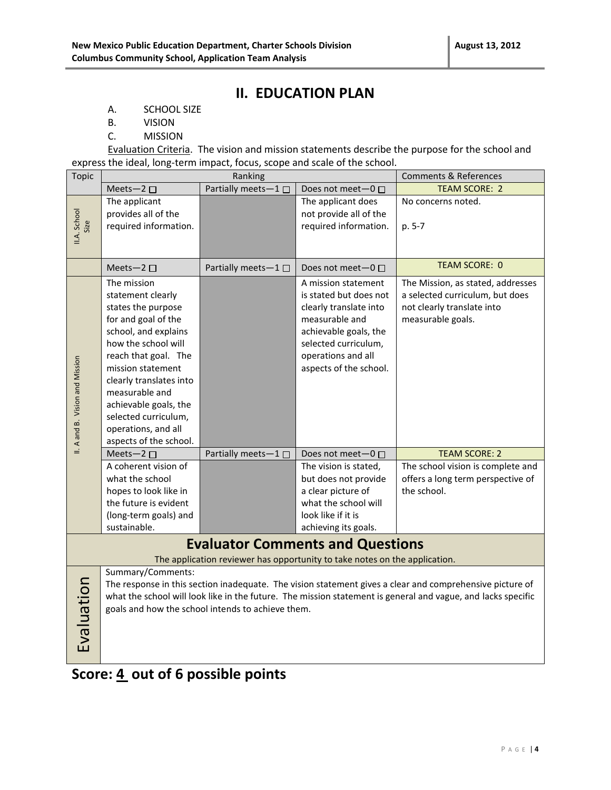### **II. EDUCATION PLAN**

- A. SCHOOL SIZE
- B. VISION
- C. MISSION

Evaluation Criteria. The vision and mission statements describe the purpose for the school and express the ideal, long-term impact, focus, scope and scale of the school.

| Topic                           |                                                                                                                                                                                                                                                                                                                          | Ranking             |                                                                                                                                                                                            | <b>Comments &amp; References</b>                                                                                        |  |
|---------------------------------|--------------------------------------------------------------------------------------------------------------------------------------------------------------------------------------------------------------------------------------------------------------------------------------------------------------------------|---------------------|--------------------------------------------------------------------------------------------------------------------------------------------------------------------------------------------|-------------------------------------------------------------------------------------------------------------------------|--|
|                                 | Meets-2 $\square$                                                                                                                                                                                                                                                                                                        | Partially meets-1   | Does not meet-0 □                                                                                                                                                                          | <b>TEAM SCORE: 2</b>                                                                                                    |  |
| II.A. School<br>Size            | The applicant<br>provides all of the<br>required information.                                                                                                                                                                                                                                                            |                     | The applicant does<br>not provide all of the<br>required information.                                                                                                                      | No concerns noted.<br>p. 5-7                                                                                            |  |
|                                 | Meets-2 $\square$                                                                                                                                                                                                                                                                                                        | Partially meets-1□  | Does not meet-0 □                                                                                                                                                                          | <b>TEAM SCORE: 0</b>                                                                                                    |  |
| II. A and B. Vision and Mission | The mission<br>statement clearly<br>states the purpose<br>for and goal of the<br>school, and explains<br>how the school will<br>reach that goal. The<br>mission statement<br>clearly translates into<br>measurable and<br>achievable goals, the<br>selected curriculum,<br>operations, and all<br>aspects of the school. |                     | A mission statement<br>is stated but does not<br>clearly translate into<br>measurable and<br>achievable goals, the<br>selected curriculum,<br>operations and all<br>aspects of the school. | The Mission, as stated, addresses<br>a selected curriculum, but does<br>not clearly translate into<br>measurable goals. |  |
|                                 | Meets-2 $\square$                                                                                                                                                                                                                                                                                                        | Partially meets-1 □ | Does not meet-0 □                                                                                                                                                                          | <b>TEAM SCORE: 2</b>                                                                                                    |  |
|                                 | A coherent vision of<br>what the school<br>hopes to look like in<br>the future is evident<br>(long-term goals) and<br>sustainable.                                                                                                                                                                                       |                     | The vision is stated,<br>but does not provide<br>a clear picture of<br>what the school will<br>look like if it is<br>achieving its goals.                                                  | The school vision is complete and<br>offers a long term perspective of<br>the school.                                   |  |
|                                 |                                                                                                                                                                                                                                                                                                                          |                     | <b>Evaluator Comments and Questions</b>                                                                                                                                                    |                                                                                                                         |  |
|                                 |                                                                                                                                                                                                                                                                                                                          |                     | The application reviewer has opportunity to take notes on the application.                                                                                                                 |                                                                                                                         |  |
| Evaluation                      | Summary/Comments:<br>The response in this section inadequate. The vision statement gives a clear and comprehensive picture of<br>what the school will look like in the future. The mission statement is general and vague, and lacks specific<br>goals and how the school intends to achieve them.                       |                     |                                                                                                                                                                                            |                                                                                                                         |  |

# **Score: 4 out of 6 possible points**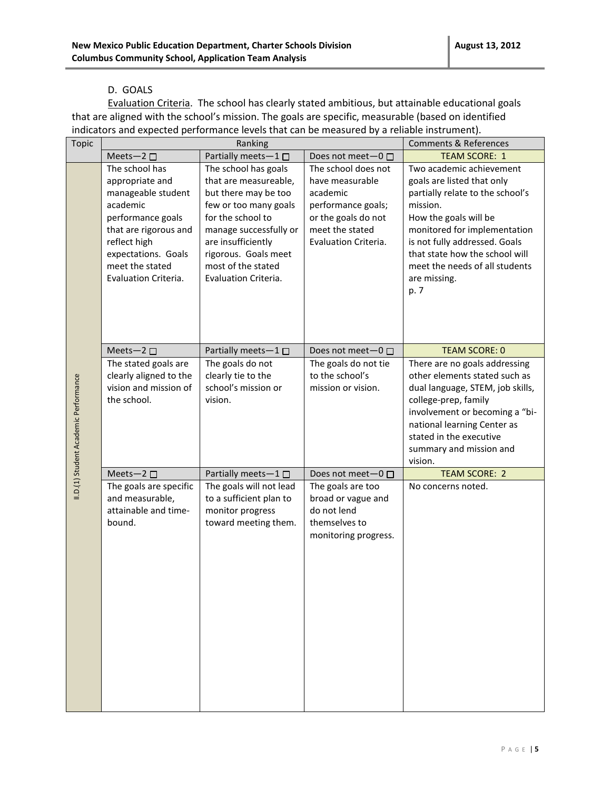#### D. GOALS

Evaluation Criteria. The school has clearly stated ambitious, but attainable educational goals that are aligned with the school's mission. The goals are specific, measurable (based on identified indicators and expected performance levels that can be measured by a reliable instrument).

| <b>Topic</b>                          |                                                                                                                                                                                                     | Ranking                                                                                                                                                                                                                                   |                                                                                                                                            | <b>Comments &amp; References</b>                                                                                                                                                                                                                                                             |
|---------------------------------------|-----------------------------------------------------------------------------------------------------------------------------------------------------------------------------------------------------|-------------------------------------------------------------------------------------------------------------------------------------------------------------------------------------------------------------------------------------------|--------------------------------------------------------------------------------------------------------------------------------------------|----------------------------------------------------------------------------------------------------------------------------------------------------------------------------------------------------------------------------------------------------------------------------------------------|
|                                       | Meets-2                                                                                                                                                                                             | Partially meets-1                                                                                                                                                                                                                         | Does not meet-0 □                                                                                                                          | <b>TEAM SCORE: 1</b>                                                                                                                                                                                                                                                                         |
|                                       | The school has<br>appropriate and<br>manageable student<br>academic<br>performance goals<br>that are rigorous and<br>reflect high<br>expectations. Goals<br>meet the stated<br>Evaluation Criteria. | The school has goals<br>that are measureable,<br>but there may be too<br>few or too many goals<br>for the school to<br>manage successfully or<br>are insufficiently<br>rigorous. Goals meet<br>most of the stated<br>Evaluation Criteria. | The school does not<br>have measurable<br>academic<br>performance goals;<br>or the goals do not<br>meet the stated<br>Evaluation Criteria. | Two academic achievement<br>goals are listed that only<br>partially relate to the school's<br>mission.<br>How the goals will be<br>monitored for implementation<br>is not fully addressed. Goals<br>that state how the school will<br>meet the needs of all students<br>are missing.<br>p. 7 |
|                                       |                                                                                                                                                                                                     |                                                                                                                                                                                                                                           |                                                                                                                                            |                                                                                                                                                                                                                                                                                              |
|                                       | Meets-2 $\square$                                                                                                                                                                                   | Partially meets-1 $\square$                                                                                                                                                                                                               | Does not meet $-0$ $\Box$                                                                                                                  | <b>TEAM SCORE: 0</b>                                                                                                                                                                                                                                                                         |
|                                       | The stated goals are                                                                                                                                                                                | The goals do not                                                                                                                                                                                                                          | The goals do not tie                                                                                                                       | There are no goals addressing                                                                                                                                                                                                                                                                |
|                                       | clearly aligned to the<br>vision and mission of                                                                                                                                                     | clearly tie to the<br>school's mission or                                                                                                                                                                                                 | to the school's<br>mission or vision.                                                                                                      | other elements stated such as                                                                                                                                                                                                                                                                |
|                                       | the school.                                                                                                                                                                                         | vision.                                                                                                                                                                                                                                   |                                                                                                                                            | dual language, STEM, job skills,<br>college-prep, family                                                                                                                                                                                                                                     |
|                                       |                                                                                                                                                                                                     |                                                                                                                                                                                                                                           |                                                                                                                                            | involvement or becoming a "bi-                                                                                                                                                                                                                                                               |
|                                       |                                                                                                                                                                                                     |                                                                                                                                                                                                                                           |                                                                                                                                            | national learning Center as                                                                                                                                                                                                                                                                  |
|                                       |                                                                                                                                                                                                     |                                                                                                                                                                                                                                           |                                                                                                                                            | stated in the executive                                                                                                                                                                                                                                                                      |
|                                       |                                                                                                                                                                                                     |                                                                                                                                                                                                                                           |                                                                                                                                            | summary and mission and                                                                                                                                                                                                                                                                      |
|                                       |                                                                                                                                                                                                     |                                                                                                                                                                                                                                           |                                                                                                                                            | vision.                                                                                                                                                                                                                                                                                      |
|                                       | Meets-2 $\square$                                                                                                                                                                                   | Partially meets-1                                                                                                                                                                                                                         | Does not meet-0 □                                                                                                                          | <b>TEAM SCORE: 2</b>                                                                                                                                                                                                                                                                         |
| II.D.(1) Student Academic Performance | The goals are specific                                                                                                                                                                              | The goals will not lead                                                                                                                                                                                                                   | The goals are too                                                                                                                          | No concerns noted.                                                                                                                                                                                                                                                                           |
|                                       | and measurable,<br>attainable and time-                                                                                                                                                             | to a sufficient plan to                                                                                                                                                                                                                   | broad or vague and<br>do not lend                                                                                                          |                                                                                                                                                                                                                                                                                              |
|                                       | bound.                                                                                                                                                                                              | monitor progress<br>toward meeting them.                                                                                                                                                                                                  | themselves to                                                                                                                              |                                                                                                                                                                                                                                                                                              |
|                                       |                                                                                                                                                                                                     |                                                                                                                                                                                                                                           | monitoring progress.                                                                                                                       |                                                                                                                                                                                                                                                                                              |
|                                       |                                                                                                                                                                                                     |                                                                                                                                                                                                                                           |                                                                                                                                            |                                                                                                                                                                                                                                                                                              |
|                                       |                                                                                                                                                                                                     |                                                                                                                                                                                                                                           |                                                                                                                                            |                                                                                                                                                                                                                                                                                              |
|                                       |                                                                                                                                                                                                     |                                                                                                                                                                                                                                           |                                                                                                                                            |                                                                                                                                                                                                                                                                                              |
|                                       |                                                                                                                                                                                                     |                                                                                                                                                                                                                                           |                                                                                                                                            |                                                                                                                                                                                                                                                                                              |
|                                       |                                                                                                                                                                                                     |                                                                                                                                                                                                                                           |                                                                                                                                            |                                                                                                                                                                                                                                                                                              |
|                                       |                                                                                                                                                                                                     |                                                                                                                                                                                                                                           |                                                                                                                                            |                                                                                                                                                                                                                                                                                              |
|                                       |                                                                                                                                                                                                     |                                                                                                                                                                                                                                           |                                                                                                                                            |                                                                                                                                                                                                                                                                                              |
|                                       |                                                                                                                                                                                                     |                                                                                                                                                                                                                                           |                                                                                                                                            |                                                                                                                                                                                                                                                                                              |
|                                       |                                                                                                                                                                                                     |                                                                                                                                                                                                                                           |                                                                                                                                            |                                                                                                                                                                                                                                                                                              |
|                                       |                                                                                                                                                                                                     |                                                                                                                                                                                                                                           |                                                                                                                                            |                                                                                                                                                                                                                                                                                              |
|                                       |                                                                                                                                                                                                     |                                                                                                                                                                                                                                           |                                                                                                                                            |                                                                                                                                                                                                                                                                                              |
|                                       |                                                                                                                                                                                                     |                                                                                                                                                                                                                                           |                                                                                                                                            |                                                                                                                                                                                                                                                                                              |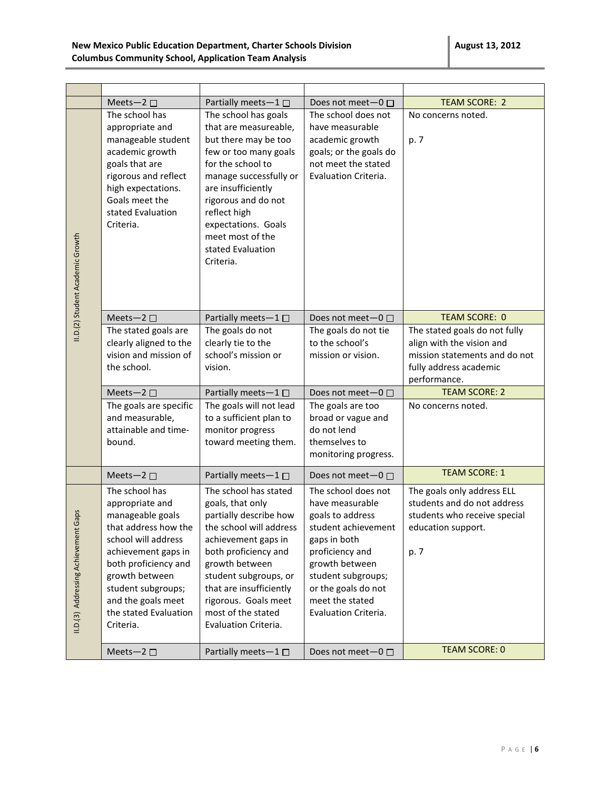|                                         | Meets-2 $\square$                                                                                                                                                                                                                                       | Partially meets-1 $\square$                                                                                                                                                                                                                                                               | Does not meet $-0$ $\Box$                                                                                                                                                                                                      | <b>TEAM SCORE: 2</b>                                                                                                                  |
|-----------------------------------------|---------------------------------------------------------------------------------------------------------------------------------------------------------------------------------------------------------------------------------------------------------|-------------------------------------------------------------------------------------------------------------------------------------------------------------------------------------------------------------------------------------------------------------------------------------------|--------------------------------------------------------------------------------------------------------------------------------------------------------------------------------------------------------------------------------|---------------------------------------------------------------------------------------------------------------------------------------|
| II.D.(2) Student Academic Growth        | The school has<br>appropriate and<br>manageable student<br>academic growth<br>goals that are<br>rigorous and reflect<br>high expectations.<br>Goals meet the<br>stated Evaluation<br>Criteria.                                                          | The school has goals<br>that are measureable,<br>but there may be too<br>few or too many goals<br>for the school to<br>manage successfully or<br>are insufficiently<br>rigorous and do not<br>reflect high<br>expectations. Goals<br>meet most of the<br>stated Evaluation<br>Criteria.   | The school does not<br>have measurable<br>academic growth<br>goals; or the goals do<br>not meet the stated<br>Evaluation Criteria.                                                                                             | No concerns noted.<br>p. 7                                                                                                            |
|                                         | Meets-2 $\square$                                                                                                                                                                                                                                       | Partially meets-1 $\square$                                                                                                                                                                                                                                                               | Does not meet $-0$ $\Box$                                                                                                                                                                                                      | <b>TEAM SCORE: 0</b>                                                                                                                  |
|                                         | The stated goals are<br>clearly aligned to the<br>vision and mission of<br>the school.                                                                                                                                                                  | The goals do not<br>clearly tie to the<br>school's mission or<br>vision.                                                                                                                                                                                                                  | The goals do not tie<br>to the school's<br>mission or vision.                                                                                                                                                                  | The stated goals do not fully<br>align with the vision and<br>mission statements and do not<br>fully address academic<br>performance. |
|                                         | Meets-2 $\square$                                                                                                                                                                                                                                       | Partially meets- $1 \Box$                                                                                                                                                                                                                                                                 | Does not meet-0 □                                                                                                                                                                                                              | <b>TEAM SCORE: 2</b>                                                                                                                  |
|                                         | The goals are specific<br>and measurable,<br>attainable and time-<br>bound.                                                                                                                                                                             | The goals will not lead<br>to a sufficient plan to<br>monitor progress<br>toward meeting them.                                                                                                                                                                                            | The goals are too<br>broad or vague and<br>do not lend<br>themselves to<br>monitoring progress.                                                                                                                                | No concerns noted.                                                                                                                    |
|                                         | Meets-2 $\square$                                                                                                                                                                                                                                       | Partially meets-1□                                                                                                                                                                                                                                                                        | Does not meet $-0$ $\Box$                                                                                                                                                                                                      | <b>TEAM SCORE: 1</b>                                                                                                                  |
| Gaps<br>II.D.(3) Addressing Achievement | The school has<br>appropriate and<br>manageable goals<br>that address how the<br>school will address<br>achievement gaps in<br>both proficiency and<br>growth between<br>student subgroups;<br>and the goals meet<br>the stated Evaluation<br>Criteria. | The school has stated<br>goals, that only<br>partially describe how<br>the school will address<br>achievement gaps in<br>both proficiency and<br>growth between<br>student subgroups, or<br>that are insufficiently<br>rigorous. Goals meet<br>most of the stated<br>Evaluation Criteria. | The school does not<br>have measurable<br>goals to address<br>student achievement<br>gaps in both<br>proficiency and<br>growth between<br>student subgroups;<br>or the goals do not<br>meet the stated<br>Evaluation Criteria. | The goals only address ELL<br>students and do not address<br>students who receive special<br>education support.<br>p. 7               |
|                                         | Meets-2 $\square$                                                                                                                                                                                                                                       | Partially meets-1 □                                                                                                                                                                                                                                                                       | Does not meet-0 □                                                                                                                                                                                                              | <b>TEAM SCORE: 0</b>                                                                                                                  |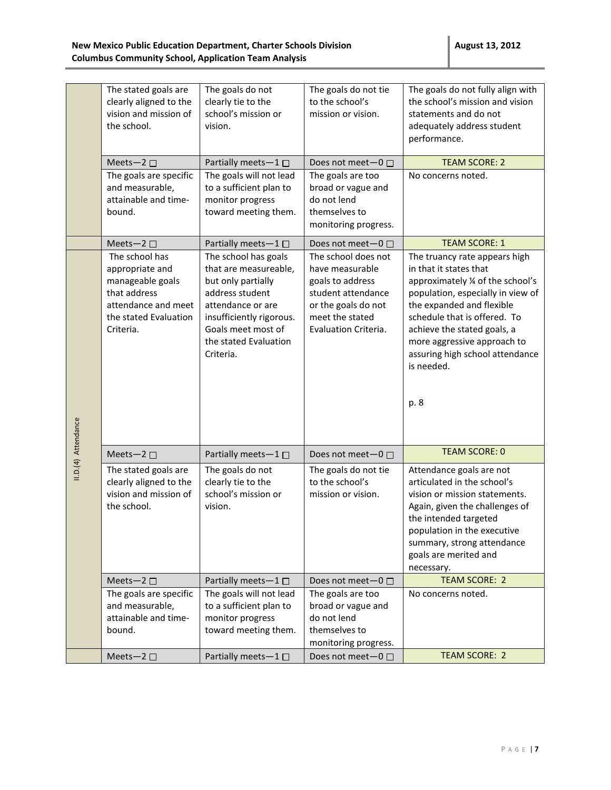|                     | The stated goals are<br>clearly aligned to the<br>vision and mission of<br>the school.                                             | The goals do not<br>clearly tie to the<br>school's mission or<br>vision.                                                                                                                            | The goals do not tie<br>to the school's<br>mission or vision.                                                                                      | The goals do not fully align with<br>the school's mission and vision<br>statements and do not<br>adequately address student<br>performance.                                                                                                                                                                         |
|---------------------|------------------------------------------------------------------------------------------------------------------------------------|-----------------------------------------------------------------------------------------------------------------------------------------------------------------------------------------------------|----------------------------------------------------------------------------------------------------------------------------------------------------|---------------------------------------------------------------------------------------------------------------------------------------------------------------------------------------------------------------------------------------------------------------------------------------------------------------------|
|                     | Meets-2 $\square$                                                                                                                  | Partially meets $-1$ $\Box$                                                                                                                                                                         | Does not meet-0 □                                                                                                                                  | <b>TEAM SCORE: 2</b>                                                                                                                                                                                                                                                                                                |
|                     | The goals are specific<br>and measurable,<br>attainable and time-<br>bound.                                                        | The goals will not lead<br>to a sufficient plan to<br>monitor progress<br>toward meeting them.                                                                                                      | The goals are too<br>broad or vague and<br>do not lend<br>themselves to<br>monitoring progress.                                                    | No concerns noted.                                                                                                                                                                                                                                                                                                  |
|                     | Meets-2 $\square$                                                                                                                  | Partially meets-1                                                                                                                                                                                   | Does not meet-0 □                                                                                                                                  | <b>TEAM SCORE: 1</b>                                                                                                                                                                                                                                                                                                |
| II.D.(4) Attendance | The school has<br>appropriate and<br>manageable goals<br>that address<br>attendance and meet<br>the stated Evaluation<br>Criteria. | The school has goals<br>that are measureable,<br>but only partially<br>address student<br>attendance or are<br>insufficiently rigorous.<br>Goals meet most of<br>the stated Evaluation<br>Criteria. | The school does not<br>have measurable<br>goals to address<br>student attendance<br>or the goals do not<br>meet the stated<br>Evaluation Criteria. | The truancy rate appears high<br>in that it states that<br>approximately % of the school's<br>population, especially in view of<br>the expanded and flexible<br>schedule that is offered. To<br>achieve the stated goals, a<br>more aggressive approach to<br>assuring high school attendance<br>is needed.<br>p. 8 |
|                     | Meets-2 $\square$                                                                                                                  | Partially meets-1                                                                                                                                                                                   | Does not meet $-0$ $\Box$                                                                                                                          | <b>TEAM SCORE: 0</b>                                                                                                                                                                                                                                                                                                |
|                     | The stated goals are<br>clearly aligned to the<br>vision and mission of<br>the school.                                             | The goals do not<br>clearly tie to the<br>school's mission or<br>vision.                                                                                                                            | The goals do not tie<br>to the school's<br>mission or vision.                                                                                      | Attendance goals are not<br>articulated in the school's<br>vision or mission statements.<br>Again, given the challenges of<br>the intended targeted<br>population in the executive<br>summary, strong attendance<br>goals are merited and<br>necessary.                                                             |
|                     | Meets-2 $\square$                                                                                                                  | Partially meets-1 $\square$                                                                                                                                                                         | Does not meet-0 □                                                                                                                                  | <b>TEAM SCORE: 2</b>                                                                                                                                                                                                                                                                                                |
|                     | The goals are specific<br>and measurable,<br>attainable and time-<br>bound.                                                        | The goals will not lead<br>to a sufficient plan to<br>monitor progress<br>toward meeting them.                                                                                                      | The goals are too<br>broad or vague and<br>do not lend<br>themselves to<br>monitoring progress.                                                    | No concerns noted.                                                                                                                                                                                                                                                                                                  |
|                     | Meets-2 $\square$                                                                                                                  | Partially meets-1□                                                                                                                                                                                  | Does not meet-0 □                                                                                                                                  | <b>TEAM SCORE: 2</b>                                                                                                                                                                                                                                                                                                |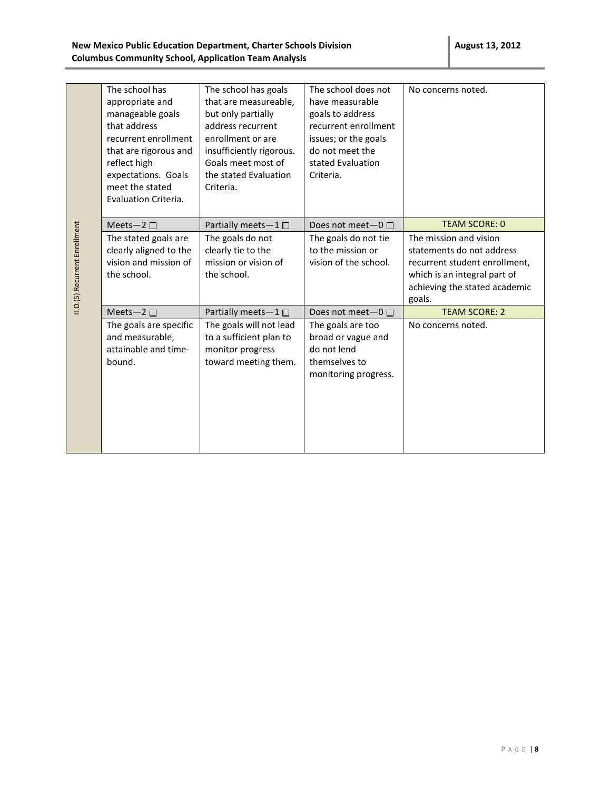|                               | The school has<br>appropriate and<br>manageable goals<br>that address<br>recurrent enrollment<br>that are rigorous and<br>reflect high<br>expectations. Goals<br>meet the stated<br>Evaluation Criteria. | The school has goals<br>that are measureable,<br>but only partially<br>address recurrent<br>enrollment or are<br>insufficiently rigorous.<br>Goals meet most of<br>the stated Evaluation<br>Criteria. | The school does not<br>have measurable<br>goals to address<br>recurrent enrollment<br>issues; or the goals<br>do not meet the<br>stated Evaluation<br>Criteria. | No concerns noted.                                                                                                                                                                      |
|-------------------------------|----------------------------------------------------------------------------------------------------------------------------------------------------------------------------------------------------------|-------------------------------------------------------------------------------------------------------------------------------------------------------------------------------------------------------|-----------------------------------------------------------------------------------------------------------------------------------------------------------------|-----------------------------------------------------------------------------------------------------------------------------------------------------------------------------------------|
| II.D.(5) Recurrent Enrollment | Meets-2 $\square$<br>The stated goals are<br>clearly aligned to the<br>vision and mission of<br>the school.                                                                                              | Partially meets-1 □<br>The goals do not<br>clearly tie to the<br>mission or vision of<br>the school.                                                                                                  | Does not meet $-0$ $\Box$<br>The goals do not tie<br>to the mission or<br>vision of the school.                                                                 | <b>TEAM SCORE: 0</b><br>The mission and vision<br>statements do not address<br>recurrent student enrollment,<br>which is an integral part of<br>achieving the stated academic<br>goals. |
|                               | Meets-2 $\square$<br>The goals are specific<br>and measurable,<br>attainable and time-<br>bound.                                                                                                         | Partially meets-1□<br>The goals will not lead<br>to a sufficient plan to<br>monitor progress<br>toward meeting them.                                                                                  | Does not meet $-0$ $\Box$<br>The goals are too<br>broad or vague and<br>do not lend<br>themselves to<br>monitoring progress.                                    | <b>TEAM SCORE: 2</b><br>No concerns noted.                                                                                                                                              |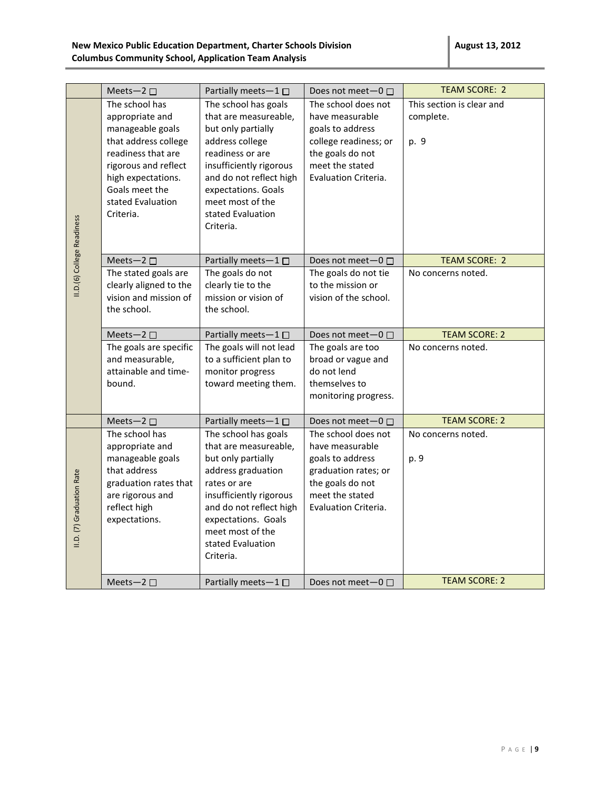|                            | Meets-2 $\square$                                                                                                                                                                                     | Partially meets-1                                                                                                                                                                                                                             | Does not meet-0 □                                                                                                                                  | <b>TEAM SCORE: 2</b>                           |
|----------------------------|-------------------------------------------------------------------------------------------------------------------------------------------------------------------------------------------------------|-----------------------------------------------------------------------------------------------------------------------------------------------------------------------------------------------------------------------------------------------|----------------------------------------------------------------------------------------------------------------------------------------------------|------------------------------------------------|
| II.D.(6) College Readiness | The school has<br>appropriate and<br>manageable goals<br>that address college<br>readiness that are<br>rigorous and reflect<br>high expectations.<br>Goals meet the<br>stated Evaluation<br>Criteria. | The school has goals<br>that are measureable,<br>but only partially<br>address college<br>readiness or are<br>insufficiently rigorous<br>and do not reflect high<br>expectations. Goals<br>meet most of the<br>stated Evaluation<br>Criteria. | The school does not<br>have measurable<br>goals to address<br>college readiness; or<br>the goals do not<br>meet the stated<br>Evaluation Criteria. | This section is clear and<br>complete.<br>p. 9 |
|                            | Meets-2 □                                                                                                                                                                                             | Partially meets-1□                                                                                                                                                                                                                            | Does not meet-0 □                                                                                                                                  | <b>TEAM SCORE: 2</b>                           |
|                            | The stated goals are<br>clearly aligned to the<br>vision and mission of<br>the school.                                                                                                                | The goals do not<br>clearly tie to the<br>mission or vision of<br>the school.                                                                                                                                                                 | The goals do not tie<br>to the mission or<br>vision of the school.                                                                                 | No concerns noted.                             |
|                            | Meets-2 □                                                                                                                                                                                             | Partially meets- $1 \Box$                                                                                                                                                                                                                     | Does not meet-0 □                                                                                                                                  | <b>TEAM SCORE: 2</b>                           |
|                            | The goals are specific<br>and measurable,<br>attainable and time-<br>bound.                                                                                                                           | The goals will not lead<br>to a sufficient plan to<br>monitor progress<br>toward meeting them.                                                                                                                                                | The goals are too<br>broad or vague and<br>do not lend<br>themselves to<br>monitoring progress.                                                    | No concerns noted.                             |
|                            | Meets-2 □                                                                                                                                                                                             | Partially meets-1□                                                                                                                                                                                                                            | Does not meet-0 □                                                                                                                                  | <b>TEAM SCORE: 2</b>                           |
| II.D. (7) Graduation Rate  | The school has<br>appropriate and<br>manageable goals<br>that address<br>graduation rates that<br>are rigorous and<br>reflect high<br>expectations.                                                   | The school has goals<br>that are measureable,<br>but only partially<br>address graduation<br>rates or are<br>insufficiently rigorous<br>and do not reflect high<br>expectations. Goals<br>meet most of the<br>stated Evaluation<br>Criteria.  | The school does not<br>have measurable<br>goals to address<br>graduation rates; or<br>the goals do not<br>meet the stated<br>Evaluation Criteria.  | No concerns noted.<br>p. 9                     |
|                            | Meets-2 □                                                                                                                                                                                             | Partially meets-1 □                                                                                                                                                                                                                           | Does not meet $-0$ $\Box$                                                                                                                          | <b>TEAM SCORE: 2</b>                           |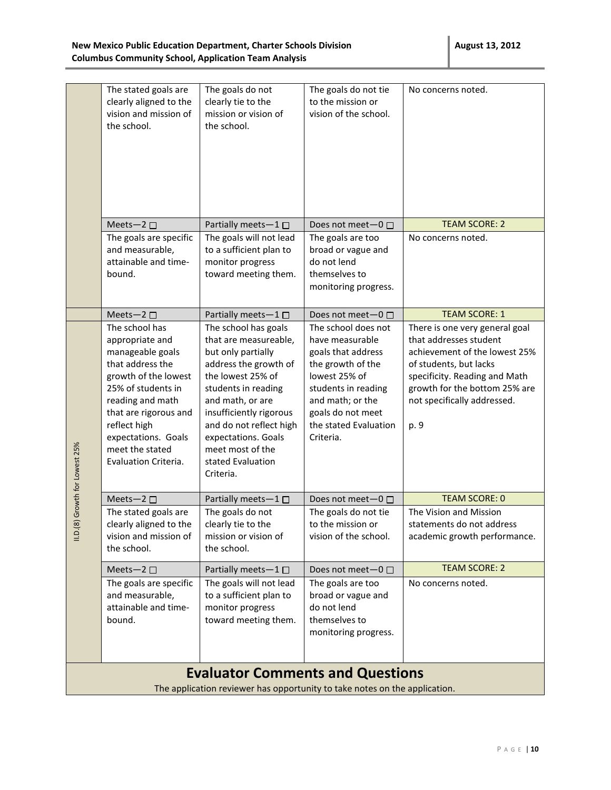|                                                                            | The stated goals are<br>clearly aligned to the<br>vision and mission of<br>the school.                                                                                                                                                                 | The goals do not<br>clearly tie to the<br>mission or vision of<br>the school.                                                                                                                                                                                                                   | The goals do not tie<br>to the mission or<br>vision of the school.                                                                                                                                       | No concerns noted.                                                                                                                                                                                                           |  |
|----------------------------------------------------------------------------|--------------------------------------------------------------------------------------------------------------------------------------------------------------------------------------------------------------------------------------------------------|-------------------------------------------------------------------------------------------------------------------------------------------------------------------------------------------------------------------------------------------------------------------------------------------------|----------------------------------------------------------------------------------------------------------------------------------------------------------------------------------------------------------|------------------------------------------------------------------------------------------------------------------------------------------------------------------------------------------------------------------------------|--|
|                                                                            |                                                                                                                                                                                                                                                        |                                                                                                                                                                                                                                                                                                 |                                                                                                                                                                                                          |                                                                                                                                                                                                                              |  |
|                                                                            | Meets-2 $\square$                                                                                                                                                                                                                                      | Partially meets-1□                                                                                                                                                                                                                                                                              | Does not meet-0 □                                                                                                                                                                                        | <b>TEAM SCORE: 2</b>                                                                                                                                                                                                         |  |
|                                                                            | The goals are specific<br>and measurable,<br>attainable and time-<br>bound.                                                                                                                                                                            | The goals will not lead<br>to a sufficient plan to<br>monitor progress<br>toward meeting them.                                                                                                                                                                                                  | The goals are too<br>broad or vague and<br>do not lend<br>themselves to<br>monitoring progress.                                                                                                          | No concerns noted.                                                                                                                                                                                                           |  |
|                                                                            | Meets-2 $\square$                                                                                                                                                                                                                                      | Partially meets-1□                                                                                                                                                                                                                                                                              | Does not meet-0 □                                                                                                                                                                                        | <b>TEAM SCORE: 1</b>                                                                                                                                                                                                         |  |
| Growth for Lowest 25%                                                      | The school has<br>appropriate and<br>manageable goals<br>that address the<br>growth of the lowest<br>25% of students in<br>reading and math<br>that are rigorous and<br>reflect high<br>expectations. Goals<br>meet the stated<br>Evaluation Criteria. | The school has goals<br>that are measureable,<br>but only partially<br>address the growth of<br>the lowest 25% of<br>students in reading<br>and math, or are<br>insufficiently rigorous<br>and do not reflect high<br>expectations. Goals<br>meet most of the<br>stated Evaluation<br>Criteria. | The school does not<br>have measurable<br>goals that address<br>the growth of the<br>lowest 25% of<br>students in reading<br>and math; or the<br>goals do not meet<br>the stated Evaluation<br>Criteria. | There is one very general goal<br>that addresses student<br>achievement of the lowest 25%<br>of students, but lacks<br>specificity. Reading and Math<br>growth for the bottom 25% are<br>not specifically addressed.<br>p. 9 |  |
|                                                                            | Meets-2 $\square$                                                                                                                                                                                                                                      | Partially meets-1                                                                                                                                                                                                                                                                               | Does not meet $-0$ $\Box$                                                                                                                                                                                | <b>TEAM SCORE: 0</b>                                                                                                                                                                                                         |  |
| 11. D. (8)                                                                 | The stated goals are<br>clearly aligned to the<br>vision and mission of<br>the school.                                                                                                                                                                 | The goals do not<br>clearly tie to the<br>mission or vision of<br>the school.                                                                                                                                                                                                                   | The goals do not tie<br>to the mission or<br>vision of the school.                                                                                                                                       | The Vision and Mission<br>statements do not address<br>academic growth performance.                                                                                                                                          |  |
|                                                                            | Meets-2 $\square$                                                                                                                                                                                                                                      | Partially meets-1□                                                                                                                                                                                                                                                                              | Does not meet-0 □                                                                                                                                                                                        | <b>TEAM SCORE: 2</b>                                                                                                                                                                                                         |  |
|                                                                            | The goals are specific<br>and measurable,<br>attainable and time-<br>bound.                                                                                                                                                                            | The goals will not lead<br>to a sufficient plan to<br>monitor progress<br>toward meeting them.                                                                                                                                                                                                  | The goals are too<br>broad or vague and<br>do not lend<br>themselves to<br>monitoring progress.                                                                                                          | No concerns noted.                                                                                                                                                                                                           |  |
|                                                                            |                                                                                                                                                                                                                                                        | <b>Evaluator Comments and Questions</b>                                                                                                                                                                                                                                                         |                                                                                                                                                                                                          |                                                                                                                                                                                                                              |  |
| The application reviewer has opportunity to take notes on the application. |                                                                                                                                                                                                                                                        |                                                                                                                                                                                                                                                                                                 |                                                                                                                                                                                                          |                                                                                                                                                                                                                              |  |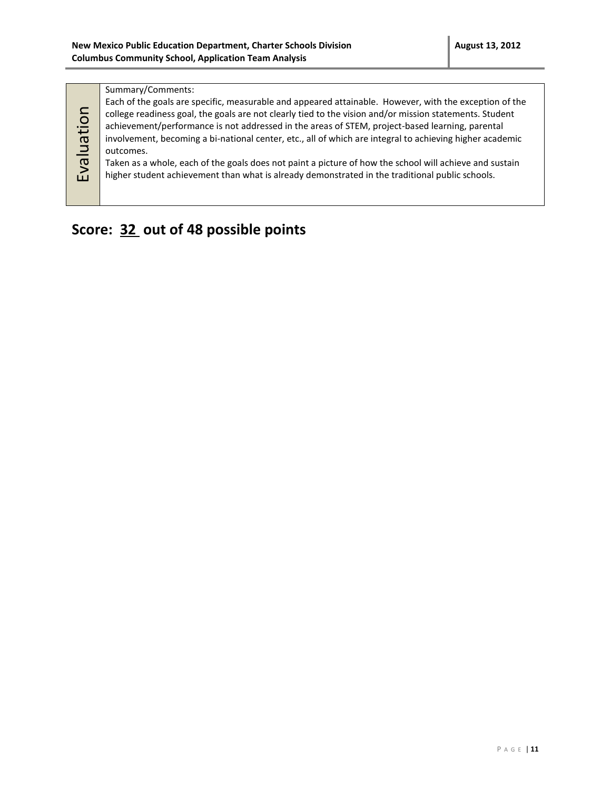#### Summary/Comments:

Evaluation

Each of the goals are specific, measurable and appeared attainable. However, with the exception of the college readiness goal, the goals are not clearly tied to the vision and/or mission statements. Student achievement/performance is not addressed in the areas of STEM, project-based learning, parental involvement, becoming a bi-national center, etc., all of which are integral to achieving higher academic outcomes. Taken as a whole, each of the goals does not paint a picture of how the school will achieve and sustain higher student achievement than what is already demonstrated in the traditional public schools.

### **Score: 32 out of 48 possible points**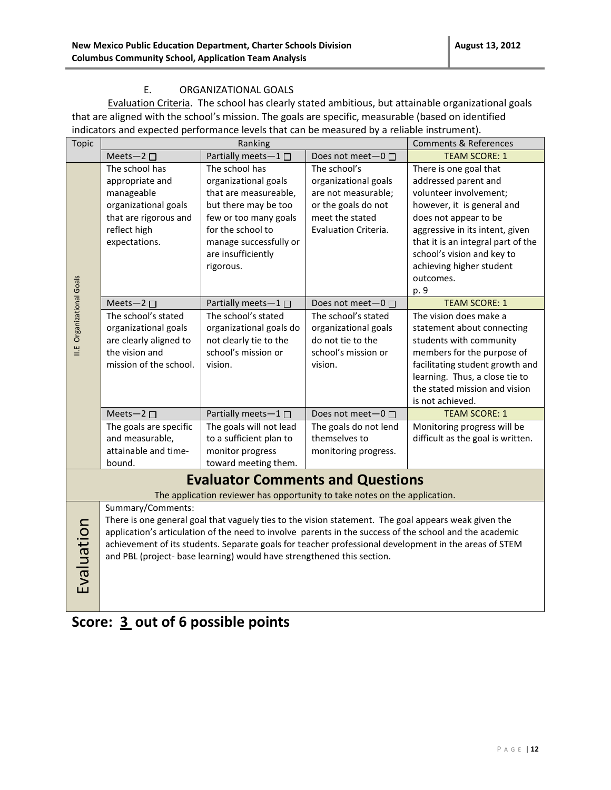#### E. ORGANIZATIONAL GOALS

Evaluation Criteria. The school has clearly stated ambitious, but attainable organizational goals that are aligned with the school's mission. The goals are specific, measurable (based on identified indicators and expected performance levels that can be measured by a reliable instrument).

| <b>Topic</b>                     |                        | Ranking                                                                    |                         | <b>Comments &amp; References</b>                                                                        |
|----------------------------------|------------------------|----------------------------------------------------------------------------|-------------------------|---------------------------------------------------------------------------------------------------------|
|                                  | Meets-2 $\square$      | Partially meets-1                                                          | Does not meet- $0 \Box$ | <b>TEAM SCORE: 1</b>                                                                                    |
|                                  | The school has         | The school has                                                             | The school's            | There is one goal that                                                                                  |
|                                  | appropriate and        | organizational goals                                                       | organizational goals    | addressed parent and                                                                                    |
|                                  | manageable             | that are measureable,                                                      | are not measurable;     | volunteer involvement;                                                                                  |
|                                  | organizational goals   | but there may be too                                                       | or the goals do not     | however, it is general and                                                                              |
|                                  | that are rigorous and  | few or too many goals                                                      | meet the stated         | does not appear to be                                                                                   |
|                                  | reflect high           | for the school to                                                          | Evaluation Criteria.    | aggressive in its intent, given                                                                         |
|                                  | expectations.          | manage successfully or                                                     |                         | that it is an integral part of the                                                                      |
|                                  |                        | are insufficiently                                                         |                         | school's vision and key to                                                                              |
|                                  |                        | rigorous.                                                                  |                         | achieving higher student                                                                                |
|                                  |                        |                                                                            |                         | outcomes.                                                                                               |
|                                  |                        |                                                                            |                         | p. 9                                                                                                    |
| <b>II.E</b> Organizational Goals | Meets-2 □              | Partially meets-1□                                                         | Does not meet-0 □       | <b>TEAM SCORE: 1</b>                                                                                    |
|                                  | The school's stated    | The school's stated                                                        | The school's stated     | The vision does make a                                                                                  |
|                                  | organizational goals   | organizational goals do                                                    | organizational goals    | statement about connecting                                                                              |
|                                  | are clearly aligned to | not clearly tie to the                                                     | do not tie to the       | students with community                                                                                 |
|                                  | the vision and         | school's mission or                                                        | school's mission or     | members for the purpose of                                                                              |
|                                  | mission of the school. | vision.                                                                    | vision.                 | facilitating student growth and                                                                         |
|                                  |                        |                                                                            |                         | learning. Thus, a close tie to                                                                          |
|                                  |                        |                                                                            |                         | the stated mission and vision                                                                           |
|                                  |                        |                                                                            |                         | is not achieved.                                                                                        |
|                                  | Meets-2 $\square$      | Partially meets-1□                                                         | Does not meet- $0 \Box$ | <b>TEAM SCORE: 1</b>                                                                                    |
|                                  | The goals are specific | The goals will not lead                                                    | The goals do not lend   | Monitoring progress will be                                                                             |
|                                  | and measurable,        | to a sufficient plan to                                                    | themselves to           | difficult as the goal is written.                                                                       |
|                                  | attainable and time-   | monitor progress                                                           | monitoring progress.    |                                                                                                         |
|                                  | bound.                 | toward meeting them.                                                       |                         |                                                                                                         |
|                                  |                        | <b>Evaluator Comments and Questions</b>                                    |                         |                                                                                                         |
|                                  |                        | The application reviewer has opportunity to take notes on the application. |                         |                                                                                                         |
|                                  | Summary/Comments:      |                                                                            |                         |                                                                                                         |
|                                  |                        |                                                                            |                         | There is one general goal that vaguely ties to the vision statement. The goal appears weak given the    |
|                                  |                        |                                                                            |                         | application's articulation of the need to involve parents in the success of the school and the academic |
|                                  |                        |                                                                            |                         | achievement of its students. Separate goals for teacher professional development in the areas of STEM   |
|                                  |                        | and PBL (project- base learning) would have strengthened this section.     |                         |                                                                                                         |
|                                  |                        |                                                                            |                         |                                                                                                         |
| Evaluation                       |                        |                                                                            |                         |                                                                                                         |
|                                  |                        |                                                                            |                         |                                                                                                         |

# **Score: 3 out of 6 possible points**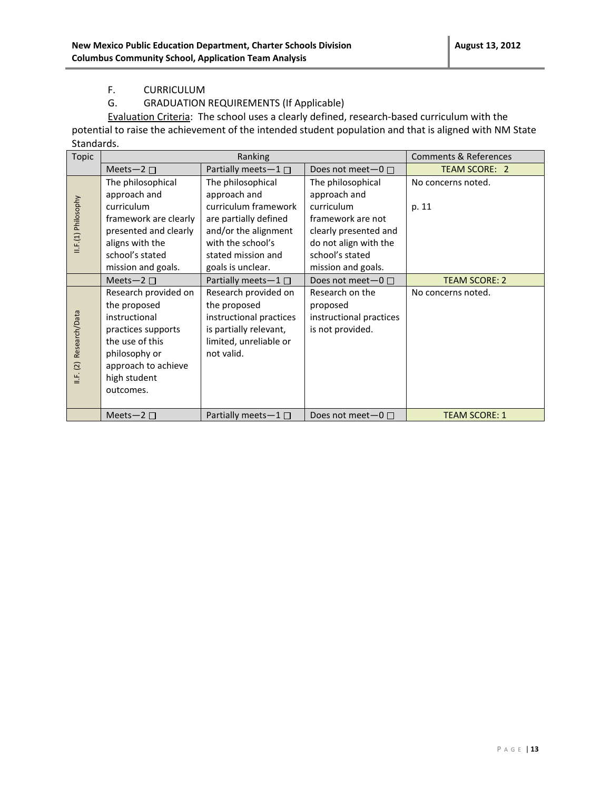#### F. CURRICULUM

#### G. GRADUATION REQUIREMENTS (If Applicable)

Evaluation Criteria: The school uses a clearly defined, research-based curriculum with the potential to raise the achievement of the intended student population and that is aligned with NM State Standards.

| Topic               | Ranking               |                           |                           | <b>Comments &amp; References</b> |
|---------------------|-----------------------|---------------------------|---------------------------|----------------------------------|
|                     | Meets-2 $\square$     | Partially meets-1□        | Does not meet $-0$ $\Box$ | <b>TEAM SCORE: 2</b>             |
|                     | The philosophical     | The philosophical         | The philosophical         | No concerns noted.               |
|                     | approach and          | approach and              | approach and              |                                  |
|                     | curriculum            | curriculum framework      | curriculum                | p. 11                            |
|                     | framework are clearly | are partially defined     | framework are not         |                                  |
|                     | presented and clearly | and/or the alignment      | clearly presented and     |                                  |
| II.F.(1) Philosophy | aligns with the       | with the school's         | do not align with the     |                                  |
|                     | school's stated       | stated mission and        | school's stated           |                                  |
|                     | mission and goals.    | goals is unclear.         | mission and goals.        |                                  |
|                     | Meets-2 $\square$     | Partially meets- $1 \Box$ | Does not meet $-0$ $\Box$ | <b>TEAM SCORE: 2</b>             |
|                     | Research provided on  | Research provided on      | Research on the           | No concerns noted.               |
|                     | the proposed          | the proposed              | proposed                  |                                  |
| Research/Data       | instructional         | instructional practices   | instructional practices   |                                  |
|                     | practices supports    | is partially relevant,    | is not provided.          |                                  |
|                     | the use of this       | limited, unreliable or    |                           |                                  |
|                     | philosophy or         | not valid.                |                           |                                  |
| II.F. (2)           | approach to achieve   |                           |                           |                                  |
|                     | high student          |                           |                           |                                  |
|                     | outcomes.             |                           |                           |                                  |
|                     |                       |                           |                           |                                  |
|                     | Meets-2 $\Box$        | Partially meets $-1 \Box$ | Does not meet $-0$ $\Box$ | <b>TEAM SCORE: 1</b>             |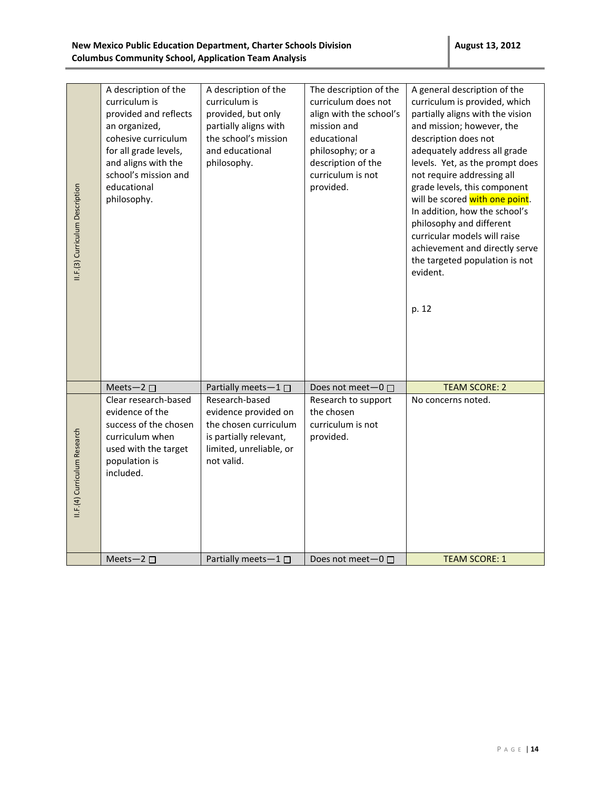| II.F.(3) Curriculum Description | A description of the<br>curriculum is<br>provided and reflects<br>an organized,<br>cohesive curriculum<br>for all grade levels,<br>and aligns with the<br>school's mission and<br>educational<br>philosophy. | A description of the<br>curriculum is<br>provided, but only<br>partially aligns with<br>the school's mission<br>and educational<br>philosophy. | The description of the<br>curriculum does not<br>align with the school's<br>mission and<br>educational<br>philosophy; or a<br>description of the<br>curriculum is not<br>provided. | A general description of the<br>curriculum is provided, which<br>partially aligns with the vision<br>and mission; however, the<br>description does not<br>adequately address all grade<br>levels. Yet, as the prompt does<br>not require addressing all<br>grade levels, this component<br>will be scored with one point.<br>In addition, how the school's<br>philosophy and different<br>curricular models will raise<br>achievement and directly serve<br>the targeted population is not<br>evident.<br>p. 12 |
|---------------------------------|--------------------------------------------------------------------------------------------------------------------------------------------------------------------------------------------------------------|------------------------------------------------------------------------------------------------------------------------------------------------|------------------------------------------------------------------------------------------------------------------------------------------------------------------------------------|-----------------------------------------------------------------------------------------------------------------------------------------------------------------------------------------------------------------------------------------------------------------------------------------------------------------------------------------------------------------------------------------------------------------------------------------------------------------------------------------------------------------|
|                                 | Meets-2 $\square$                                                                                                                                                                                            | Partially meets-1□                                                                                                                             | Does not meet-0 □                                                                                                                                                                  | <b>TEAM SCORE: 2</b>                                                                                                                                                                                                                                                                                                                                                                                                                                                                                            |
| II.F.(4) Curriculum Research    | Clear research-based<br>evidence of the<br>success of the chosen<br>curriculum when<br>used with the target<br>population is<br>included.                                                                    | Research-based<br>evidence provided on<br>the chosen curriculum<br>is partially relevant,<br>limited, unreliable, or<br>not valid.             | Research to support<br>the chosen<br>curriculum is not<br>provided.                                                                                                                | No concerns noted.                                                                                                                                                                                                                                                                                                                                                                                                                                                                                              |
|                                 | Meets-2 $\square$                                                                                                                                                                                            | Partially meets-1□                                                                                                                             | Does not meet $-0$ $\Box$                                                                                                                                                          | <b>TEAM SCORE: 1</b>                                                                                                                                                                                                                                                                                                                                                                                                                                                                                            |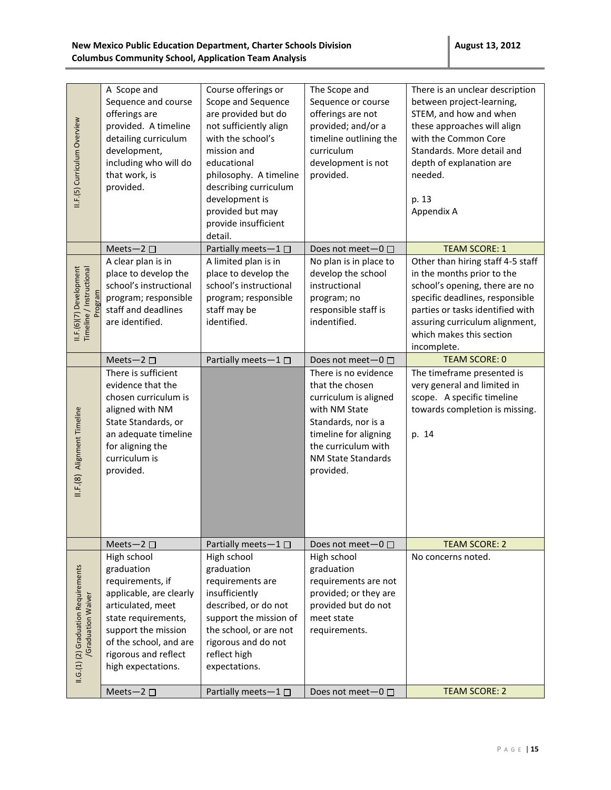| II.F.(5) Curriculum Overview                               | A Scope and<br>Sequence and course<br>offerings are<br>provided. A timeline<br>detailing curriculum<br>development,<br>including who will do<br>that work, is<br>provided.                                                               | Course offerings or<br>Scope and Sequence<br>are provided but do<br>not sufficiently align<br>with the school's<br>mission and<br>educational<br>philosophy. A timeline<br>describing curriculum<br>development is<br>provided but may<br>provide insufficient<br>detail. | The Scope and<br>Sequence or course<br>offerings are not<br>provided; and/or a<br>timeline outlining the<br>curriculum<br>development is not<br>provided.                                   | There is an unclear description<br>between project-learning,<br>STEM, and how and when<br>these approaches will align<br>with the Common Core<br>Standards. More detail and<br>depth of explanation are<br>needed.<br>p. 13<br>Appendix A             |
|------------------------------------------------------------|------------------------------------------------------------------------------------------------------------------------------------------------------------------------------------------------------------------------------------------|---------------------------------------------------------------------------------------------------------------------------------------------------------------------------------------------------------------------------------------------------------------------------|---------------------------------------------------------------------------------------------------------------------------------------------------------------------------------------------|-------------------------------------------------------------------------------------------------------------------------------------------------------------------------------------------------------------------------------------------------------|
|                                                            | Meets-2 $\square$                                                                                                                                                                                                                        | Partially meets-1                                                                                                                                                                                                                                                         | Does not meet-0 □                                                                                                                                                                           | <b>TEAM SCORE: 1</b>                                                                                                                                                                                                                                  |
| Timeline / Instructional<br>II.F.(6)(7) Development        | A clear plan is in<br>place to develop the<br>school's instructional<br>program; responsible<br>staff and deadlines<br>are identified.                                                                                                   | A limited plan is in<br>place to develop the<br>school's instructional<br>program; responsible<br>staff may be<br>identified.                                                                                                                                             | No plan is in place to<br>develop the school<br>instructional<br>program; no<br>responsible staff is<br>indentified.                                                                        | Other than hiring staff 4-5 staff<br>in the months prior to the<br>school's opening, there are no<br>specific deadlines, responsible<br>parties or tasks identified with<br>assuring curriculum alignment,<br>which makes this section<br>incomplete. |
|                                                            | Meets-2 $\square$                                                                                                                                                                                                                        | Partially meets-1                                                                                                                                                                                                                                                         | Does not meet-0 □                                                                                                                                                                           | <b>TEAM SCORE: 0</b>                                                                                                                                                                                                                                  |
| II.F.(8) Alignment Timeline                                | There is sufficient<br>evidence that the<br>chosen curriculum is<br>aligned with NM<br>State Standards, or<br>an adequate timeline<br>for aligning the<br>curriculum is<br>provided.                                                     |                                                                                                                                                                                                                                                                           | There is no evidence<br>that the chosen<br>curriculum is aligned<br>with NM State<br>Standards, nor is a<br>timeline for aligning<br>the curriculum with<br>NM State Standards<br>provided. | The timeframe presented is<br>very general and limited in<br>scope. A specific timeline<br>towards completion is missing.<br>p. 14                                                                                                                    |
|                                                            | Meets-2 $\square$                                                                                                                                                                                                                        | Partially meets-1□                                                                                                                                                                                                                                                        | Does not meet-0 □                                                                                                                                                                           | <b>TEAM SCORE: 2</b>                                                                                                                                                                                                                                  |
| II.G.(1) (2) Graduation Requirements<br>/Graduation Waiver | High school<br>graduation<br>requirements, if<br>applicable, are clearly<br>articulated, meet<br>state requirements,<br>support the mission<br>of the school, and are<br>rigorous and reflect<br>high expectations.<br>Meets-2 $\square$ | High school<br>graduation<br>requirements are<br>insufficiently<br>described, or do not<br>support the mission of<br>the school, or are not<br>rigorous and do not<br>reflect high<br>expectations.<br>Partially meets-1□                                                 | High school<br>graduation<br>requirements are not<br>provided; or they are<br>provided but do not<br>meet state<br>requirements.<br>Does not meet-0 □                                       | No concerns noted.<br><b>TEAM SCORE: 2</b>                                                                                                                                                                                                            |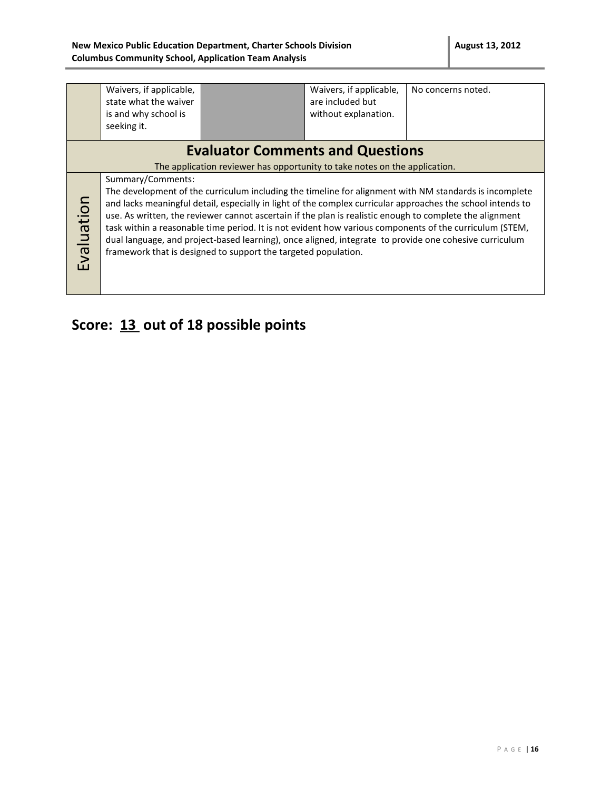|                                                                                                                                                                                                                                                                                                                                                                                                                                                                                                                                                                                                                                                                                                                                           | Waivers, if applicable,<br>state what the waiver<br>is and why school is<br>seeking it. |                                         | Waivers, if applicable,<br>are included but<br>without explanation. | No concerns noted. |
|-------------------------------------------------------------------------------------------------------------------------------------------------------------------------------------------------------------------------------------------------------------------------------------------------------------------------------------------------------------------------------------------------------------------------------------------------------------------------------------------------------------------------------------------------------------------------------------------------------------------------------------------------------------------------------------------------------------------------------------------|-----------------------------------------------------------------------------------------|-----------------------------------------|---------------------------------------------------------------------|--------------------|
|                                                                                                                                                                                                                                                                                                                                                                                                                                                                                                                                                                                                                                                                                                                                           |                                                                                         | <b>Evaluator Comments and Questions</b> |                                                                     |                    |
|                                                                                                                                                                                                                                                                                                                                                                                                                                                                                                                                                                                                                                                                                                                                           |                                                                                         |                                         |                                                                     |                    |
| The application reviewer has opportunity to take notes on the application.<br>Summary/Comments:<br>The development of the curriculum including the timeline for alignment with NM standards is incomplete<br>Evaluation<br>and lacks meaningful detail, especially in light of the complex curricular approaches the school intends to<br>use. As written, the reviewer cannot ascertain if the plan is realistic enough to complete the alignment<br>task within a reasonable time period. It is not evident how various components of the curriculum (STEM,<br>dual language, and project-based learning), once aligned, integrate to provide one cohesive curriculum<br>framework that is designed to support the targeted population. |                                                                                         |                                         |                                                                     |                    |

# **Score: 13 out of 18 possible points**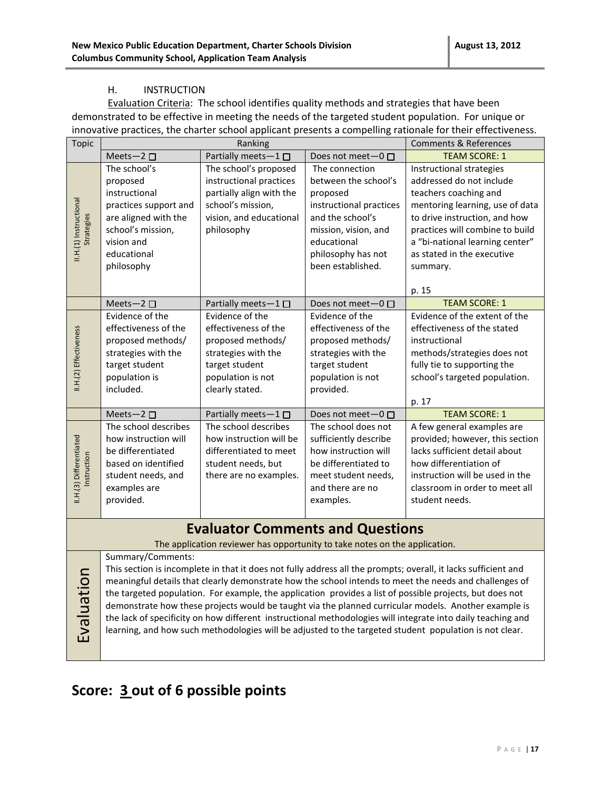#### H. INSTRUCTION

Evaluation Criteria: The school identifies quality methods and strategies that have been demonstrated to be effective in meeting the needs of the targeted student population. For unique or innovative practices, the charter school applicant presents a compelling rationale for their effectiveness.

| <b>Topic</b>            | Ranking                                                                                                |                                                                            |                         | <b>Comments &amp; References</b>                                                                                                                                                                                    |  |
|-------------------------|--------------------------------------------------------------------------------------------------------|----------------------------------------------------------------------------|-------------------------|---------------------------------------------------------------------------------------------------------------------------------------------------------------------------------------------------------------------|--|
|                         | Meets-2 $\square$                                                                                      | Partially meets-1                                                          | Does not meet-0 □       | <b>TEAM SCORE: 1</b>                                                                                                                                                                                                |  |
|                         | The school's                                                                                           | The school's proposed                                                      | The connection          | Instructional strategies                                                                                                                                                                                            |  |
|                         | proposed                                                                                               | instructional practices                                                    | between the school's    | addressed do not include                                                                                                                                                                                            |  |
|                         | instructional                                                                                          | partially align with the                                                   | proposed                | teachers coaching and                                                                                                                                                                                               |  |
|                         | practices support and                                                                                  | school's mission,                                                          | instructional practices | mentoring learning, use of data                                                                                                                                                                                     |  |
|                         | are aligned with the                                                                                   | vision, and educational                                                    | and the school's        | to drive instruction, and how                                                                                                                                                                                       |  |
| Strategies              | school's mission,                                                                                      | philosophy                                                                 | mission, vision, and    | practices will combine to build                                                                                                                                                                                     |  |
|                         | vision and                                                                                             |                                                                            | educational             | a "bi-national learning center"                                                                                                                                                                                     |  |
| II.H.(1) Instructional  | educational                                                                                            |                                                                            | philosophy has not      | as stated in the executive                                                                                                                                                                                          |  |
|                         | philosophy                                                                                             |                                                                            | been established.       | summary.                                                                                                                                                                                                            |  |
|                         |                                                                                                        |                                                                            |                         |                                                                                                                                                                                                                     |  |
|                         |                                                                                                        |                                                                            |                         | p. 15                                                                                                                                                                                                               |  |
|                         | Meets-2 $\square$                                                                                      | Partially meets-1                                                          | Does not meet-0 □       | <b>TEAM SCORE: 1</b>                                                                                                                                                                                                |  |
|                         | Evidence of the                                                                                        | Evidence of the                                                            | Evidence of the         | Evidence of the extent of the                                                                                                                                                                                       |  |
|                         | effectiveness of the                                                                                   | effectiveness of the                                                       | effectiveness of the    | effectiveness of the stated                                                                                                                                                                                         |  |
|                         | proposed methods/                                                                                      | proposed methods/                                                          | proposed methods/       | instructional                                                                                                                                                                                                       |  |
|                         | strategies with the                                                                                    | strategies with the                                                        | strategies with the     | methods/strategies does not                                                                                                                                                                                         |  |
|                         | target student                                                                                         | target student                                                             | target student          | fully tie to supporting the                                                                                                                                                                                         |  |
| II.H.(2) Effectiveness  | population is                                                                                          | population is not                                                          | population is not       | school's targeted population.                                                                                                                                                                                       |  |
|                         | included.                                                                                              | clearly stated.                                                            | provided.               |                                                                                                                                                                                                                     |  |
|                         |                                                                                                        |                                                                            |                         | p. 17                                                                                                                                                                                                               |  |
|                         | Meets-2 $\square$                                                                                      | Partially meets-1□                                                         | Does not meet-0 □       | <b>TEAM SCORE: 1</b>                                                                                                                                                                                                |  |
|                         | The school describes                                                                                   | The school describes                                                       | The school does not     | A few general examples are                                                                                                                                                                                          |  |
|                         | how instruction will                                                                                   | how instruction will be                                                    | sufficiently describe   | provided; however, this section                                                                                                                                                                                     |  |
|                         | be differentiated                                                                                      | differentiated to meet                                                     | how instruction will    | lacks sufficient detail about                                                                                                                                                                                       |  |
| Instruction             | based on identified                                                                                    | student needs, but                                                         | be differentiated to    | how differentiation of                                                                                                                                                                                              |  |
|                         | student needs, and                                                                                     | there are no examples.                                                     | meet student needs,     | instruction will be used in the                                                                                                                                                                                     |  |
| II.H.(3) Differentiated | examples are                                                                                           |                                                                            | and there are no        | classroom in order to meet all                                                                                                                                                                                      |  |
|                         | provided.                                                                                              |                                                                            | examples.               | student needs.                                                                                                                                                                                                      |  |
|                         |                                                                                                        |                                                                            |                         |                                                                                                                                                                                                                     |  |
|                         |                                                                                                        | <b>Evaluator Comments and Questions</b>                                    |                         |                                                                                                                                                                                                                     |  |
|                         |                                                                                                        | The application reviewer has opportunity to take notes on the application. |                         |                                                                                                                                                                                                                     |  |
|                         | Summary/Comments:                                                                                      |                                                                            |                         |                                                                                                                                                                                                                     |  |
|                         |                                                                                                        |                                                                            |                         | This section is incomplete in that it does not fully address all the prompts; overall, it lacks sufficient and                                                                                                      |  |
|                         |                                                                                                        |                                                                            |                         | meaningful details that clearly demonstrate how the school intends to meet the needs and challenges of                                                                                                              |  |
|                         |                                                                                                        |                                                                            |                         | the targeted population. For example, the application provides a list of possible projects, but does not                                                                                                            |  |
| Evaluation              |                                                                                                        |                                                                            |                         | demonstrate how these projects would be taught via the planned curricular models. Another example is<br>the lack of specificity on how different instructional methodologies will integrate into daily teaching and |  |
|                         |                                                                                                        |                                                                            |                         |                                                                                                                                                                                                                     |  |
|                         | learning, and how such methodologies will be adjusted to the targeted student population is not clear. |                                                                            |                         |                                                                                                                                                                                                                     |  |

#### learning, and how such methodologies will be adjusted to the targeted student population is not clear.

### **Score: 3 out of 6 possible points**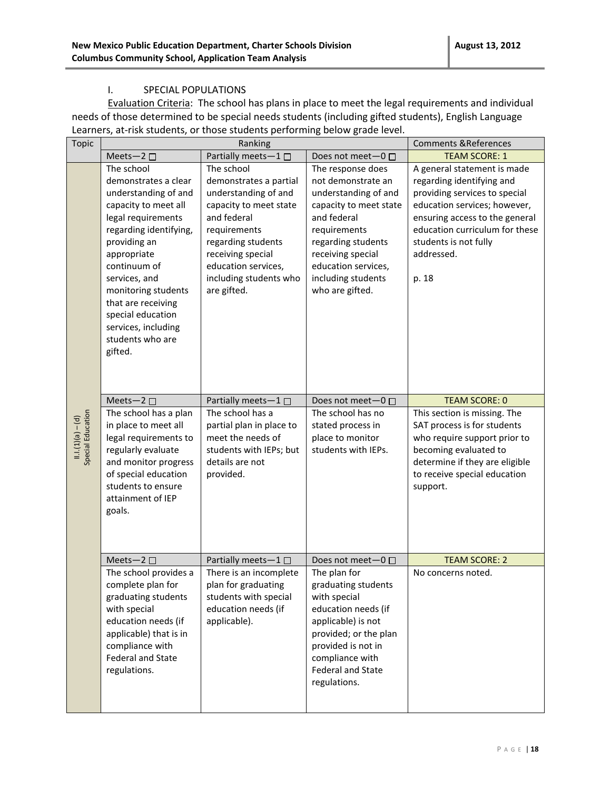#### I. SPECIAL POPULATIONS

Evaluation Criteria: The school has plans in place to meet the legal requirements and individual needs of those determined to be special needs students (including gifted students), English Language Learners, at-risk students, or those students performing below grade level.

|                    | <b>Topic</b>      | Ranking                                                                                                                                                                                                                                                                                                                    |                                                                                                                                                                                                                                  |                                                                                                                                                                                                                                     | <b>Comments &amp; References</b>                                                                                                                                                                                                              |
|--------------------|-------------------|----------------------------------------------------------------------------------------------------------------------------------------------------------------------------------------------------------------------------------------------------------------------------------------------------------------------------|----------------------------------------------------------------------------------------------------------------------------------------------------------------------------------------------------------------------------------|-------------------------------------------------------------------------------------------------------------------------------------------------------------------------------------------------------------------------------------|-----------------------------------------------------------------------------------------------------------------------------------------------------------------------------------------------------------------------------------------------|
|                    |                   | Meets-2 $\square$                                                                                                                                                                                                                                                                                                          | Partially meets-1 $\square$                                                                                                                                                                                                      | Does not meet-0 □                                                                                                                                                                                                                   | <b>TEAM SCORE: 1</b>                                                                                                                                                                                                                          |
|                    |                   | The school<br>demonstrates a clear<br>understanding of and<br>capacity to meet all<br>legal requirements<br>regarding identifying,<br>providing an<br>appropriate<br>continuum of<br>services, and<br>monitoring students<br>that are receiving<br>special education<br>services, including<br>students who are<br>gifted. | The school<br>demonstrates a partial<br>understanding of and<br>capacity to meet state<br>and federal<br>requirements<br>regarding students<br>receiving special<br>education services,<br>including students who<br>are gifted. | The response does<br>not demonstrate an<br>understanding of and<br>capacity to meet state<br>and federal<br>requirements<br>regarding students<br>receiving special<br>education services,<br>including students<br>who are gifted. | A general statement is made<br>regarding identifying and<br>providing services to special<br>education services; however,<br>ensuring access to the general<br>education curriculum for these<br>students is not fully<br>addressed.<br>p. 18 |
|                    |                   | Meets-2                                                                                                                                                                                                                                                                                                                    | Partially meets-1                                                                                                                                                                                                                | Does not meet-0 □                                                                                                                                                                                                                   | <b>TEAM SCORE: 0</b>                                                                                                                                                                                                                          |
| $11.1(1)(a) - (d)$ | Special Education | The school has a plan<br>in place to meet all<br>legal requirements to<br>regularly evaluate<br>and monitor progress<br>of special education<br>students to ensure<br>attainment of IEP<br>goals.                                                                                                                          | The school has a<br>partial plan in place to<br>meet the needs of<br>students with IEPs; but<br>details are not<br>provided.                                                                                                     | The school has no<br>stated process in<br>place to monitor<br>students with IEPs.                                                                                                                                                   | This section is missing. The<br>SAT process is for students<br>who require support prior to<br>becoming evaluated to<br>determine if they are eligible<br>to receive special education<br>support.                                            |
|                    |                   | Meets-2 $\square$                                                                                                                                                                                                                                                                                                          | Partially meets-1 □                                                                                                                                                                                                              | Does not meet-0 □                                                                                                                                                                                                                   | <b>TEAM SCORE: 2</b>                                                                                                                                                                                                                          |
|                    |                   | The school provides a<br>complete plan for<br>graduating students<br>with special<br>education needs (if<br>applicable) that is in<br>compliance with<br><b>Federal and State</b><br>regulations.                                                                                                                          | There is an incomplete<br>plan for graduating<br>students with special<br>education needs (if<br>applicable).                                                                                                                    | The plan for<br>graduating students<br>with special<br>education needs (if<br>applicable) is not<br>provided; or the plan<br>provided is not in<br>compliance with<br><b>Federal and State</b><br>regulations.                      | No concerns noted.                                                                                                                                                                                                                            |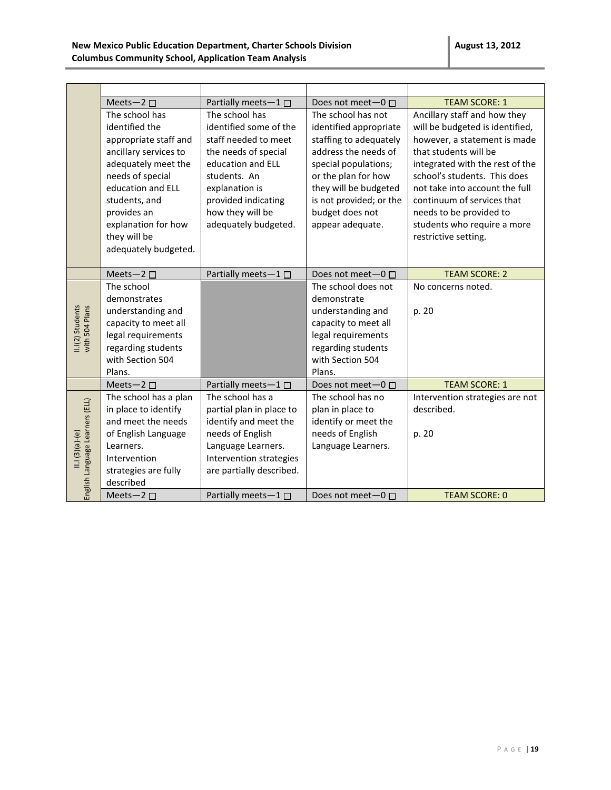|                                    | Meets-2 $\square$     | Partially meets-1 □         | Does not meet-0 □         | <b>TEAM SCORE: 1</b>            |
|------------------------------------|-----------------------|-----------------------------|---------------------------|---------------------------------|
|                                    | The school has        | The school has              | The school has not        | Ancillary staff and how they    |
|                                    | identified the        | identified some of the      | identified appropriate    | will be budgeted is identified, |
|                                    | appropriate staff and | staff needed to meet        | staffing to adequately    | however, a statement is made    |
|                                    | ancillary services to | the needs of special        | address the needs of      | that students will be           |
|                                    | adequately meet the   | education and ELL           | special populations;      | integrated with the rest of the |
|                                    | needs of special      | students. An                | or the plan for how       | school's students. This does    |
|                                    | education and ELL     | explanation is              | they will be budgeted     | not take into account the full  |
|                                    | students, and         | provided indicating         | is not provided; or the   | continuum of services that      |
|                                    | provides an           | how they will be            | budget does not           | needs to be provided to         |
|                                    | explanation for how   | adequately budgeted.        | appear adequate.          | students who require a more     |
|                                    | they will be          |                             |                           | restrictive setting.            |
|                                    | adequately budgeted.  |                             |                           |                                 |
|                                    |                       |                             |                           |                                 |
|                                    | Meets-2 $\square$     | Partially meets-1 □         | Does not meet $-0$ $\Box$ | <b>TEAM SCORE: 2</b>            |
|                                    | The school            |                             | The school does not       | No concerns noted.              |
|                                    | demonstrates          |                             | demonstrate               |                                 |
|                                    | understanding and     |                             | understanding and         | p. 20                           |
| II.I(2) Students<br>with 504 Plans | capacity to meet all  |                             | capacity to meet all      |                                 |
|                                    | legal requirements    |                             | legal requirements        |                                 |
|                                    | regarding students    |                             | regarding students        |                                 |
|                                    | with Section 504      |                             | with Section 504          |                                 |
|                                    | Plans.                |                             | Plans.                    |                                 |
|                                    | Meets-2 $\square$     | Partially meets-1 □         | Does not meet $-0$ $\Box$ | <b>TEAM SCORE: 1</b>            |
|                                    | The school has a plan | The school has a            | The school has no         | Intervention strategies are not |
|                                    | in place to identify  | partial plan in place to    | plan in place to          | described.                      |
|                                    | and meet the needs    | identify and meet the       | identify or meet the      |                                 |
|                                    | of English Language   | needs of English            | needs of English          | p. 20                           |
| $11.1(3)(a)-(e)$                   | Learners.             | Language Learners.          | Language Learners.        |                                 |
|                                    | Intervention          | Intervention strategies     |                           |                                 |
|                                    | strategies are fully  | are partially described.    |                           |                                 |
| English Language Learners (ELL)    | described             |                             |                           |                                 |
|                                    | Meets-2 $\square$     | Partially meets-1 $\square$ | Does not meet $-0$ $\Box$ | <b>TEAM SCORE: 0</b>            |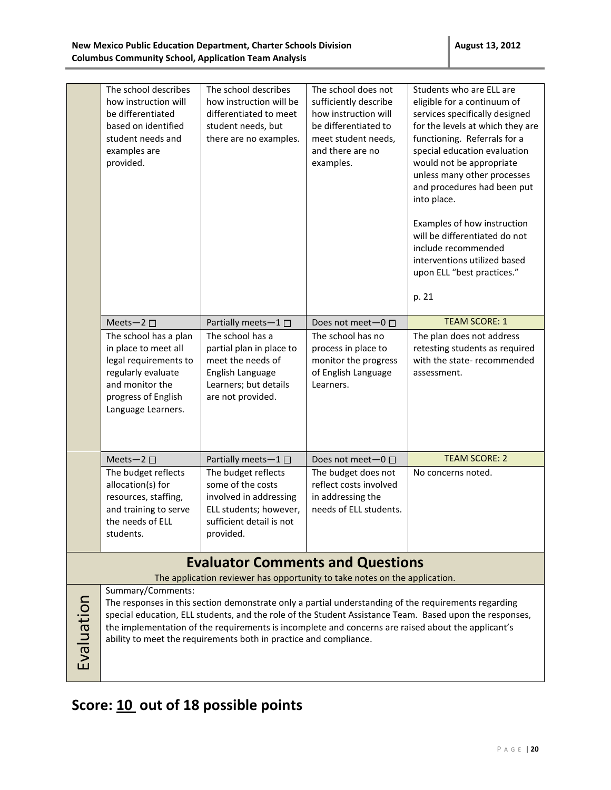|            | The school describes<br>how instruction will<br>be differentiated<br>based on identified<br>student needs and<br>examples are<br>provided.                                                                                                                                                                                                                                                                      | The school describes<br>how instruction will be<br>differentiated to meet<br>student needs, but<br>there are no examples.             | The school does not<br>sufficiently describe<br>how instruction will<br>be differentiated to<br>meet student needs,<br>and there are no<br>examples. | Students who are ELL are<br>eligible for a continuum of<br>services specifically designed<br>for the levels at which they are<br>functioning. Referrals for a<br>special education evaluation<br>would not be appropriate<br>unless many other processes<br>and procedures had been put<br>into place.<br>Examples of how instruction<br>will be differentiated do not<br>include recommended<br>interventions utilized based<br>upon ELL "best practices."<br>p. 21 |  |
|------------|-----------------------------------------------------------------------------------------------------------------------------------------------------------------------------------------------------------------------------------------------------------------------------------------------------------------------------------------------------------------------------------------------------------------|---------------------------------------------------------------------------------------------------------------------------------------|------------------------------------------------------------------------------------------------------------------------------------------------------|----------------------------------------------------------------------------------------------------------------------------------------------------------------------------------------------------------------------------------------------------------------------------------------------------------------------------------------------------------------------------------------------------------------------------------------------------------------------|--|
|            | Meets-2 □                                                                                                                                                                                                                                                                                                                                                                                                       | Partially meets-1 $\square$                                                                                                           | Does not meet $-0$ $\Box$                                                                                                                            | <b>TEAM SCORE: 1</b>                                                                                                                                                                                                                                                                                                                                                                                                                                                 |  |
|            | The school has a plan<br>in place to meet all<br>legal requirements to<br>regularly evaluate<br>and monitor the<br>progress of English<br>Language Learners.                                                                                                                                                                                                                                                    | The school has a<br>partial plan in place to<br>meet the needs of<br>English Language<br>Learners; but details<br>are not provided.   | The school has no<br>process in place to<br>monitor the progress<br>of English Language<br>Learners.                                                 | The plan does not address<br>retesting students as required<br>with the state-recommended<br>assessment.                                                                                                                                                                                                                                                                                                                                                             |  |
|            | Meets-2                                                                                                                                                                                                                                                                                                                                                                                                         | Partially meets-1 $\square$                                                                                                           | Does not meet-0 □                                                                                                                                    | <b>TEAM SCORE: 2</b>                                                                                                                                                                                                                                                                                                                                                                                                                                                 |  |
|            | The budget reflects<br>allocation(s) for<br>resources, staffing,<br>and training to serve<br>the needs of ELL<br>students.                                                                                                                                                                                                                                                                                      | The budget reflects<br>some of the costs<br>involved in addressing<br>ELL students; however,<br>sufficient detail is not<br>provided. | The budget does not<br>reflect costs involved<br>in addressing the<br>needs of ELL students.                                                         | No concerns noted.                                                                                                                                                                                                                                                                                                                                                                                                                                                   |  |
|            | <b>Evaluator Comments and Questions</b>                                                                                                                                                                                                                                                                                                                                                                         |                                                                                                                                       |                                                                                                                                                      |                                                                                                                                                                                                                                                                                                                                                                                                                                                                      |  |
|            |                                                                                                                                                                                                                                                                                                                                                                                                                 | The application reviewer has opportunity to take notes on the application.                                                            |                                                                                                                                                      |                                                                                                                                                                                                                                                                                                                                                                                                                                                                      |  |
| Evaluation | Summary/Comments:<br>The responses in this section demonstrate only a partial understanding of the requirements regarding<br>special education, ELL students, and the role of the Student Assistance Team. Based upon the responses,<br>the implementation of the requirements is incomplete and concerns are raised about the applicant's<br>ability to meet the requirements both in practice and compliance. |                                                                                                                                       |                                                                                                                                                      |                                                                                                                                                                                                                                                                                                                                                                                                                                                                      |  |

# **Score: 10 out of 18 possible points**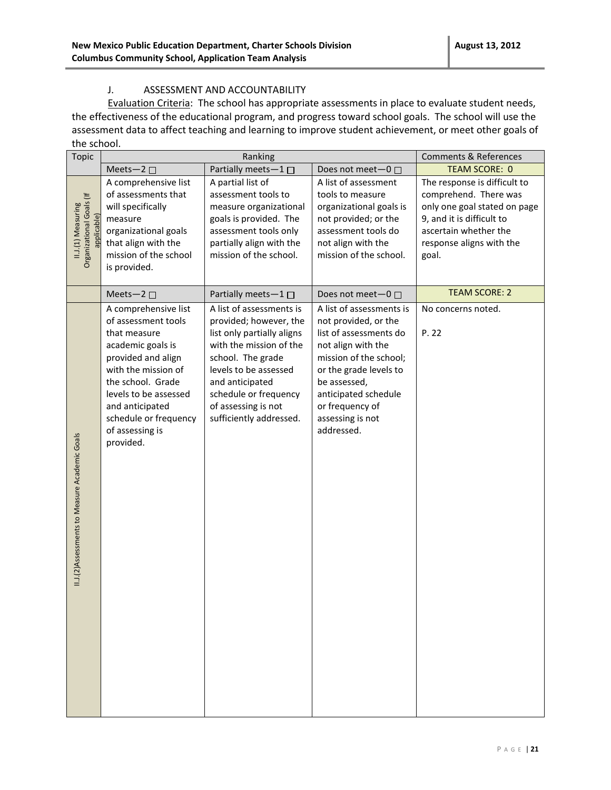#### J. ASSESSMENT AND ACCOUNTABILITY

Evaluation Criteria: The school has appropriate assessments in place to evaluate student needs, the effectiveness of the educational program, and progress toward school goals. The school will use the assessment data to affect teaching and learning to improve student achievement, or meet other goals of the school.

| <b>Topic</b>                                                  | Ranking                                                                                                                                                                                                                                                 |                                                                                                                                                                                                                                                         |                                                                                                                                                                                                                                                   | <b>Comments &amp; References</b>                                                                                                                                                 |
|---------------------------------------------------------------|---------------------------------------------------------------------------------------------------------------------------------------------------------------------------------------------------------------------------------------------------------|---------------------------------------------------------------------------------------------------------------------------------------------------------------------------------------------------------------------------------------------------------|---------------------------------------------------------------------------------------------------------------------------------------------------------------------------------------------------------------------------------------------------|----------------------------------------------------------------------------------------------------------------------------------------------------------------------------------|
|                                                               | Partially meets-1<br>Meets-2 $\square$                                                                                                                                                                                                                  |                                                                                                                                                                                                                                                         | Does not meet-0 □                                                                                                                                                                                                                                 | <b>TEAM SCORE: 0</b>                                                                                                                                                             |
| Organizational Goals (If<br>II.J.(1) Measuring<br>applicable) | A comprehensive list<br>of assessments that<br>will specifically<br>measure<br>organizational goals<br>that align with the<br>mission of the school<br>is provided.                                                                                     | A partial list of<br>assessment tools to<br>measure organizational<br>goals is provided. The<br>assessment tools only<br>partially align with the<br>mission of the school.                                                                             | A list of assessment<br>tools to measure<br>organizational goals is<br>not provided; or the<br>assessment tools do<br>not align with the<br>mission of the school.                                                                                | The response is difficult to<br>comprehend. There was<br>only one goal stated on page<br>9, and it is difficult to<br>ascertain whether the<br>response aligns with the<br>goal. |
|                                                               | Meets-2 $\square$                                                                                                                                                                                                                                       | Partially meets-1 □                                                                                                                                                                                                                                     | Does not meet-0 □                                                                                                                                                                                                                                 | <b>TEAM SCORE: 2</b>                                                                                                                                                             |
| II.J.(2)Assessments to Measure Academic Goals                 | A comprehensive list<br>of assessment tools<br>that measure<br>academic goals is<br>provided and align<br>with the mission of<br>the school. Grade<br>levels to be assessed<br>and anticipated<br>schedule or frequency<br>of assessing is<br>provided. | A list of assessments is<br>provided; however, the<br>list only partially aligns<br>with the mission of the<br>school. The grade<br>levels to be assessed<br>and anticipated<br>schedule or frequency<br>of assessing is not<br>sufficiently addressed. | A list of assessments is<br>not provided, or the<br>list of assessments do<br>not align with the<br>mission of the school;<br>or the grade levels to<br>be assessed,<br>anticipated schedule<br>or frequency of<br>assessing is not<br>addressed. | No concerns noted.<br>P. 22                                                                                                                                                      |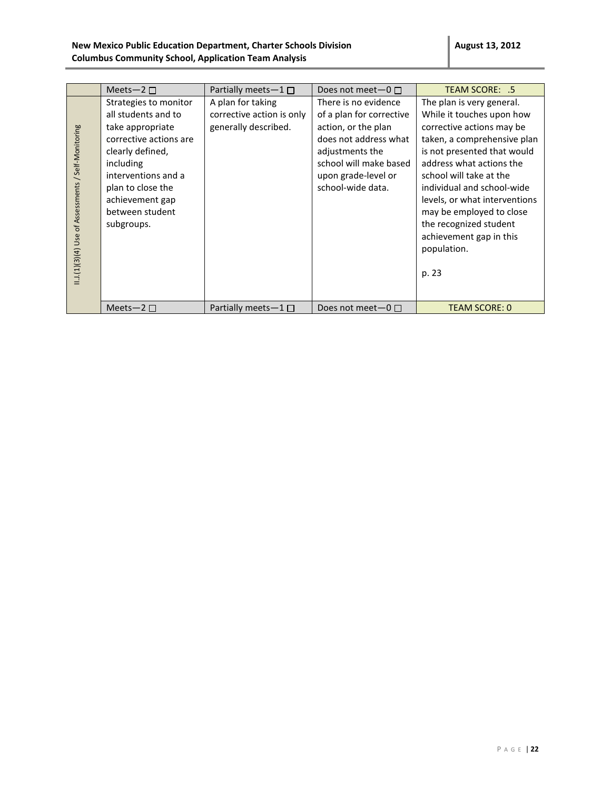|                                                    | Meets-2 $\square$                                                                                                                                                                                                           | Partially meets $-1$ $\Box$                                            | Does not meet $-0$ $\Box$                                                                                                                                                                 | TEAM SCORE: .5                                                                                                                                                                                                                                                                                                                                                                   |
|----------------------------------------------------|-----------------------------------------------------------------------------------------------------------------------------------------------------------------------------------------------------------------------------|------------------------------------------------------------------------|-------------------------------------------------------------------------------------------------------------------------------------------------------------------------------------------|----------------------------------------------------------------------------------------------------------------------------------------------------------------------------------------------------------------------------------------------------------------------------------------------------------------------------------------------------------------------------------|
| I.J.(1)(3)(4) Use of Assessments / Self-Monitoring | Strategies to monitor<br>all students and to<br>take appropriate<br>corrective actions are<br>clearly defined,<br>including<br>interventions and a<br>plan to close the<br>achievement gap<br>between student<br>subgroups. | A plan for taking<br>corrective action is only<br>generally described. | There is no evidence<br>of a plan for corrective<br>action, or the plan<br>does not address what<br>adjustments the<br>school will make based<br>upon grade-level or<br>school-wide data. | The plan is very general.<br>While it touches upon how<br>corrective actions may be<br>taken, a comprehensive plan<br>is not presented that would<br>address what actions the<br>school will take at the<br>individual and school-wide<br>levels, or what interventions<br>may be employed to close<br>the recognized student<br>achievement gap in this<br>population.<br>p. 23 |
|                                                    | Meets-2 $\square$                                                                                                                                                                                                           | Partially meets $-1 \Box$                                              | Does not meet $-0$ $\Box$                                                                                                                                                                 | <b>TEAM SCORE: 0</b>                                                                                                                                                                                                                                                                                                                                                             |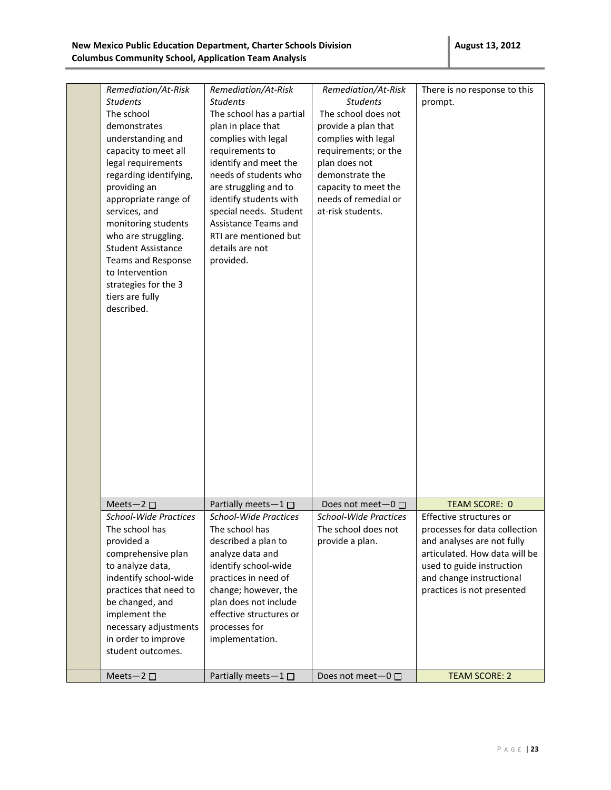| Remediation/At-Risk<br><b>Students</b><br>The school<br>demonstrates<br>understanding and<br>capacity to meet all<br>legal requirements<br>regarding identifying,<br>providing an<br>appropriate range of<br>services, and<br>monitoring students<br>who are struggling.<br><b>Student Assistance</b><br>Teams and Response<br>to Intervention<br>strategies for the 3<br>tiers are fully<br>described. | Remediation/At-Risk<br><b>Students</b><br>The school has a partial<br>plan in place that<br>complies with legal<br>requirements to<br>identify and meet the<br>needs of students who<br>are struggling and to<br>identify students with<br>special needs. Student<br>Assistance Teams and<br>RTI are mentioned but<br>details are not<br>provided. | Remediation/At-Risk<br><b>Students</b><br>The school does not<br>provide a plan that<br>complies with legal<br>requirements; or the<br>plan does not<br>demonstrate the<br>capacity to meet the<br>needs of remedial or<br>at-risk students. | There is no response to this<br>prompt.                    |
|---------------------------------------------------------------------------------------------------------------------------------------------------------------------------------------------------------------------------------------------------------------------------------------------------------------------------------------------------------------------------------------------------------|----------------------------------------------------------------------------------------------------------------------------------------------------------------------------------------------------------------------------------------------------------------------------------------------------------------------------------------------------|----------------------------------------------------------------------------------------------------------------------------------------------------------------------------------------------------------------------------------------------|------------------------------------------------------------|
| Meets-2 $\square$                                                                                                                                                                                                                                                                                                                                                                                       | Partially meets-1□                                                                                                                                                                                                                                                                                                                                 | Does not meet $-0$ $\Box$                                                                                                                                                                                                                    | <b>TEAM SCORE: 0</b>                                       |
| <b>School-Wide Practices</b><br>The school has                                                                                                                                                                                                                                                                                                                                                          | School-Wide Practices<br>The school has                                                                                                                                                                                                                                                                                                            | <b>School-Wide Practices</b><br>The school does not                                                                                                                                                                                          | Effective structures or<br>processes for data collection   |
| provided a                                                                                                                                                                                                                                                                                                                                                                                              | described a plan to                                                                                                                                                                                                                                                                                                                                | provide a plan.                                                                                                                                                                                                                              | and analyses are not fully                                 |
| comprehensive plan<br>to analyze data,                                                                                                                                                                                                                                                                                                                                                                  | analyze data and<br>identify school-wide                                                                                                                                                                                                                                                                                                           |                                                                                                                                                                                                                                              | articulated. How data will be<br>used to guide instruction |
| indentify school-wide                                                                                                                                                                                                                                                                                                                                                                                   | practices in need of                                                                                                                                                                                                                                                                                                                               |                                                                                                                                                                                                                                              | and change instructional                                   |
| practices that need to                                                                                                                                                                                                                                                                                                                                                                                  | change; however, the                                                                                                                                                                                                                                                                                                                               |                                                                                                                                                                                                                                              | practices is not presented                                 |
| be changed, and                                                                                                                                                                                                                                                                                                                                                                                         | plan does not include                                                                                                                                                                                                                                                                                                                              |                                                                                                                                                                                                                                              |                                                            |
| implement the                                                                                                                                                                                                                                                                                                                                                                                           | effective structures or                                                                                                                                                                                                                                                                                                                            |                                                                                                                                                                                                                                              |                                                            |
| necessary adjustments<br>in order to improve                                                                                                                                                                                                                                                                                                                                                            | processes for<br>implementation.                                                                                                                                                                                                                                                                                                                   |                                                                                                                                                                                                                                              |                                                            |
| student outcomes.                                                                                                                                                                                                                                                                                                                                                                                       |                                                                                                                                                                                                                                                                                                                                                    |                                                                                                                                                                                                                                              |                                                            |
|                                                                                                                                                                                                                                                                                                                                                                                                         |                                                                                                                                                                                                                                                                                                                                                    |                                                                                                                                                                                                                                              |                                                            |
| Meets-2 $\square$                                                                                                                                                                                                                                                                                                                                                                                       | Partially meets-1□                                                                                                                                                                                                                                                                                                                                 | Does not meet-0 □                                                                                                                                                                                                                            | <b>TEAM SCORE: 2</b>                                       |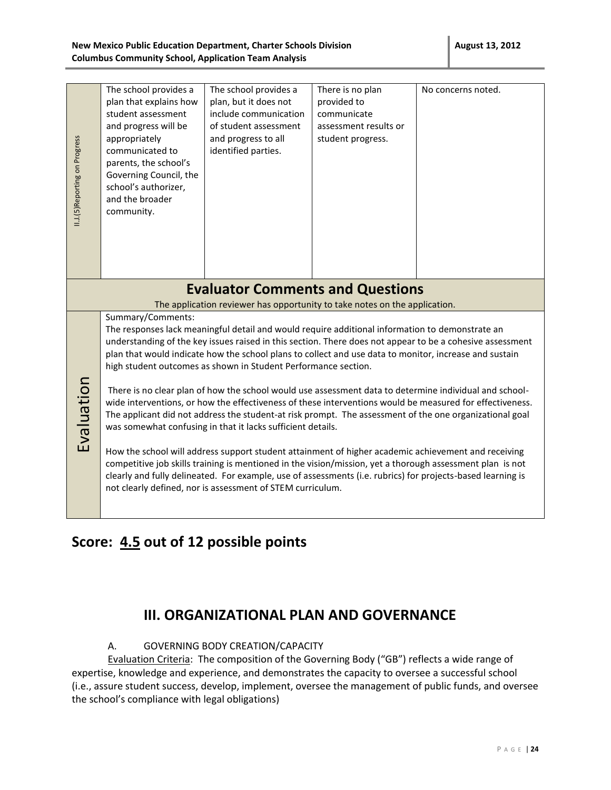#### **New Mexico Public Education Department, Charter Schools Division Columbus Community School, Application Team Analysis**

|                                                                                                                                                                                                                                                                                                                                                                                                            | The school provides a<br>plan that explains how<br>student assessment<br>and progress will be                                                                                                                                                                                                                                                                                                                                                                                               | The school provides a<br>plan, but it does not<br>include communication<br>of student assessment | There is no plan<br>provided to<br>communicate<br>assessment results or | No concerns noted. |  |
|------------------------------------------------------------------------------------------------------------------------------------------------------------------------------------------------------------------------------------------------------------------------------------------------------------------------------------------------------------------------------------------------------------|---------------------------------------------------------------------------------------------------------------------------------------------------------------------------------------------------------------------------------------------------------------------------------------------------------------------------------------------------------------------------------------------------------------------------------------------------------------------------------------------|--------------------------------------------------------------------------------------------------|-------------------------------------------------------------------------|--------------------|--|
| II.J.(5)Reporting on Progress                                                                                                                                                                                                                                                                                                                                                                              | appropriately<br>communicated to<br>parents, the school's<br>Governing Council, the<br>school's authorizer,<br>and the broader<br>community.                                                                                                                                                                                                                                                                                                                                                | and progress to all<br>identified parties.                                                       | student progress.                                                       |                    |  |
|                                                                                                                                                                                                                                                                                                                                                                                                            |                                                                                                                                                                                                                                                                                                                                                                                                                                                                                             | <b>Evaluator Comments and Questions</b>                                                          |                                                                         |                    |  |
|                                                                                                                                                                                                                                                                                                                                                                                                            | The application reviewer has opportunity to take notes on the application.<br>Summary/Comments:<br>The responses lack meaningful detail and would require additional information to demonstrate an<br>understanding of the key issues raised in this section. There does not appear to be a cohesive assessment<br>plan that would indicate how the school plans to collect and use data to monitor, increase and sustain<br>high student outcomes as shown in Student Performance section. |                                                                                                  |                                                                         |                    |  |
| Evaluation<br>There is no clear plan of how the school would use assessment data to determine individual and school-<br>wide interventions, or how the effectiveness of these interventions would be measured for effectiveness.<br>The applicant did not address the student-at risk prompt. The assessment of the one organizational goal<br>was somewhat confusing in that it lacks sufficient details. |                                                                                                                                                                                                                                                                                                                                                                                                                                                                                             |                                                                                                  |                                                                         |                    |  |
|                                                                                                                                                                                                                                                                                                                                                                                                            | How the school will address support student attainment of higher academic achievement and receiving<br>competitive job skills training is mentioned in the vision/mission, yet a thorough assessment plan is not<br>clearly and fully delineated. For example, use of assessments (i.e. rubrics) for projects-based learning is<br>not clearly defined, nor is assessment of STEM curriculum.                                                                                               |                                                                                                  |                                                                         |                    |  |

### **Score: 4.5 out of 12 possible points**

### **III. ORGANIZATIONAL PLAN AND GOVERNANCE**

#### A. GOVERNING BODY CREATION/CAPACITY

Evaluation Criteria: The composition of the Governing Body ("GB") reflects a wide range of expertise, knowledge and experience, and demonstrates the capacity to oversee a successful school (i.e., assure student success, develop, implement, oversee the management of public funds, and oversee the school's compliance with legal obligations)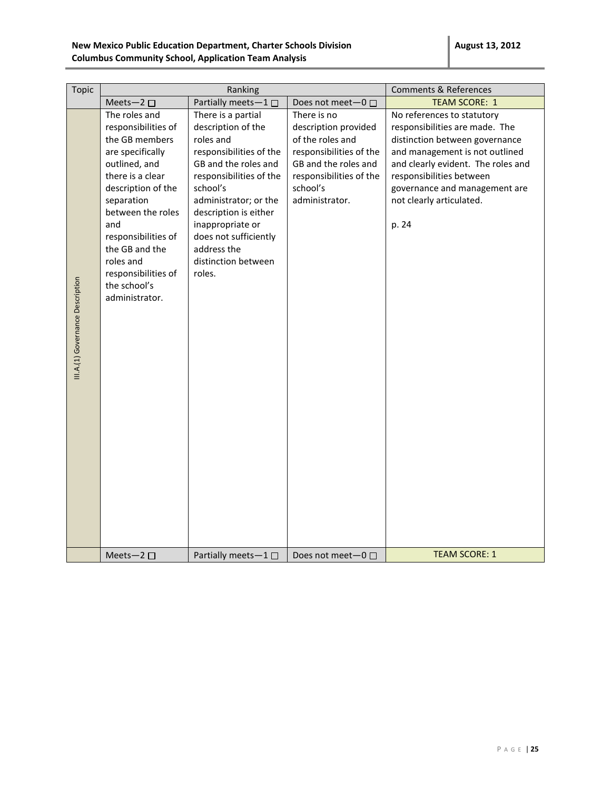| Topic                            | Ranking                                                                                                                                                                                                                                                                                        |                                                                                                                                                                                                                                                                                                | <b>Comments &amp; References</b>                                                                                                                                    |                                                                                                                                                                                                                                                                          |
|----------------------------------|------------------------------------------------------------------------------------------------------------------------------------------------------------------------------------------------------------------------------------------------------------------------------------------------|------------------------------------------------------------------------------------------------------------------------------------------------------------------------------------------------------------------------------------------------------------------------------------------------|---------------------------------------------------------------------------------------------------------------------------------------------------------------------|--------------------------------------------------------------------------------------------------------------------------------------------------------------------------------------------------------------------------------------------------------------------------|
|                                  | Meets-2 $\square$                                                                                                                                                                                                                                                                              | Partially meets-1 $\square$                                                                                                                                                                                                                                                                    | Does not meet- $0 \Box$                                                                                                                                             | <b>TEAM SCORE: 1</b>                                                                                                                                                                                                                                                     |
| III.A.(1) Governance Description | The roles and<br>responsibilities of<br>the GB members<br>are specifically<br>outlined, and<br>there is a clear<br>description of the<br>separation<br>between the roles<br>and<br>responsibilities of<br>the GB and the<br>roles and<br>responsibilities of<br>the school's<br>administrator. | There is a partial<br>description of the<br>roles and<br>responsibilities of the<br>GB and the roles and<br>responsibilities of the<br>school's<br>administrator; or the<br>description is either<br>inappropriate or<br>does not sufficiently<br>address the<br>distinction between<br>roles. | There is no<br>description provided<br>of the roles and<br>responsibilities of the<br>GB and the roles and<br>responsibilities of the<br>school's<br>administrator. | No references to statutory<br>responsibilities are made. The<br>distinction between governance<br>and management is not outlined<br>and clearly evident. The roles and<br>responsibilities between<br>governance and management are<br>not clearly articulated.<br>p. 24 |
|                                  | Meets-2 $\square$                                                                                                                                                                                                                                                                              | Partially meets $-1$ $\Box$                                                                                                                                                                                                                                                                    | Does not meet $-0$ $\Box$                                                                                                                                           | <b>TEAM SCORE: 1</b>                                                                                                                                                                                                                                                     |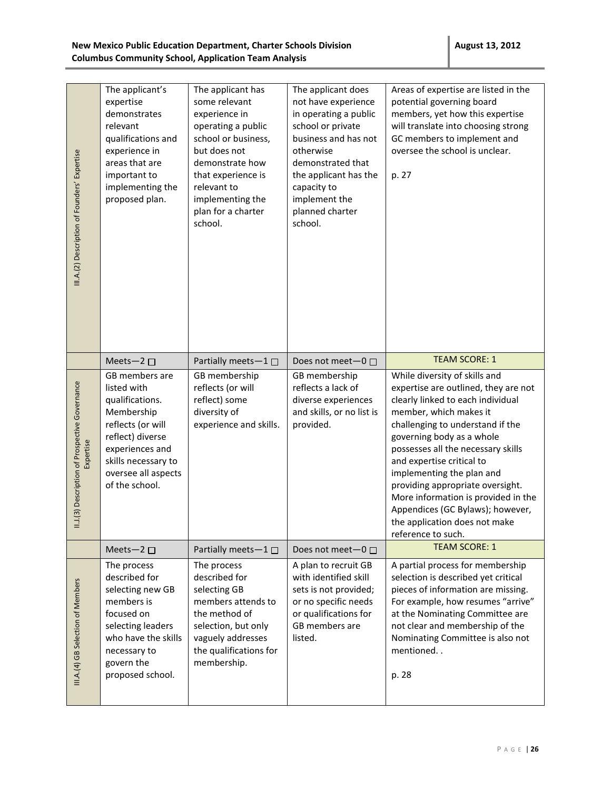| III.A.(2) Description of Founders' Expertise               | The applicant's<br>expertise<br>demonstrates<br>relevant<br>qualifications and<br>experience in<br>areas that are<br>important to<br>implementing the<br>proposed plan.                    | The applicant has<br>some relevant<br>experience in<br>operating a public<br>school or business,<br>but does not<br>demonstrate how<br>that experience is<br>relevant to<br>implementing the<br>plan for a charter<br>school. | The applicant does<br>not have experience<br>in operating a public<br>school or private<br>business and has not<br>otherwise<br>demonstrated that<br>the applicant has the<br>capacity to<br>implement the<br>planned charter<br>school. | Areas of expertise are listed in the<br>potential governing board<br>members, yet how this expertise<br>will translate into choosing strong<br>GC members to implement and<br>oversee the school is unclear.<br>p. 27                                                                                                                                                                                                                                                       |
|------------------------------------------------------------|--------------------------------------------------------------------------------------------------------------------------------------------------------------------------------------------|-------------------------------------------------------------------------------------------------------------------------------------------------------------------------------------------------------------------------------|------------------------------------------------------------------------------------------------------------------------------------------------------------------------------------------------------------------------------------------|-----------------------------------------------------------------------------------------------------------------------------------------------------------------------------------------------------------------------------------------------------------------------------------------------------------------------------------------------------------------------------------------------------------------------------------------------------------------------------|
|                                                            | Meets-2 $\square$                                                                                                                                                                          | Partially meets-1 $\square$                                                                                                                                                                                                   | Does not meet-0 □                                                                                                                                                                                                                        | <b>TEAM SCORE: 1</b>                                                                                                                                                                                                                                                                                                                                                                                                                                                        |
| II.1(3) Description of Prospective Governance<br>Expertise | GB members are<br>listed with<br>qualifications.<br>Membership<br>reflects (or will<br>reflect) diverse<br>experiences and<br>skills necessary to<br>oversee all aspects<br>of the school. | GB membership<br>reflects (or will<br>reflect) some<br>diversity of<br>experience and skills.                                                                                                                                 | GB membership<br>reflects a lack of<br>diverse experiences<br>and skills, or no list is<br>provided.                                                                                                                                     | While diversity of skills and<br>expertise are outlined, they are not<br>clearly linked to each individual<br>member, which makes it<br>challenging to understand if the<br>governing body as a whole<br>possesses all the necessary skills<br>and expertise critical to<br>implementing the plan and<br>providing appropriate oversight.<br>More information is provided in the<br>Appendices (GC Bylaws); however,<br>the application does not make<br>reference to such. |
|                                                            | Meets-2 $\square$                                                                                                                                                                          | Partially meets-1 □                                                                                                                                                                                                           | Does not meet-0 □                                                                                                                                                                                                                        | <b>TEAM SCORE: 1</b>                                                                                                                                                                                                                                                                                                                                                                                                                                                        |
| III.A.(4) GB Selection of Members                          | The process<br>described for<br>selecting new GB<br>members is<br>focused on<br>selecting leaders<br>who have the skills<br>necessary to<br>govern the<br>proposed school.                 | The process<br>described for<br>selecting GB<br>members attends to<br>the method of<br>selection, but only<br>vaguely addresses<br>the qualifications for<br>membership.                                                      | A plan to recruit GB<br>with identified skill<br>sets is not provided;<br>or no specific needs<br>or qualifications for<br>GB members are<br>listed.                                                                                     | A partial process for membership<br>selection is described yet critical<br>pieces of information are missing.<br>For example, how resumes "arrive"<br>at the Nominating Committee are<br>not clear and membership of the<br>Nominating Committee is also not<br>mentioned<br>p. 28                                                                                                                                                                                          |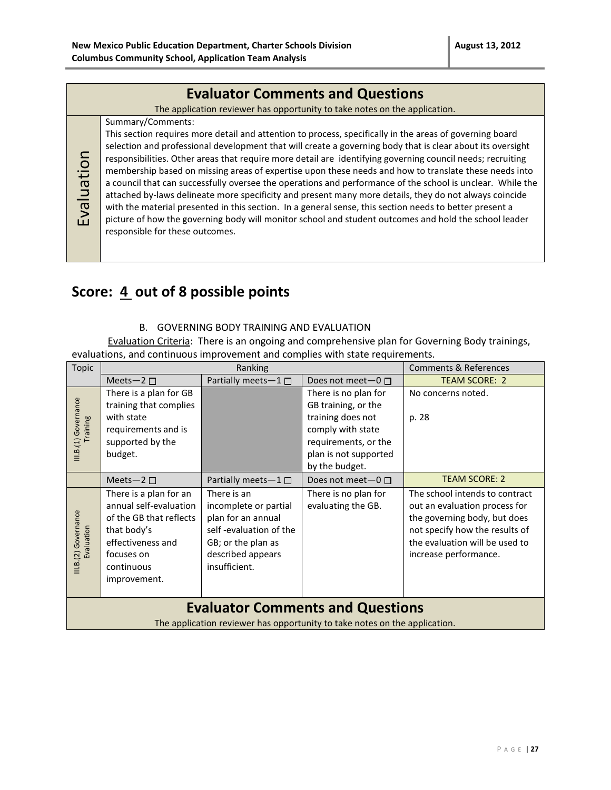### **Evaluator Comments and Questions**

The application reviewer has opportunity to take notes on the application.

#### Summary/Comments:

Evaluation

This section requires more detail and attention to process, specifically in the areas of governing board selection and professional development that will create a governing body that is clear about its oversight responsibilities. Other areas that require more detail are identifying governing council needs; recruiting membership based on missing areas of expertise upon these needs and how to translate these needs into a council that can successfully oversee the operations and performance of the school is unclear. While the attached by-laws delineate more specificity and present many more details, they do not always coincide with the material presented in this section. In a general sense, this section needs to better present a picture of how the governing body will monitor school and student outcomes and hold the school leader responsible for these outcomes.

### **Score: 4 out of 8 possible points**

#### B. GOVERNING BODY TRAINING AND EVALUATION

Evaluation Criteria: There is an ongoing and comprehensive plan for Governing Body trainings, evaluations, and continuous improvement and complies with state requirements.

| Meets-2 $\square$<br>There is a plan for GB                                                                                                                 | Partially meets-1□                                                                                                                               | Does not meet- $0 \Box$                                                                                                                                  | <b>TEAM SCORE: 2</b>                                                                                                                                                                         |
|-------------------------------------------------------------------------------------------------------------------------------------------------------------|--------------------------------------------------------------------------------------------------------------------------------------------------|----------------------------------------------------------------------------------------------------------------------------------------------------------|----------------------------------------------------------------------------------------------------------------------------------------------------------------------------------------------|
|                                                                                                                                                             |                                                                                                                                                  |                                                                                                                                                          |                                                                                                                                                                                              |
| with state<br>requirements and is<br>supported by the<br>budget.                                                                                            |                                                                                                                                                  | There is no plan for<br>GB training, or the<br>training does not<br>comply with state<br>requirements, or the<br>plan is not supported<br>by the budget. | No concerns noted.<br>p. 28                                                                                                                                                                  |
| Meets-2 $\square$                                                                                                                                           | Partially meets $-1 \Box$                                                                                                                        | Does not meet- $0 \Box$                                                                                                                                  | <b>TEAM SCORE: 2</b>                                                                                                                                                                         |
| There is a plan for an<br>annual self-evaluation<br>of the GB that reflects<br>that body's<br>effectiveness and<br>focuses on<br>continuous<br>improvement. | There is an<br>incomplete or partial<br>plan for an annual<br>self-evaluation of the<br>GB; or the plan as<br>described appears<br>insufficient. | There is no plan for<br>evaluating the GB.                                                                                                               | The school intends to contract<br>out an evaluation process for<br>the governing body, but does<br>not specify how the results of<br>the evaluation will be used to<br>increase performance. |
| <b>Evaluator Comments and Questions</b>                                                                                                                     |                                                                                                                                                  |                                                                                                                                                          |                                                                                                                                                                                              |
|                                                                                                                                                             | training that complies                                                                                                                           |                                                                                                                                                          | The application reviewer has opportunity to take notes on the application.                                                                                                                   |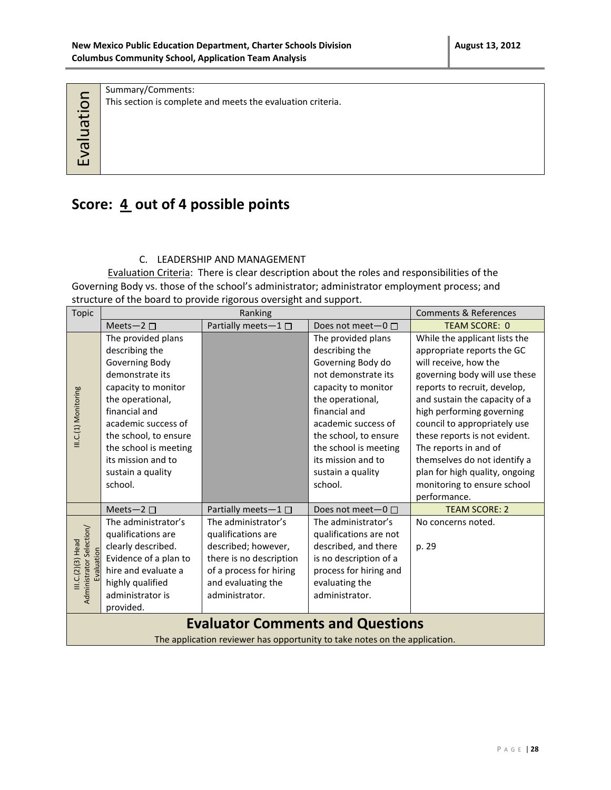|           | Summary/Comments:                                           |
|-----------|-------------------------------------------------------------|
|           | This section is complete and meets the evaluation criteria. |
|           |                                                             |
|           |                                                             |
|           |                                                             |
| valuation |                                                             |
|           |                                                             |
|           |                                                             |

## Score:  $\underline{4}$  out of 4 possible points

#### C. LEADERSHIP AND MANAGEMENT

Evaluation Criteria: There is clear description about the roles and responsibilities of the Governing Body vs. those of the school's administrator; administrator employment process; and structure of the board to provide rigorous oversight and support.

| <b>Topic</b>                                  | Ranking                                                                    |                                         |                         | <b>Comments &amp; References</b> |  |
|-----------------------------------------------|----------------------------------------------------------------------------|-----------------------------------------|-------------------------|----------------------------------|--|
|                                               | Meets-2 $\square$                                                          | Partially meets-1 $\square$             | Does not meet- $0 \Box$ | <b>TEAM SCORE: 0</b>             |  |
|                                               | The provided plans                                                         |                                         | The provided plans      | While the applicant lists the    |  |
|                                               | describing the                                                             |                                         | describing the          | appropriate reports the GC       |  |
|                                               | Governing Body                                                             |                                         | Governing Body do       | will receive, how the            |  |
|                                               | demonstrate its                                                            |                                         | not demonstrate its     | governing body will use these    |  |
|                                               | capacity to monitor                                                        |                                         | capacity to monitor     | reports to recruit, develop,     |  |
|                                               | the operational,                                                           |                                         | the operational,        | and sustain the capacity of a    |  |
|                                               | financial and                                                              |                                         | financial and           | high performing governing        |  |
| III.C.(1) Monitoring                          | academic success of                                                        |                                         | academic success of     | council to appropriately use     |  |
|                                               | the school, to ensure                                                      |                                         | the school, to ensure   | these reports is not evident.    |  |
|                                               | the school is meeting                                                      |                                         | the school is meeting   | The reports in and of            |  |
|                                               | its mission and to                                                         |                                         | its mission and to      | themselves do not identify a     |  |
|                                               | sustain a quality                                                          |                                         | sustain a quality       | plan for high quality, ongoing   |  |
|                                               | school.                                                                    |                                         | school.                 | monitoring to ensure school      |  |
|                                               |                                                                            |                                         |                         | performance.                     |  |
|                                               | Meets-2 $\square$                                                          | Partially meets-1 □                     | Does not meet- $0 \Box$ | <b>TEAM SCORE: 2</b>             |  |
|                                               | The administrator's                                                        | The administrator's                     | The administrator's     | No concerns noted.               |  |
|                                               | qualifications are                                                         | qualifications are                      | qualifications are not  |                                  |  |
| Administrator Selection/<br>III.C.(2)(3) Head | clearly described.                                                         | described; however,                     | described, and there    | p. 29                            |  |
| Evaluation                                    | Evidence of a plan to                                                      | there is no description                 | is no description of a  |                                  |  |
|                                               | hire and evaluate a                                                        | of a process for hiring                 | process for hiring and  |                                  |  |
|                                               | highly qualified                                                           | and evaluating the                      | evaluating the          |                                  |  |
|                                               | administrator is                                                           | administrator.                          | administrator.          |                                  |  |
|                                               | provided.                                                                  |                                         |                         |                                  |  |
|                                               |                                                                            | <b>Evaluator Comments and Questions</b> |                         |                                  |  |
|                                               | The application reviewer has opportunity to take notes on the application. |                                         |                         |                                  |  |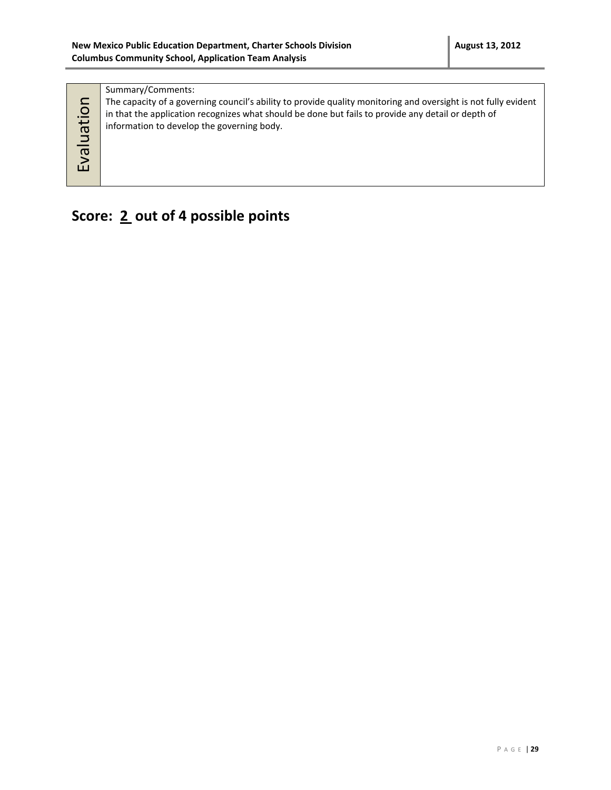| <u>ୁ</u><br>$\vec{a}$<br>ξQ | Summary/Comments:<br>The capacity of a governing council's ability to provide quality monitoring and oversight is not fully evident<br>in that the application recognizes what should be done but fails to provide any detail or depth of<br>information to develop the governing body. |
|-----------------------------|-----------------------------------------------------------------------------------------------------------------------------------------------------------------------------------------------------------------------------------------------------------------------------------------|
|-----------------------------|-----------------------------------------------------------------------------------------------------------------------------------------------------------------------------------------------------------------------------------------------------------------------------------------|

## **Score: 2 out of 4 possible points**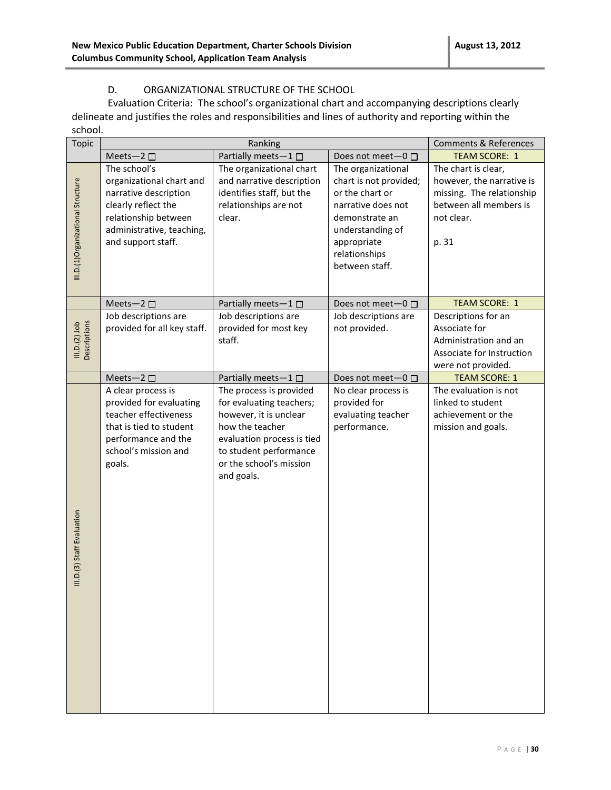#### D. ORGANIZATIONAL STRUCTURE OF THE SCHOOL

Evaluation Criteria: The school's organizational chart and accompanying descriptions clearly delineate and justifies the roles and responsibilities and lines of authority and reporting within the school.

| <b>Topic</b>                      | Ranking                                                                                                                                                             |                                                                                                                                                                                                   |                                                                                                                                                                               | <b>Comments &amp; References</b>                                                                                               |
|-----------------------------------|---------------------------------------------------------------------------------------------------------------------------------------------------------------------|---------------------------------------------------------------------------------------------------------------------------------------------------------------------------------------------------|-------------------------------------------------------------------------------------------------------------------------------------------------------------------------------|--------------------------------------------------------------------------------------------------------------------------------|
|                                   | Meets-2 $\square$                                                                                                                                                   | Partially meets-1                                                                                                                                                                                 | Does not meet $-0$ $\Box$                                                                                                                                                     | <b>TEAM SCORE: 1</b>                                                                                                           |
| III.D.(1)Organizational Structure | The school's<br>organizational chart and<br>narrative description<br>clearly reflect the<br>relationship between<br>administrative, teaching,<br>and support staff. | The organizational chart<br>and narrative description<br>identifies staff, but the<br>relationships are not<br>clear.                                                                             | The organizational<br>chart is not provided;<br>or the chart or<br>narrative does not<br>demonstrate an<br>understanding of<br>appropriate<br>relationships<br>between staff. | The chart is clear,<br>however, the narrative is<br>missing. The relationship<br>between all members is<br>not clear.<br>p. 31 |
|                                   | Meets-2 $\square$                                                                                                                                                   | Partially meets $-1$ $\Box$                                                                                                                                                                       | Does not meet-0 □                                                                                                                                                             | <b>TEAM SCORE: 1</b>                                                                                                           |
| Descriptions<br>III.D.(2) Job     | Job descriptions are<br>provided for all key staff.                                                                                                                 | Job descriptions are<br>provided for most key<br>staff.                                                                                                                                           | Job descriptions are<br>not provided.                                                                                                                                         | Descriptions for an<br>Associate for<br>Administration and an<br>Associate for Instruction<br>were not provided.               |
|                                   | Meets-2 $\square$                                                                                                                                                   | Partially meets-1                                                                                                                                                                                 | Does not meet-0 □                                                                                                                                                             | <b>TEAM SCORE: 1</b>                                                                                                           |
| III.D.(3) Staff Evaluation        | A clear process is<br>provided for evaluating<br>teacher effectiveness<br>that is tied to student<br>performance and the<br>school's mission and<br>goals.          | The process is provided<br>for evaluating teachers;<br>however, it is unclear<br>how the teacher<br>evaluation process is tied<br>to student performance<br>or the school's mission<br>and goals. | No clear process is<br>provided for<br>evaluating teacher<br>performance.                                                                                                     | The evaluation is not<br>linked to student<br>achievement or the<br>mission and goals.                                         |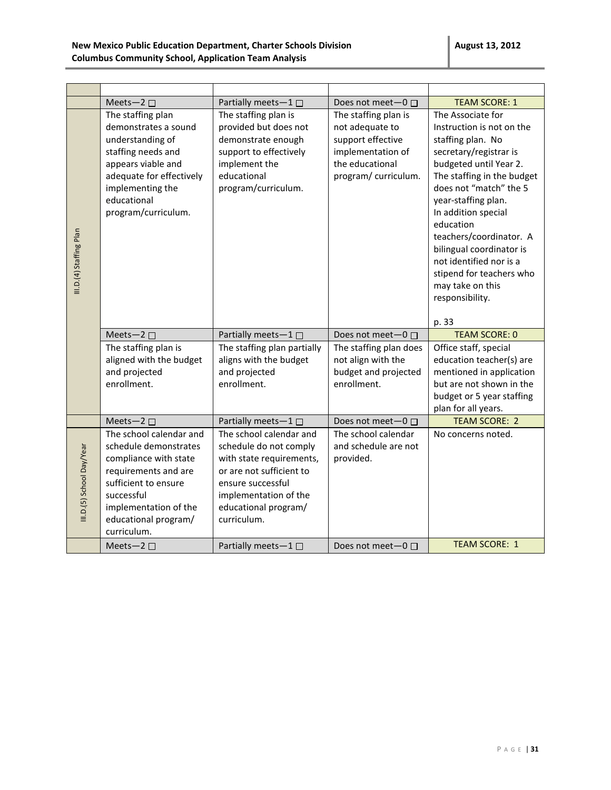|                           | Meets-2 $\square$                                                                                                                                                                                       | Partially meets-1 $\square$                                                                                                                                                                    | Does not meet-0 □                                                                                                            | <b>TEAM SCORE: 1</b>                                                                                                                                                                                                                                                                                                                                                                                     |
|---------------------------|---------------------------------------------------------------------------------------------------------------------------------------------------------------------------------------------------------|------------------------------------------------------------------------------------------------------------------------------------------------------------------------------------------------|------------------------------------------------------------------------------------------------------------------------------|----------------------------------------------------------------------------------------------------------------------------------------------------------------------------------------------------------------------------------------------------------------------------------------------------------------------------------------------------------------------------------------------------------|
| III.D.(4) Staffing Plan   | The staffing plan<br>demonstrates a sound<br>understanding of<br>staffing needs and<br>appears viable and<br>adequate for effectively<br>implementing the<br>educational<br>program/curriculum.         | The staffing plan is<br>provided but does not<br>demonstrate enough<br>support to effectively<br>implement the<br>educational<br>program/curriculum.                                           | The staffing plan is<br>not adequate to<br>support effective<br>implementation of<br>the educational<br>program/ curriculum. | The Associate for<br>Instruction is not on the<br>staffing plan. No<br>secretary/registrar is<br>budgeted until Year 2.<br>The staffing in the budget<br>does not "match" the 5<br>year-staffing plan.<br>In addition special<br>education<br>teachers/coordinator. A<br>bilingual coordinator is<br>not identified nor is a<br>stipend for teachers who<br>may take on this<br>responsibility.<br>p. 33 |
|                           | Meets-2 □<br>The staffing plan is<br>aligned with the budget<br>and projected<br>enrollment.                                                                                                            | Partially meets-1 $\square$<br>The staffing plan partially<br>aligns with the budget<br>and projected<br>enrollment.                                                                           | Does not meet-0 □<br>The staffing plan does<br>not align with the<br>budget and projected<br>enrollment.                     | <b>TEAM SCORE: 0</b><br>Office staff, special<br>education teacher(s) are<br>mentioned in application<br>but are not shown in the<br>budget or 5 year staffing<br>plan for all years.                                                                                                                                                                                                                    |
|                           | Meets-2 $\square$                                                                                                                                                                                       | Partially meets-1□                                                                                                                                                                             | Does not meet-0 □                                                                                                            | <b>TEAM SCORE: 2</b>                                                                                                                                                                                                                                                                                                                                                                                     |
| III.D.(5) School Day/Year | The school calendar and<br>schedule demonstrates<br>compliance with state<br>requirements and are<br>sufficient to ensure<br>successful<br>implementation of the<br>educational program/<br>curriculum. | The school calendar and<br>schedule do not comply<br>with state requirements,<br>or are not sufficient to<br>ensure successful<br>implementation of the<br>educational program/<br>curriculum. | The school calendar<br>and schedule are not<br>provided.                                                                     | No concerns noted.                                                                                                                                                                                                                                                                                                                                                                                       |
|                           | Meets-2 $\square$                                                                                                                                                                                       | Partially meets-1 $\Box$                                                                                                                                                                       | Does not meet $-0$ $\Box$                                                                                                    | <b>TEAM SCORE: 1</b>                                                                                                                                                                                                                                                                                                                                                                                     |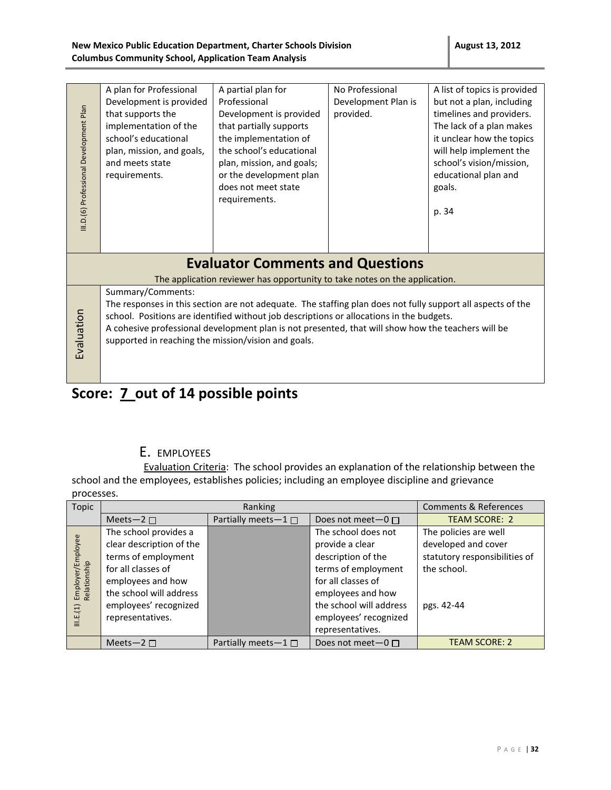#### **New Mexico Public Education Department, Charter Schools Division Columbus Community School, Application Team Analysis**

|                                         | A plan for Professional                             | A partial plan for                                                                                          | No Professional     | A list of topics is provided |
|-----------------------------------------|-----------------------------------------------------|-------------------------------------------------------------------------------------------------------------|---------------------|------------------------------|
|                                         | Development is provided                             | Professional                                                                                                | Development Plan is | but not a plan, including    |
|                                         | that supports the                                   | Development is provided                                                                                     | provided.           | timelines and providers.     |
|                                         | implementation of the                               | that partially supports                                                                                     |                     | The lack of a plan makes     |
|                                         | school's educational                                | the implementation of                                                                                       |                     | it unclear how the topics    |
|                                         | plan, mission, and goals,                           | the school's educational                                                                                    |                     | will help implement the      |
|                                         | and meets state                                     | plan, mission, and goals;                                                                                   |                     | school's vision/mission,     |
|                                         | requirements.                                       | or the development plan                                                                                     |                     | educational plan and         |
|                                         |                                                     | does not meet state                                                                                         |                     | goals.                       |
|                                         |                                                     | requirements.                                                                                               |                     |                              |
|                                         |                                                     |                                                                                                             |                     | p. 34                        |
| III.D.(6) Professional Development Plan |                                                     |                                                                                                             |                     |                              |
|                                         |                                                     |                                                                                                             |                     |                              |
|                                         |                                                     |                                                                                                             |                     |                              |
|                                         |                                                     | <b>Evaluator Comments and Questions</b>                                                                     |                     |                              |
|                                         |                                                     | The application reviewer has opportunity to take notes on the application.                                  |                     |                              |
|                                         |                                                     |                                                                                                             |                     |                              |
|                                         | Summary/Comments:                                   |                                                                                                             |                     |                              |
|                                         |                                                     | The responses in this section are not adequate. The staffing plan does not fully support all aspects of the |                     |                              |
|                                         |                                                     | school. Positions are identified without job descriptions or allocations in the budgets.                    |                     |                              |
|                                         |                                                     | A cohesive professional development plan is not presented, that will show how the teachers will be          |                     |                              |
| Evaluation                              | supported in reaching the mission/vision and goals. |                                                                                                             |                     |                              |
|                                         |                                                     |                                                                                                             |                     |                              |
|                                         |                                                     |                                                                                                             |                     |                              |
|                                         |                                                     |                                                                                                             |                     |                              |

# Score: **7\_out of 14 possible points**

### E. EMPLOYEES

Evaluation Criteria: The school provides an explanation of the relationship between the school and the employees, establishes policies; including an employee discipline and grievance processes.

| Topic                                          |                                                                                                                                                                                             | Ranking                   |                                                                                                                                                                                    | <b>Comments &amp; References</b>                                                                           |
|------------------------------------------------|---------------------------------------------------------------------------------------------------------------------------------------------------------------------------------------------|---------------------------|------------------------------------------------------------------------------------------------------------------------------------------------------------------------------------|------------------------------------------------------------------------------------------------------------|
|                                                | Meets-2 $\Box$                                                                                                                                                                              | Partially meets- $1 \Box$ | Does not meet $-0$ $\Box$                                                                                                                                                          | <b>TEAM SCORE: 2</b>                                                                                       |
| Employer/Employee<br>Relationship<br>III.E.(1) | The school provides a<br>clear description of the<br>terms of employment<br>for all classes of<br>employees and how<br>the school will address<br>employees' recognized<br>representatives. |                           | The school does not<br>provide a clear<br>description of the<br>terms of employment<br>for all classes of<br>employees and how<br>the school will address<br>employees' recognized | The policies are well<br>developed and cover<br>statutory responsibilities of<br>the school.<br>pgs. 42-44 |
|                                                |                                                                                                                                                                                             |                           | representatives.                                                                                                                                                                   |                                                                                                            |
|                                                | Meets-2 $\Box$                                                                                                                                                                              | Partially meets $-1 \Box$ | Does not meet $-0$ $\Box$                                                                                                                                                          | <b>TEAM SCORE: 2</b>                                                                                       |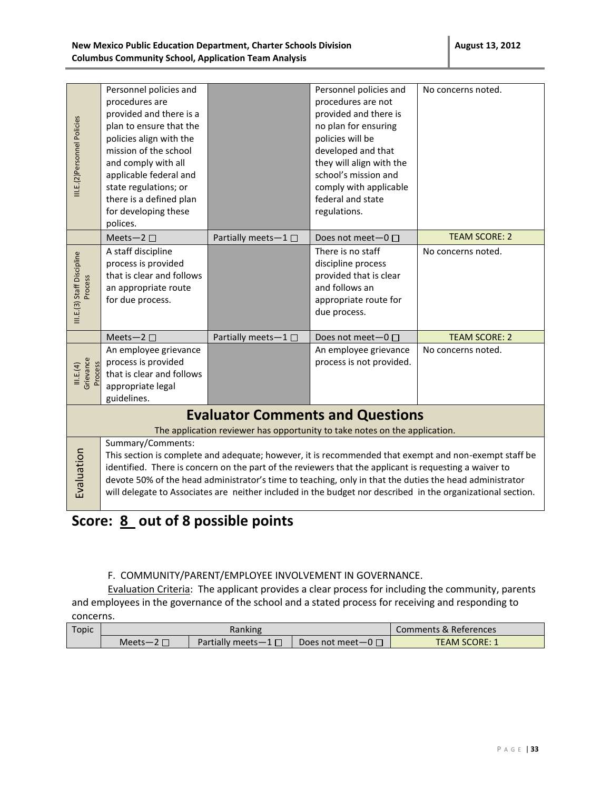| III.E.(2)Personnel Policies           | Personnel policies and<br>procedures are<br>provided and there is a<br>plan to ensure that the<br>policies align with the<br>mission of the school<br>and comply with all<br>applicable federal and<br>state regulations; or<br>there is a defined plan                                                                                                                                                                                                                                                                                      |                   | Personnel policies and<br>procedures are not<br>provided and there is<br>no plan for ensuring<br>policies will be<br>developed and that<br>they will align with the<br>school's mission and<br>comply with applicable<br>federal and state | No concerns noted.   |
|---------------------------------------|----------------------------------------------------------------------------------------------------------------------------------------------------------------------------------------------------------------------------------------------------------------------------------------------------------------------------------------------------------------------------------------------------------------------------------------------------------------------------------------------------------------------------------------------|-------------------|--------------------------------------------------------------------------------------------------------------------------------------------------------------------------------------------------------------------------------------------|----------------------|
|                                       | for developing these<br>polices.                                                                                                                                                                                                                                                                                                                                                                                                                                                                                                             |                   | regulations.                                                                                                                                                                                                                               |                      |
|                                       | Meets-2 $\square$                                                                                                                                                                                                                                                                                                                                                                                                                                                                                                                            | Partially meets-1 | Does not meet $-0$ $\Box$                                                                                                                                                                                                                  | <b>TEAM SCORE: 2</b> |
| III.E.(3) Staff Discipline<br>Process | A staff discipline<br>process is provided<br>that is clear and follows<br>an appropriate route<br>for due process.                                                                                                                                                                                                                                                                                                                                                                                                                           |                   | There is no staff<br>discipline process<br>provided that is clear<br>and follows an<br>appropriate route for<br>due process.                                                                                                               | No concerns noted.   |
|                                       | Meets-2 $\square$                                                                                                                                                                                                                                                                                                                                                                                                                                                                                                                            | Partially meets-1 | Does not meet $-0$ $\Box$                                                                                                                                                                                                                  | <b>TEAM SCORE: 2</b> |
| Grievance<br>Process<br>III.E.(4)     | An employee grievance<br>process is provided<br>that is clear and follows<br>appropriate legal<br>guidelines.                                                                                                                                                                                                                                                                                                                                                                                                                                |                   | An employee grievance<br>process is not provided.                                                                                                                                                                                          | No concerns noted.   |
|                                       |                                                                                                                                                                                                                                                                                                                                                                                                                                                                                                                                              |                   | <b>Evaluator Comments and Questions</b>                                                                                                                                                                                                    |                      |
| Evaluation                            | The application reviewer has opportunity to take notes on the application.<br>Summary/Comments:<br>This section is complete and adequate; however, it is recommended that exempt and non-exempt staff be<br>identified. There is concern on the part of the reviewers that the applicant is requesting a waiver to<br>devote 50% of the head administrator's time to teaching, only in that the duties the head administrator<br>will delegate to Associates are neither included in the budget nor described in the organizational section. |                   |                                                                                                                                                                                                                                            |                      |

## Score: 8 out of 8 possible points

#### F.COMMUNITY/PARENT/EMPLOYEE INVOLVEMENT IN GOVERNANCE.

Evaluation Criteria: The applicant provides a clear process for including the community, parents and employees in the governance of the school and a stated process for receiving and responding to concerns.

| Topic | Ranking  |                           |                        | Comments & References |
|-------|----------|---------------------------|------------------------|-----------------------|
|       | $Meets-$ | Partially meets $-1 \Box$ | Does not meet—0 $\Box$ | <b>TEAM SCORE: 1</b>  |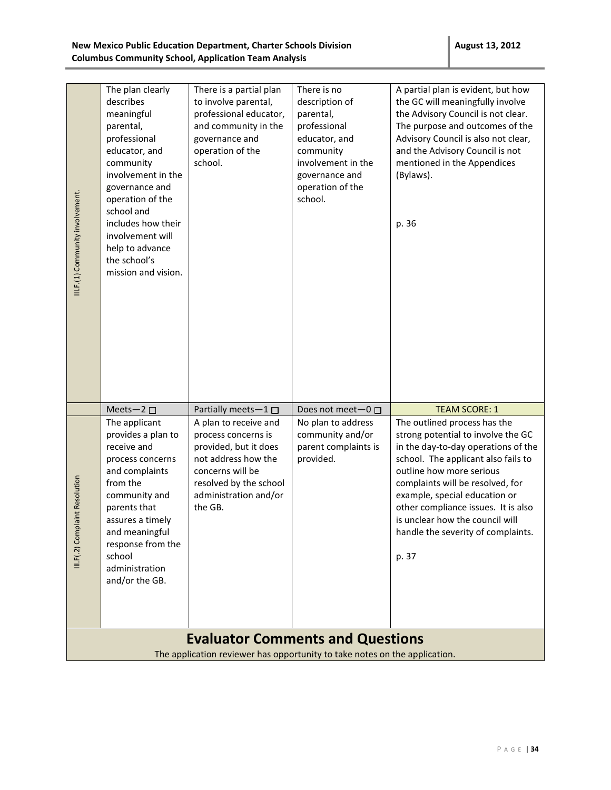|                                  | The plan clearly<br>describes<br>meaningful | There is a partial plan<br>to involve parental,<br>professional educator,                                             | There is no<br>description of<br>parental, | A partial plan is evident, but how<br>the GC will meaningfully involve<br>the Advisory Council is not clear. |
|----------------------------------|---------------------------------------------|-----------------------------------------------------------------------------------------------------------------------|--------------------------------------------|--------------------------------------------------------------------------------------------------------------|
|                                  | parental,<br>professional                   | and community in the<br>governance and                                                                                | professional<br>educator, and              | The purpose and outcomes of the<br>Advisory Council is also not clear,                                       |
|                                  | educator, and                               | operation of the<br>school.                                                                                           | community<br>involvement in the            | and the Advisory Council is not                                                                              |
|                                  | community<br>involvement in the             |                                                                                                                       | governance and                             | mentioned in the Appendices<br>(Bylaws).                                                                     |
|                                  | governance and<br>operation of the          |                                                                                                                       | operation of the<br>school.                |                                                                                                              |
|                                  | school and<br>includes how their            |                                                                                                                       |                                            | p. 36                                                                                                        |
|                                  | involvement will                            |                                                                                                                       |                                            |                                                                                                              |
|                                  | help to advance<br>the school's             |                                                                                                                       |                                            |                                                                                                              |
| III.F.(1) Community involvement. | mission and vision.                         |                                                                                                                       |                                            |                                                                                                              |
|                                  |                                             |                                                                                                                       |                                            |                                                                                                              |
|                                  |                                             |                                                                                                                       |                                            |                                                                                                              |
|                                  |                                             |                                                                                                                       |                                            |                                                                                                              |
|                                  |                                             |                                                                                                                       |                                            |                                                                                                              |
|                                  |                                             |                                                                                                                       |                                            |                                                                                                              |
|                                  | Meets-2 $\square$                           | Partially meets-1                                                                                                     | Does not meet-0 □                          | <b>TEAM SCORE: 1</b>                                                                                         |
|                                  | The applicant<br>provides a plan to         | A plan to receive and<br>process concerns is                                                                          | No plan to address<br>community and/or     | The outlined process has the<br>strong potential to involve the GC                                           |
|                                  | receive and<br>process concerns             | provided, but it does<br>not address how the                                                                          | parent complaints is<br>provided.          | in the day-to-day operations of the<br>school. The applicant also fails to                                   |
|                                  | and complaints                              | concerns will be                                                                                                      |                                            | outline how more serious                                                                                     |
|                                  | from the<br>community and                   | resolved by the school<br>administration and/or                                                                       |                                            | complaints will be resolved, for<br>example, special education or                                            |
| laint Resolution                 | parents that                                | the GB.                                                                                                               |                                            | other compliance issues. It is also<br>is unclear how the council will                                       |
|                                  |                                             |                                                                                                                       |                                            |                                                                                                              |
|                                  | assures a timely<br>and meaningful          |                                                                                                                       |                                            | handle the severity of complaints.                                                                           |
|                                  | response from the<br>school                 |                                                                                                                       |                                            | p. 37                                                                                                        |
| III.F(.2) Comp                   | administration<br>and/or the GB.            |                                                                                                                       |                                            |                                                                                                              |
|                                  |                                             |                                                                                                                       |                                            |                                                                                                              |
|                                  |                                             |                                                                                                                       |                                            |                                                                                                              |
|                                  |                                             | <b>Evaluator Comments and Questions</b><br>The application reviewer has opportunity to take notes on the application. |                                            |                                                                                                              |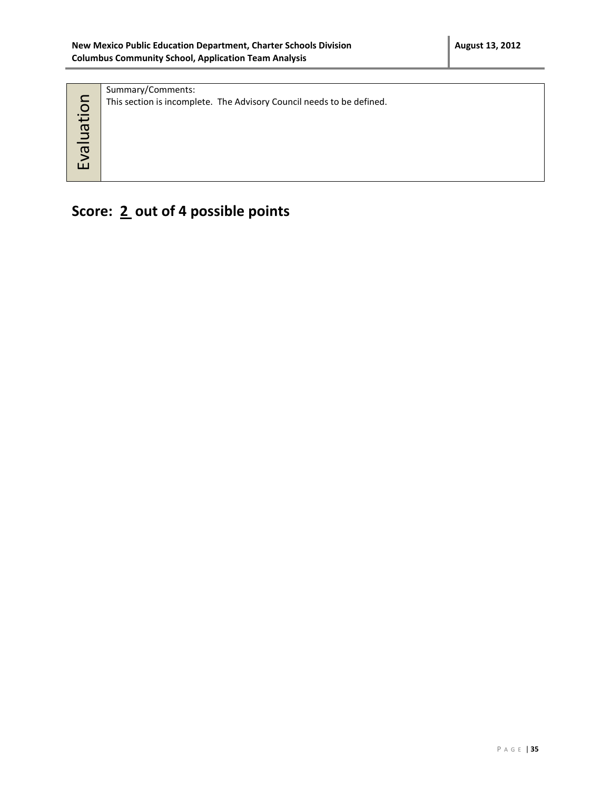| nation<br>$\Rightarrow$<br>le^∃ | Summary/Comments:<br>This section is incomplete. The Advisory Council needs to be defined. |
|---------------------------------|--------------------------------------------------------------------------------------------|
|                                 |                                                                                            |

**Score: 2 out of 4 possible points**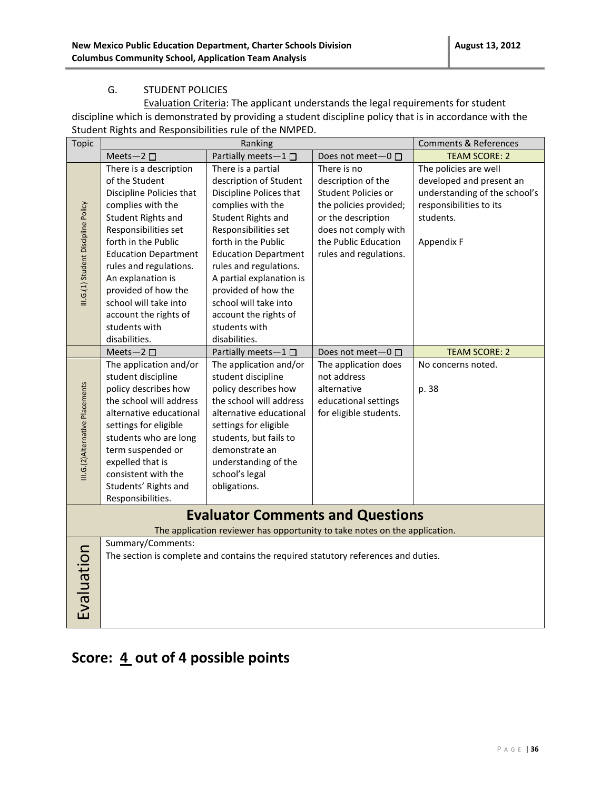#### G. STUDENT POLICIES

Evaluation Criteria: The applicant understands the legal requirements for student discipline which is demonstrated by providing a student discipline policy that is in accordance with the Student Rights and Responsibilities rule of the NMPED.

| <b>Topic</b>                        | Ranking                     |                                                                                    |                           | <b>Comments &amp; References</b> |
|-------------------------------------|-----------------------------|------------------------------------------------------------------------------------|---------------------------|----------------------------------|
|                                     | Meets-2 $\square$           | Partially meets-1 $\square$                                                        | Does not meet $-0$ $\Box$ | <b>TEAM SCORE: 2</b>             |
|                                     | There is a description      | There is a partial                                                                 | There is no               | The policies are well            |
|                                     | of the Student              | description of Student                                                             | description of the        | developed and present an         |
|                                     | Discipline Policies that    | Discipline Polices that                                                            | Student Policies or       | understanding of the school's    |
|                                     | complies with the           | complies with the                                                                  | the policies provided;    | responsibilities to its          |
|                                     | Student Rights and          | Student Rights and                                                                 | or the description        | students.                        |
| III.G.(1) Student Discipline Policy | Responsibilities set        | Responsibilities set                                                               | does not comply with      |                                  |
|                                     | forth in the Public         | forth in the Public                                                                | the Public Education      | Appendix F                       |
|                                     | <b>Education Department</b> | <b>Education Department</b>                                                        | rules and regulations.    |                                  |
|                                     | rules and regulations.      | rules and regulations.                                                             |                           |                                  |
|                                     | An explanation is           | A partial explanation is                                                           |                           |                                  |
|                                     | provided of how the         | provided of how the                                                                |                           |                                  |
|                                     | school will take into       | school will take into                                                              |                           |                                  |
|                                     | account the rights of       | account the rights of                                                              |                           |                                  |
|                                     | students with               | students with                                                                      |                           |                                  |
|                                     | disabilities.               | disabilities.                                                                      |                           |                                  |
|                                     | Meets-2 $\square$           | Partially meets-1 $\square$                                                        | Does not meet-0 □         | <b>TEAM SCORE: 2</b>             |
|                                     | The application and/or      | The application and/or                                                             | The application does      | No concerns noted.               |
|                                     | student discipline          | student discipline                                                                 | not address               |                                  |
| III.G.(2)Alternative Placements     | policy describes how        | policy describes how                                                               | alternative               | p. 38                            |
|                                     | the school will address     | the school will address                                                            | educational settings      |                                  |
|                                     | alternative educational     | alternative educational                                                            | for eligible students.    |                                  |
|                                     | settings for eligible       | settings for eligible                                                              |                           |                                  |
|                                     | students who are long       | students, but fails to                                                             |                           |                                  |
|                                     | term suspended or           | demonstrate an                                                                     |                           |                                  |
|                                     | expelled that is            | understanding of the                                                               |                           |                                  |
|                                     | consistent with the         | school's legal                                                                     |                           |                                  |
|                                     | Students' Rights and        | obligations.                                                                       |                           |                                  |
|                                     | Responsibilities.           |                                                                                    |                           |                                  |
|                                     |                             | <b>Evaluator Comments and Questions</b>                                            |                           |                                  |
|                                     |                             | The application reviewer has opportunity to take notes on the application.         |                           |                                  |
|                                     | Summary/Comments:           |                                                                                    |                           |                                  |
|                                     |                             | The section is complete and contains the required statutory references and duties. |                           |                                  |
|                                     |                             |                                                                                    |                           |                                  |
|                                     |                             |                                                                                    |                           |                                  |
|                                     |                             |                                                                                    |                           |                                  |
|                                     |                             |                                                                                    |                           |                                  |
| Evaluation                          |                             |                                                                                    |                           |                                  |
|                                     |                             |                                                                                    |                           |                                  |

# Score:  $\underline{4}$  out of 4 possible points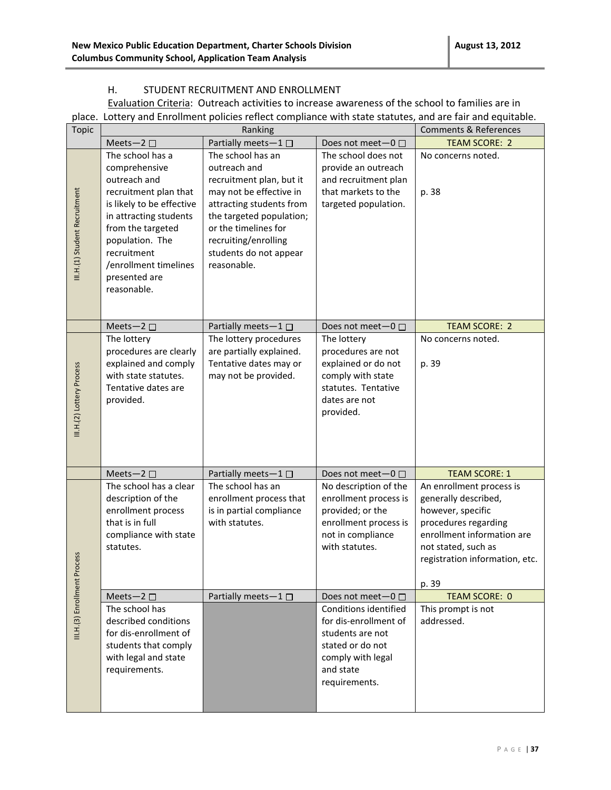#### H. STUDENT RECRUITMENT AND ENROLLMENT

Evaluation Criteria: Outreach activities to increase awareness of the school to families are in place. Lottery and Enrollment policies reflect compliance with state statutes, and are fair and equitable.

| <b>Topic</b>                  |                                                                                                                                                                                                                                                   | Ranking                                                                                                                                                                                                                                   |                                                                                                                                           | <b>Comments &amp; References</b>                                                                                                                                                              |
|-------------------------------|---------------------------------------------------------------------------------------------------------------------------------------------------------------------------------------------------------------------------------------------------|-------------------------------------------------------------------------------------------------------------------------------------------------------------------------------------------------------------------------------------------|-------------------------------------------------------------------------------------------------------------------------------------------|-----------------------------------------------------------------------------------------------------------------------------------------------------------------------------------------------|
|                               | Meets-2 $\square$                                                                                                                                                                                                                                 | Partially meets-1 $\square$                                                                                                                                                                                                               | Does not meet $-0$ $\Box$                                                                                                                 | <b>TEAM SCORE: 2</b>                                                                                                                                                                          |
| III.H.(1) Student Recruitment | The school has a<br>comprehensive<br>outreach and<br>recruitment plan that<br>is likely to be effective<br>in attracting students<br>from the targeted<br>population. The<br>recruitment<br>/enrollment timelines<br>presented are<br>reasonable. | The school has an<br>outreach and<br>recruitment plan, but it<br>may not be effective in<br>attracting students from<br>the targeted population;<br>or the timelines for<br>recruiting/enrolling<br>students do not appear<br>reasonable. | The school does not<br>provide an outreach<br>and recruitment plan<br>that markets to the<br>targeted population.                         | No concerns noted.<br>p. 38                                                                                                                                                                   |
|                               | Meets-2 $\square$                                                                                                                                                                                                                                 | Partially meets-1□                                                                                                                                                                                                                        | Does not meet-0 □                                                                                                                         | <b>TEAM SCORE: 2</b>                                                                                                                                                                          |
| III.H.(2) Lottery Process     | The lottery<br>procedures are clearly<br>explained and comply<br>with state statutes.<br>Tentative dates are<br>provided.                                                                                                                         | The lottery procedures<br>are partially explained.<br>Tentative dates may or<br>may not be provided.                                                                                                                                      | The lottery<br>procedures are not<br>explained or do not<br>comply with state<br>statutes. Tentative<br>dates are not<br>provided.        | No concerns noted.<br>p. 39                                                                                                                                                                   |
|                               | Meets-2 $\square$                                                                                                                                                                                                                                 | Partially meets-1□                                                                                                                                                                                                                        | Does not meet-0 □                                                                                                                         | <b>TEAM SCORE: 1</b>                                                                                                                                                                          |
|                               | The school has a clear<br>description of the<br>enrollment process<br>that is in full<br>compliance with state<br>statutes.                                                                                                                       | The school has an<br>enrollment process that<br>is in partial compliance<br>with statutes.                                                                                                                                                | No description of the<br>enrollment process is<br>provided; or the<br>enrollment process is<br>not in compliance<br>with statutes.        | An enrollment process is<br>generally described,<br>however, specific<br>procedures regarding<br>enrollment information are<br>not stated, such as<br>registration information, etc.<br>p. 39 |
|                               | Meets-2 $\square$                                                                                                                                                                                                                                 | Partially meets-1 □                                                                                                                                                                                                                       | Does not meet-0 □                                                                                                                         | <b>TEAM SCORE: 0</b>                                                                                                                                                                          |
| III.H.(3) Enrollment Process  | The school has<br>described conditions<br>for dis-enrollment of<br>students that comply<br>with legal and state<br>requirements.                                                                                                                  |                                                                                                                                                                                                                                           | Conditions identified<br>for dis-enrollment of<br>students are not<br>stated or do not<br>comply with legal<br>and state<br>requirements. | This prompt is not<br>addressed.                                                                                                                                                              |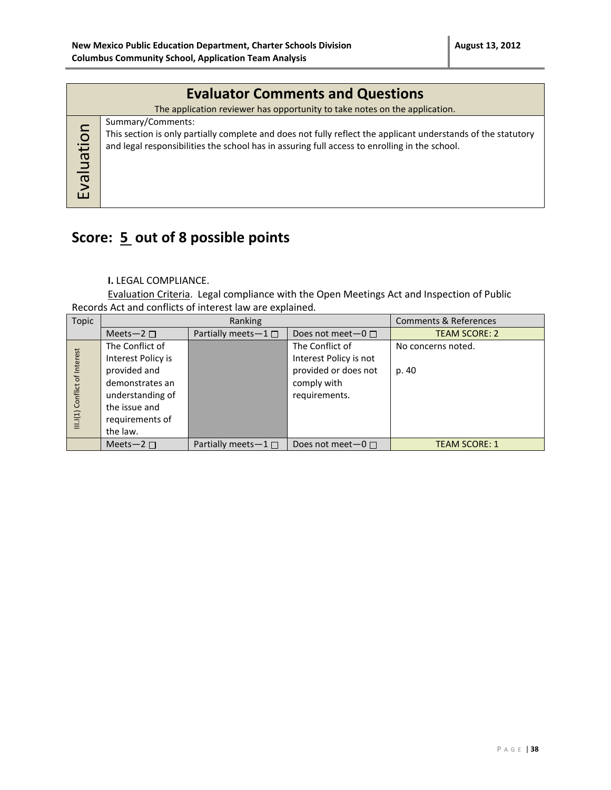|            | <b>Evaluator Comments and Questions</b>                                                                                                                                                                                             |  |  |  |  |
|------------|-------------------------------------------------------------------------------------------------------------------------------------------------------------------------------------------------------------------------------------|--|--|--|--|
|            | The application reviewer has opportunity to take notes on the application.                                                                                                                                                          |  |  |  |  |
| Evaluation | Summary/Comments:<br>This section is only partially complete and does not fully reflect the applicant understands of the statutory<br>and legal responsibilities the school has in assuring full access to enrolling in the school. |  |  |  |  |

## **Score: 5 out of 8 possible points**

#### **I.** LEGAL COMPLIANCE.

Evaluation Criteria. Legal compliance with the Open Meetings Act and Inspection of Public Records Act and conflicts of interest law are explained.

| Topic                         | Ranking                                                                                                                                      |                           |                                                                                                   | <b>Comments &amp; References</b> |
|-------------------------------|----------------------------------------------------------------------------------------------------------------------------------------------|---------------------------|---------------------------------------------------------------------------------------------------|----------------------------------|
|                               | Meets-2 $\Box$                                                                                                                               | Partially meets $-1 \Box$ | Does not meet $-0$ $\Box$                                                                         | <b>TEAM SCORE: 2</b>             |
| III.I(1) Conflict of Interest | The Conflict of<br>Interest Policy is<br>provided and<br>demonstrates an<br>understanding of<br>the issue and<br>requirements of<br>the law. |                           | The Conflict of<br>Interest Policy is not<br>provided or does not<br>comply with<br>requirements. | No concerns noted.<br>p. 40      |
|                               | Meets-2 $\Box$                                                                                                                               | Partially meets $-1 \Box$ | Does not meet $-0$ $\Box$                                                                         | <b>TEAM SCORE: 1</b>             |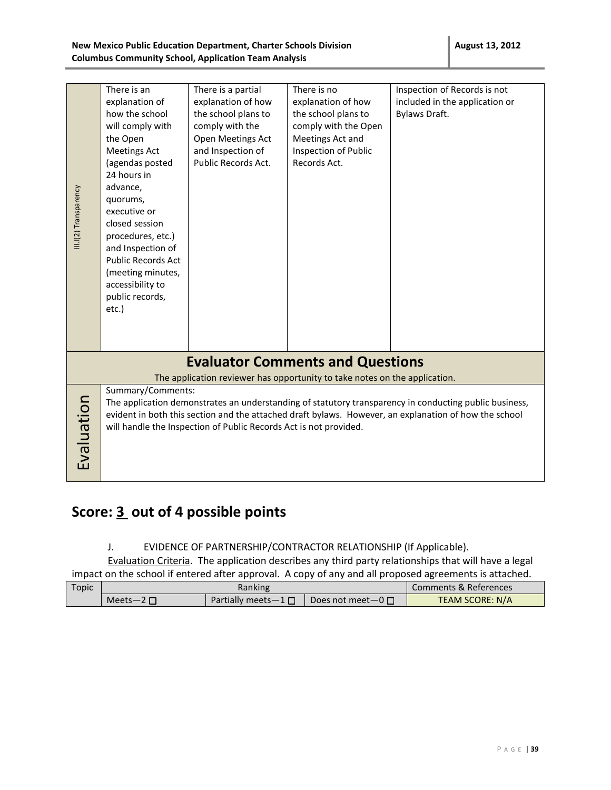|                      | There is an<br>explanation of<br>how the school<br>will comply with<br>the Open                                                                                                                                                                                                                                                                                                         | There is a partial<br>explanation of how<br>the school plans to<br>comply with the<br>Open Meetings Act | There is no<br>explanation of how<br>the school plans to<br>comply with the Open<br>Meetings Act and | Inspection of Records is not<br>included in the application or<br>Bylaws Draft. |  |
|----------------------|-----------------------------------------------------------------------------------------------------------------------------------------------------------------------------------------------------------------------------------------------------------------------------------------------------------------------------------------------------------------------------------------|---------------------------------------------------------------------------------------------------------|------------------------------------------------------------------------------------------------------|---------------------------------------------------------------------------------|--|
| II.I(2) Transparency | <b>Meetings Act</b><br>(agendas posted<br>24 hours in<br>advance,<br>quorums,<br>executive or<br>closed session<br>procedures, etc.)<br>and Inspection of<br><b>Public Records Act</b><br>(meeting minutes,<br>accessibility to<br>public records,<br>etc.)                                                                                                                             | and Inspection of<br>Public Records Act.                                                                | Inspection of Public<br>Records Act.                                                                 |                                                                                 |  |
|                      |                                                                                                                                                                                                                                                                                                                                                                                         |                                                                                                         | <b>Evaluator Comments and Questions</b>                                                              |                                                                                 |  |
| Evaluation           | The application reviewer has opportunity to take notes on the application.<br>Summary/Comments:<br>The application demonstrates an understanding of statutory transparency in conducting public business,<br>evident in both this section and the attached draft bylaws. However, an explanation of how the school<br>will handle the Inspection of Public Records Act is not provided. |                                                                                                         |                                                                                                      |                                                                                 |  |

## **Score: 3 out of 4 possible points**

#### J. EVIDENCE OF PARTNERSHIP/CONTRACTOR RELATIONSHIP (If Applicable).

Evaluation Criteria. The application describes any third party relationships that will have a legal impact on the school if entered after approval. A copy of any and all proposed agreements is attached.

| Topic | Ranking          |                             |                           | Comments & References |                 |  |
|-------|------------------|-----------------------------|---------------------------|-----------------------|-----------------|--|
|       | Meets-2 $\Gamma$ | Partially meets $-1 \sqcap$ | Does not meet $-0$ $\Box$ |                       | TEAM SCORE: N/A |  |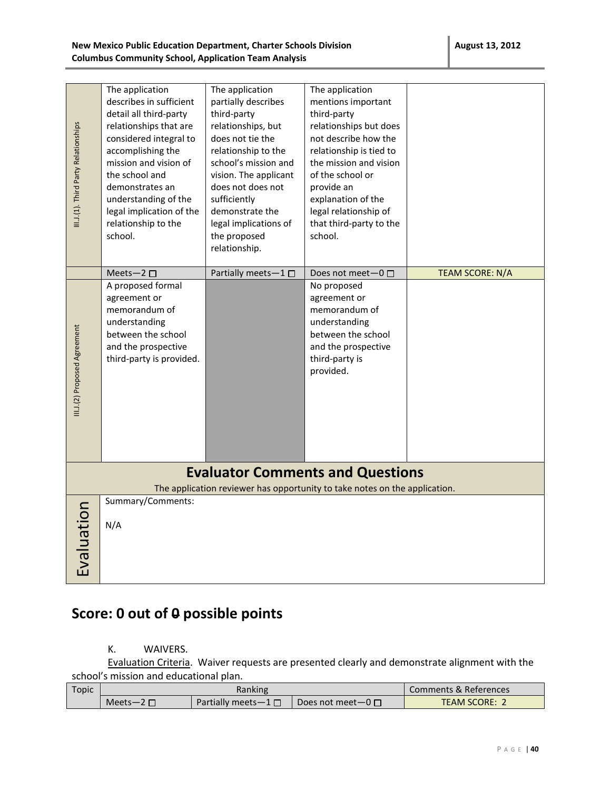| <b>August 13, 2012</b> |  |
|------------------------|--|
|                        |  |

| III.1.(1). Third Party Relationships                                                                                  | The application<br>describes in sufficient<br>detail all third-party<br>relationships that are<br>considered integral to<br>accomplishing the<br>mission and vision of<br>the school and<br>demonstrates an<br>understanding of the<br>legal implication of the<br>relationship to the<br>school. | The application<br>partially describes<br>third-party<br>relationships, but<br>does not tie the<br>relationship to the<br>school's mission and<br>vision. The applicant<br>does not does not<br>sufficiently<br>demonstrate the<br>legal implications of<br>the proposed<br>relationship. | The application<br>mentions important<br>third-party<br>relationships but does<br>not describe how the<br>relationship is tied to<br>the mission and vision<br>of the school or<br>provide an<br>explanation of the<br>legal relationship of<br>that third-party to the<br>school. |                 |
|-----------------------------------------------------------------------------------------------------------------------|---------------------------------------------------------------------------------------------------------------------------------------------------------------------------------------------------------------------------------------------------------------------------------------------------|-------------------------------------------------------------------------------------------------------------------------------------------------------------------------------------------------------------------------------------------------------------------------------------------|------------------------------------------------------------------------------------------------------------------------------------------------------------------------------------------------------------------------------------------------------------------------------------|-----------------|
|                                                                                                                       | Meets-2 $\square$                                                                                                                                                                                                                                                                                 | Partially meets-1                                                                                                                                                                                                                                                                         | Does not meet-0 □                                                                                                                                                                                                                                                                  | TEAM SCORE: N/A |
| III.J.(2) Proposed Agreement                                                                                          | A proposed formal<br>agreement or<br>memorandum of<br>understanding<br>between the school<br>and the prospective<br>third-party is provided.                                                                                                                                                      |                                                                                                                                                                                                                                                                                           | No proposed<br>agreement or<br>memorandum of<br>understanding<br>between the school<br>and the prospective<br>third-party is<br>provided.                                                                                                                                          |                 |
| <b>Evaluator Comments and Questions</b><br>The application reviewer has opportunity to take notes on the application. |                                                                                                                                                                                                                                                                                                   |                                                                                                                                                                                                                                                                                           |                                                                                                                                                                                                                                                                                    |                 |
| Evaluation                                                                                                            | Summary/Comments:<br>N/A                                                                                                                                                                                                                                                                          |                                                                                                                                                                                                                                                                                           |                                                                                                                                                                                                                                                                                    |                 |

## **Score: 0 out of 0 possible points**

#### K. WAIVERS.

Evaluation Criteria.Waiver requests are presented clearly and demonstrate alignment with the school's mission and educational plan.

| Topic |                  | Comments & References       |                                    |                               |
|-------|------------------|-----------------------------|------------------------------------|-------------------------------|
|       | Meets-2 $\Gamma$ | Partially meets $-1 \sqcap$ | $\Box$ Does not meet $\Box$ $\Box$ | <b>TEAM SCORE:</b> $\epsilon$ |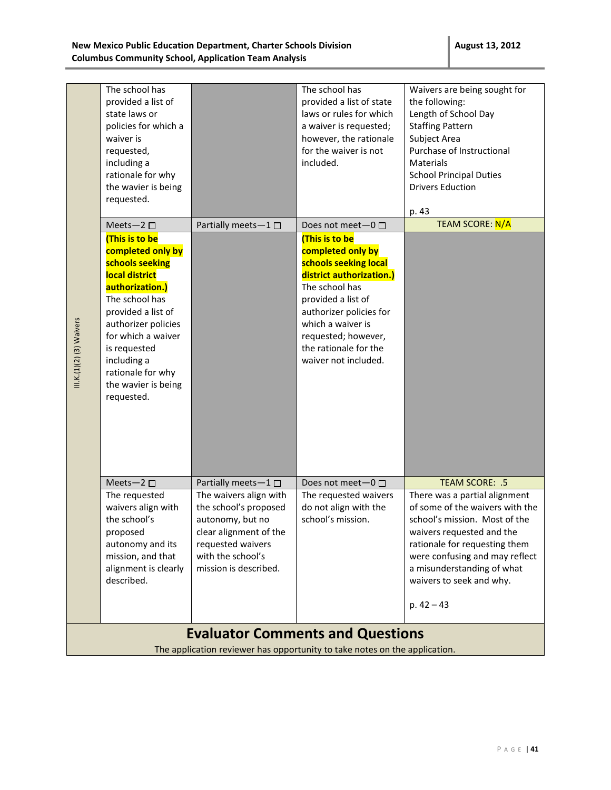| III.K.(1)(2) (3) Waivers | The school has<br>provided a list of<br>state laws or<br>policies for which a<br>waiver is<br>requested,<br>including a<br>rationale for why<br>the wavier is being<br>requested.<br>Meets-2 $\square$<br>(This is to be<br>completed only by<br>schools seeking<br>local district<br>authorization.)<br>The school has<br>provided a list of<br>authorizer policies<br>for which a waiver<br>is requested<br>including a<br>rationale for why<br>the wavier is being<br>requested. | Partially meets-1□                                                                                                                                                                     | The school has<br>provided a list of state<br>laws or rules for which<br>a waiver is requested;<br>however, the rationale<br>for the waiver is not<br>included.<br>Does not meet- $0 \Box$<br>(This is to be<br>completed only by<br>schools seeking local<br>district authorization.)<br>The school has<br>provided a list of<br>authorizer policies for<br>which a waiver is<br>requested; however,<br>the rationale for the<br>waiver not included. | Waivers are being sought for<br>the following:<br>Length of School Day<br><b>Staffing Pattern</b><br>Subject Area<br>Purchase of Instructional<br><b>Materials</b><br><b>School Principal Duties</b><br><b>Drivers Eduction</b><br>p. 43<br><b>TEAM SCORE: N/A</b> |
|--------------------------|-------------------------------------------------------------------------------------------------------------------------------------------------------------------------------------------------------------------------------------------------------------------------------------------------------------------------------------------------------------------------------------------------------------------------------------------------------------------------------------|----------------------------------------------------------------------------------------------------------------------------------------------------------------------------------------|--------------------------------------------------------------------------------------------------------------------------------------------------------------------------------------------------------------------------------------------------------------------------------------------------------------------------------------------------------------------------------------------------------------------------------------------------------|--------------------------------------------------------------------------------------------------------------------------------------------------------------------------------------------------------------------------------------------------------------------|
|                          | Meets-2 $\square$<br>The requested<br>waivers align with<br>the school's<br>proposed<br>autonomy and its<br>mission, and that<br>alignment is clearly                                                                                                                                                                                                                                                                                                                               | Partially meets-1□<br>The waivers align with<br>the school's proposed<br>autonomy, but no<br>clear alignment of the<br>requested waivers<br>with the school's<br>mission is described. | Does not meet-0 □<br>The requested waivers<br>do not align with the<br>school's mission.                                                                                                                                                                                                                                                                                                                                                               | TEAM SCORE: .5<br>There was a partial alignment<br>of some of the waivers with the<br>school's mission. Most of the<br>waivers requested and the<br>rationale for requesting them<br>were confusing and may reflect<br>a misunderstanding of what                  |
|                          | described.                                                                                                                                                                                                                                                                                                                                                                                                                                                                          |                                                                                                                                                                                        | <b>Evaluator Comments and Questions</b>                                                                                                                                                                                                                                                                                                                                                                                                                | waivers to seek and why.<br>p. $42 - 43$                                                                                                                                                                                                                           |

The application reviewer has opportunity to take notes on the application.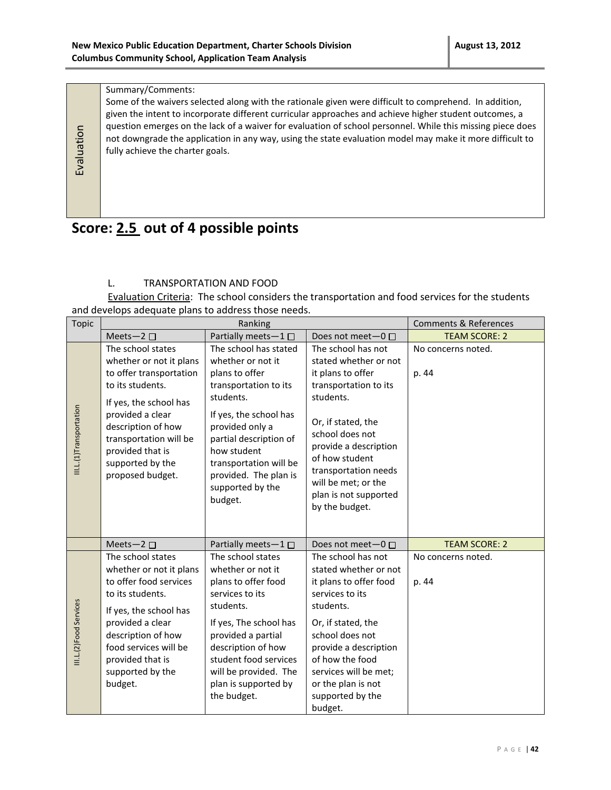#### Summary/Comments:

Evaluation

Some of the waivers selected along with the rationale given were difficult to comprehend. In addition, given the intent to incorporate different curricular approaches and achieve higher student outcomes, a question emerges on the lack of a waiver for evaluation of school personnel. While this missing piece does not downgrade the application in any way, using the state evaluation model may make it more difficult to fully achieve the charter goals.

## **Score: 2.5 out of 4 possible points**

#### L. TRANSPORTATION AND FOOD

Evaluation Criteria: The school considers the transportation and food services for the students and develops adequate plans to address those needs.

| <b>Topic</b>            |                                                                                                                                                                 | Ranking                                                                                                                                                                  |                                                                                                                                                                              | <b>Comments &amp; References</b> |
|-------------------------|-----------------------------------------------------------------------------------------------------------------------------------------------------------------|--------------------------------------------------------------------------------------------------------------------------------------------------------------------------|------------------------------------------------------------------------------------------------------------------------------------------------------------------------------|----------------------------------|
|                         | Meets-2 $\square$                                                                                                                                               | Partially meets-1 □                                                                                                                                                      | Does not meet $-0$ $\Box$                                                                                                                                                    | <b>TEAM SCORE: 2</b>             |
|                         | The school states<br>whether or not it plans<br>to offer transportation<br>to its students.<br>If yes, the school has<br>provided a clear<br>description of how | The school has stated<br>whether or not it<br>plans to offer<br>transportation to its<br>students.<br>If yes, the school has<br>provided only a                          | The school has not<br>stated whether or not<br>it plans to offer<br>transportation to its<br>students.<br>Or, if stated, the                                                 | No concerns noted.<br>p. 44      |
| III.L.(1)Transportation | transportation will be<br>provided that is<br>supported by the<br>proposed budget.                                                                              | partial description of<br>how student<br>transportation will be<br>provided. The plan is<br>supported by the<br>budget.                                                  | school does not<br>provide a description<br>of how student<br>transportation needs<br>will be met; or the<br>plan is not supported<br>by the budget.                         |                                  |
|                         | Meets-2 $\square$                                                                                                                                               | Partially meets-1 $\square$                                                                                                                                              | Does not meet $-0$ $\Box$                                                                                                                                                    | <b>TEAM SCORE: 2</b>             |
|                         | The school states<br>whether or not it plans<br>to offer food services<br>to its students.                                                                      | The school states<br>whether or not it<br>plans to offer food<br>services to its                                                                                         | The school has not<br>stated whether or not<br>it plans to offer food<br>services to its                                                                                     | No concerns noted.<br>p. 44      |
| III.L.(2)Food Services  | If yes, the school has<br>provided a clear<br>description of how<br>food services will be<br>provided that is<br>supported by the<br>budget.                    | students.<br>If yes, The school has<br>provided a partial<br>description of how<br>student food services<br>will be provided. The<br>plan is supported by<br>the budget. | students.<br>Or, if stated, the<br>school does not<br>provide a description<br>of how the food<br>services will be met;<br>or the plan is not<br>supported by the<br>budget. |                                  |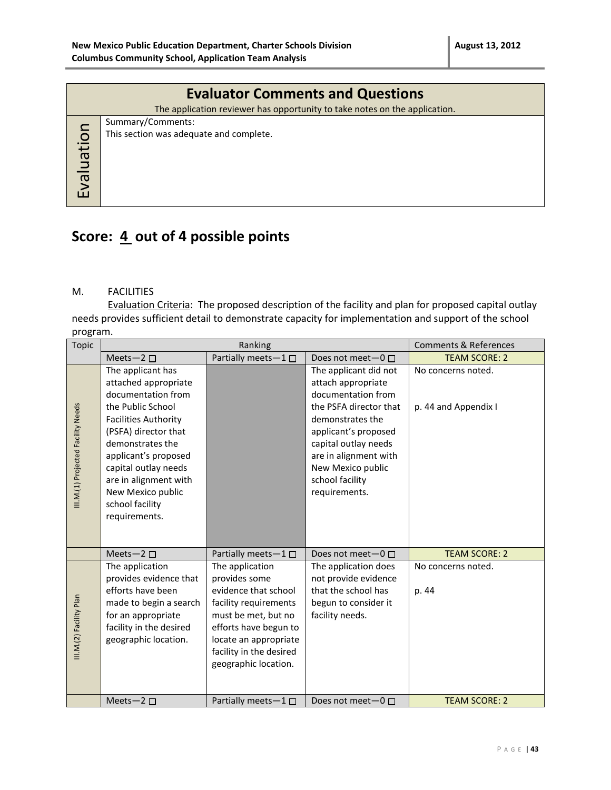| <b>Evaluator Comments and Questions</b>                                    |
|----------------------------------------------------------------------------|
| The application reviewer has opportunity to take notes on the application. |
| Summary/Comments:                                                          |
| This section was adequate and complete.                                    |
|                                                                            |
|                                                                            |
|                                                                            |
|                                                                            |
|                                                                            |

### **Score: 4 out of 4 possible points**

#### M. FACILITIES

Evaluation Criteria: The proposed description of the facility and plan for proposed capital outlay needs provides sufficient detail to demonstrate capacity for implementation and support of the school program.

| <b>Topic</b>                       | Ranking                                                                                                                                                                                                                                                                                           |                                                                                                                                                                                                               |                                                                                                                                                                                                                                                   | <b>Comments &amp; References</b>           |
|------------------------------------|---------------------------------------------------------------------------------------------------------------------------------------------------------------------------------------------------------------------------------------------------------------------------------------------------|---------------------------------------------------------------------------------------------------------------------------------------------------------------------------------------------------------------|---------------------------------------------------------------------------------------------------------------------------------------------------------------------------------------------------------------------------------------------------|--------------------------------------------|
|                                    | Meets-2 $\square$                                                                                                                                                                                                                                                                                 | Partially meets-1□                                                                                                                                                                                            | Does not meet- $0 \Box$                                                                                                                                                                                                                           | <b>TEAM SCORE: 2</b>                       |
| III.M.(1) Projected Facility Needs | The applicant has<br>attached appropriate<br>documentation from<br>the Public School<br><b>Facilities Authority</b><br>(PSFA) director that<br>demonstrates the<br>applicant's proposed<br>capital outlay needs<br>are in alignment with<br>New Mexico public<br>school facility<br>requirements. |                                                                                                                                                                                                               | The applicant did not<br>attach appropriate<br>documentation from<br>the PSFA director that<br>demonstrates the<br>applicant's proposed<br>capital outlay needs<br>are in alignment with<br>New Mexico public<br>school facility<br>requirements. | No concerns noted.<br>p. 44 and Appendix I |
|                                    | Meets-2 $\square$                                                                                                                                                                                                                                                                                 | Partially meets-1□                                                                                                                                                                                            | Does not meet-0 □                                                                                                                                                                                                                                 | <b>TEAM SCORE: 2</b>                       |
| III.M.(2) Facility Plan            | The application<br>provides evidence that<br>efforts have been<br>made to begin a search<br>for an appropriate<br>facility in the desired<br>geographic location.                                                                                                                                 | The application<br>provides some<br>evidence that school<br>facility requirements<br>must be met, but no<br>efforts have begun to<br>locate an appropriate<br>facility in the desired<br>geographic location. | The application does<br>not provide evidence<br>that the school has<br>begun to consider it<br>facility needs.                                                                                                                                    | No concerns noted.<br>p. 44                |
|                                    | Meets-2 $\square$                                                                                                                                                                                                                                                                                 | Partially meets $-1$ $\Box$                                                                                                                                                                                   | Does not meet $-0$ $\Box$                                                                                                                                                                                                                         | <b>TEAM SCORE: 2</b>                       |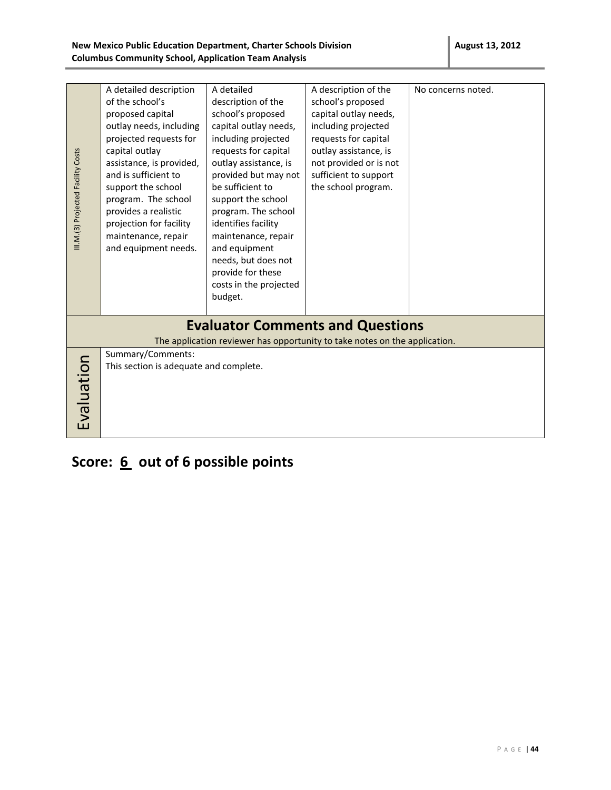| III.M.(3) Projected Facility Costs | A detailed description<br>of the school's<br>proposed capital<br>outlay needs, including<br>projected requests for<br>capital outlay<br>assistance, is provided,<br>and is sufficient to<br>support the school<br>program. The school<br>provides a realistic<br>projection for facility<br>maintenance, repair<br>and equipment needs. | A detailed<br>description of the<br>school's proposed<br>capital outlay needs,<br>including projected<br>requests for capital<br>outlay assistance, is<br>provided but may not<br>be sufficient to<br>support the school<br>program. The school<br>identifies facility<br>maintenance, repair<br>and equipment<br>needs, but does not<br>provide for these<br>costs in the projected<br>budget. | A description of the<br>school's proposed<br>capital outlay needs,<br>including projected<br>requests for capital<br>outlay assistance, is<br>not provided or is not<br>sufficient to support<br>the school program. | No concerns noted. |
|------------------------------------|-----------------------------------------------------------------------------------------------------------------------------------------------------------------------------------------------------------------------------------------------------------------------------------------------------------------------------------------|-------------------------------------------------------------------------------------------------------------------------------------------------------------------------------------------------------------------------------------------------------------------------------------------------------------------------------------------------------------------------------------------------|----------------------------------------------------------------------------------------------------------------------------------------------------------------------------------------------------------------------|--------------------|
|                                    |                                                                                                                                                                                                                                                                                                                                         |                                                                                                                                                                                                                                                                                                                                                                                                 |                                                                                                                                                                                                                      |                    |
|                                    |                                                                                                                                                                                                                                                                                                                                         |                                                                                                                                                                                                                                                                                                                                                                                                 | <b>Evaluator Comments and Questions</b>                                                                                                                                                                              |                    |
|                                    |                                                                                                                                                                                                                                                                                                                                         |                                                                                                                                                                                                                                                                                                                                                                                                 | The application reviewer has opportunity to take notes on the application.                                                                                                                                           |                    |
| Evaluation                         | Summary/Comments:<br>This section is adequate and complete.                                                                                                                                                                                                                                                                             |                                                                                                                                                                                                                                                                                                                                                                                                 |                                                                                                                                                                                                                      |                    |

**Score: 6 out of 6 possible points**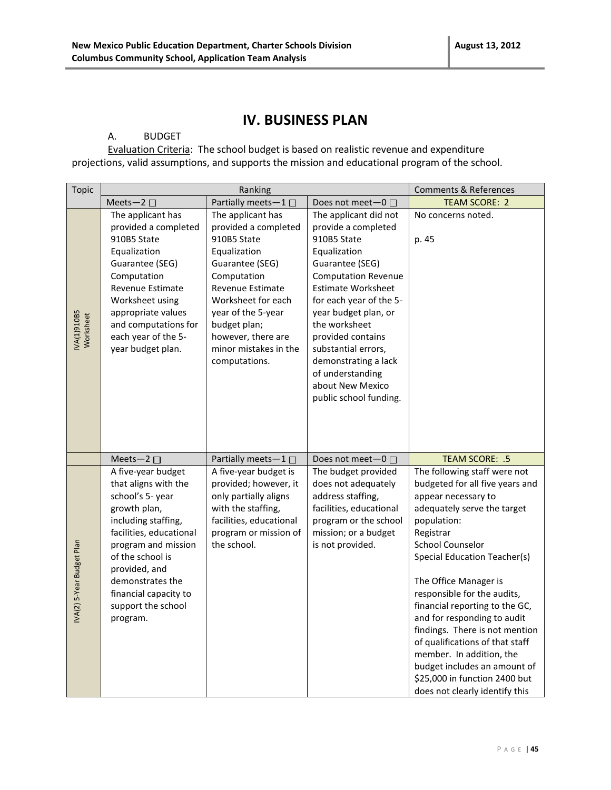### **IV. BUSINESS PLAN**

#### A. BUDGET

Evaluation Criteria: The school budget is based on realistic revenue and expenditure projections, valid assumptions, and supports the mission and educational program of the school.

| <b>Topic</b>                   |                                                                                                                                                                                                                                                                                                  | Ranking                                                                                                                                                                                                                                                           |                                                                                                                                                                                                                                                                                                                                                              | <b>Comments &amp; References</b>                                                                                                                                                                                                                                                                                                                                                                                                                                                                                                                                   |
|--------------------------------|--------------------------------------------------------------------------------------------------------------------------------------------------------------------------------------------------------------------------------------------------------------------------------------------------|-------------------------------------------------------------------------------------------------------------------------------------------------------------------------------------------------------------------------------------------------------------------|--------------------------------------------------------------------------------------------------------------------------------------------------------------------------------------------------------------------------------------------------------------------------------------------------------------------------------------------------------------|--------------------------------------------------------------------------------------------------------------------------------------------------------------------------------------------------------------------------------------------------------------------------------------------------------------------------------------------------------------------------------------------------------------------------------------------------------------------------------------------------------------------------------------------------------------------|
|                                | Meets-2 □                                                                                                                                                                                                                                                                                        | Partially meets-1                                                                                                                                                                                                                                                 | Does not meet-0 □                                                                                                                                                                                                                                                                                                                                            | <b>TEAM SCORE: 2</b>                                                                                                                                                                                                                                                                                                                                                                                                                                                                                                                                               |
| <b>NA(1)910B5</b><br>Worksheet | The applicant has<br>provided a completed<br>910B5 State<br>Equalization<br>Guarantee (SEG)<br>Computation<br>Revenue Estimate<br>Worksheet using<br>appropriate values<br>and computations for<br>each year of the 5-<br>year budget plan.                                                      | The applicant has<br>provided a completed<br>910B5 State<br>Equalization<br>Guarantee (SEG)<br>Computation<br><b>Revenue Estimate</b><br>Worksheet for each<br>year of the 5-year<br>budget plan;<br>however, there are<br>minor mistakes in the<br>computations. | The applicant did not<br>provide a completed<br>910B5 State<br>Equalization<br>Guarantee (SEG)<br><b>Computation Revenue</b><br>Estimate Worksheet<br>for each year of the 5-<br>year budget plan, or<br>the worksheet<br>provided contains<br>substantial errors,<br>demonstrating a lack<br>of understanding<br>about New Mexico<br>public school funding. | No concerns noted.<br>p. 45                                                                                                                                                                                                                                                                                                                                                                                                                                                                                                                                        |
| IVA(2) 5-Year Budget Plan      | Meets-2 $\square$<br>A five-year budget<br>that aligns with the<br>school's 5- year<br>growth plan,<br>including staffing,<br>facilities, educational<br>program and mission<br>of the school is<br>provided, and<br>demonstrates the<br>financial capacity to<br>support the school<br>program. | Partially meets-1□<br>A five-year budget is<br>provided; however, it<br>only partially aligns<br>with the staffing,<br>facilities, educational<br>program or mission of<br>the school.                                                                            | Does not meet-0 □<br>The budget provided<br>does not adequately<br>address staffing,<br>facilities, educational<br>program or the school<br>mission; or a budget<br>is not provided.                                                                                                                                                                         | TEAM SCORE: .5<br>The following staff were not<br>budgeted for all five years and<br>appear necessary to<br>adequately serve the target<br>population:<br>Registrar<br><b>School Counselor</b><br><b>Special Education Teacher(s)</b><br>The Office Manager is<br>responsible for the audits,<br>financial reporting to the GC,<br>and for responding to audit<br>findings. There is not mention<br>of qualifications of that staff<br>member. In addition, the<br>budget includes an amount of<br>\$25,000 in function 2400 but<br>does not clearly identify this |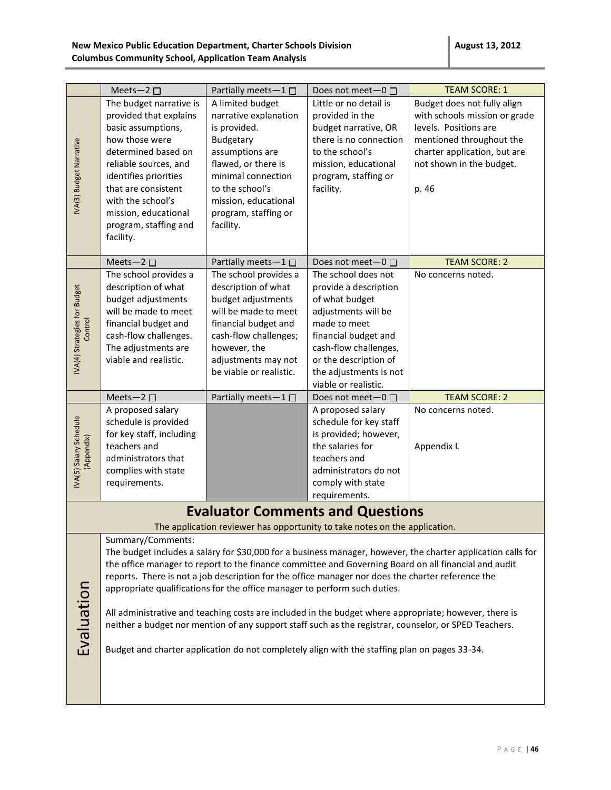|                               | Meets-2 $\square$                            | Partially meets-1 $\square$                                               | Does not meet-0 □                                                                                 | <b>TEAM SCORE: 1</b>                                                                                                                                                                                           |
|-------------------------------|----------------------------------------------|---------------------------------------------------------------------------|---------------------------------------------------------------------------------------------------|----------------------------------------------------------------------------------------------------------------------------------------------------------------------------------------------------------------|
|                               | The budget narrative is                      | A limited budget                                                          | Little or no detail is                                                                            | Budget does not fully align                                                                                                                                                                                    |
|                               | provided that explains                       | narrative explanation                                                     | provided in the                                                                                   | with schools mission or grade                                                                                                                                                                                  |
|                               | basic assumptions,                           | is provided.                                                              | budget narrative, OR<br>there is no connection                                                    | levels. Positions are                                                                                                                                                                                          |
|                               | how those were                               | Budgetary                                                                 |                                                                                                   | mentioned throughout the                                                                                                                                                                                       |
|                               | determined based on<br>reliable sources, and | assumptions are<br>flawed, or there is                                    | to the school's<br>mission, educational                                                           | charter application, but are<br>not shown in the budget.                                                                                                                                                       |
| <b>NA(3) Budget Narrative</b> | identifies priorities                        | minimal connection                                                        | program, staffing or                                                                              |                                                                                                                                                                                                                |
|                               | that are consistent                          | to the school's                                                           | facility.                                                                                         | p. 46                                                                                                                                                                                                          |
|                               | with the school's                            | mission, educational                                                      |                                                                                                   |                                                                                                                                                                                                                |
|                               | mission, educational                         | program, staffing or                                                      |                                                                                                   |                                                                                                                                                                                                                |
|                               | program, staffing and                        | facility.                                                                 |                                                                                                   |                                                                                                                                                                                                                |
|                               | facility.                                    |                                                                           |                                                                                                   |                                                                                                                                                                                                                |
|                               |                                              |                                                                           |                                                                                                   |                                                                                                                                                                                                                |
|                               | Meets-2 $\square$                            | Partially meets-1 $\square$                                               | Does not meet $-0$ $\Box$                                                                         | <b>TEAM SCORE: 2</b>                                                                                                                                                                                           |
|                               | The school provides a                        | The school provides a                                                     | The school does not                                                                               | No concerns noted.                                                                                                                                                                                             |
| IVA(4) Strategies for Budget  | description of what                          | description of what                                                       | provide a description                                                                             |                                                                                                                                                                                                                |
|                               | budget adjustments<br>will be made to meet   | budget adjustments<br>will be made to meet                                | of what budget<br>adjustments will be                                                             |                                                                                                                                                                                                                |
|                               | financial budget and                         | financial budget and                                                      | made to meet                                                                                      |                                                                                                                                                                                                                |
| Control                       | cash-flow challenges.                        | cash-flow challenges;                                                     | financial budget and                                                                              |                                                                                                                                                                                                                |
|                               | The adjustments are                          | however, the                                                              | cash-flow challenges,                                                                             |                                                                                                                                                                                                                |
|                               | viable and realistic.                        | adjustments may not                                                       | or the description of                                                                             |                                                                                                                                                                                                                |
|                               |                                              | be viable or realistic.                                                   | the adjustments is not                                                                            |                                                                                                                                                                                                                |
|                               |                                              |                                                                           | viable or realistic.                                                                              |                                                                                                                                                                                                                |
|                               | Meets-2 $\square$                            | Partially meets-1 □                                                       | Does not meet $-0$ $\Box$                                                                         | <b>TEAM SCORE: 2</b>                                                                                                                                                                                           |
|                               |                                              |                                                                           |                                                                                                   |                                                                                                                                                                                                                |
|                               | A proposed salary                            |                                                                           | A proposed salary                                                                                 | No concerns noted.                                                                                                                                                                                             |
|                               | schedule is provided                         |                                                                           | schedule for key staff                                                                            |                                                                                                                                                                                                                |
|                               | for key staff, including                     |                                                                           | is provided; however,                                                                             |                                                                                                                                                                                                                |
|                               | teachers and                                 |                                                                           | the salaries for                                                                                  | Appendix L                                                                                                                                                                                                     |
|                               | administrators that                          |                                                                           | teachers and                                                                                      |                                                                                                                                                                                                                |
| (Appendix)                    | complies with state                          |                                                                           | administrators do not                                                                             |                                                                                                                                                                                                                |
| IVA(5) Salary Schedule        | requirements.                                |                                                                           | comply with state                                                                                 |                                                                                                                                                                                                                |
|                               |                                              |                                                                           | requirements.                                                                                     |                                                                                                                                                                                                                |
|                               |                                              |                                                                           | <b>Evaluator Comments and Questions</b>                                                           |                                                                                                                                                                                                                |
|                               |                                              |                                                                           | The application reviewer has opportunity to take notes on the application.                        |                                                                                                                                                                                                                |
|                               | Summary/Comments:                            |                                                                           |                                                                                                   |                                                                                                                                                                                                                |
|                               |                                              |                                                                           |                                                                                                   | The budget includes a salary for \$30,000 for a business manager, however, the charter application calls for                                                                                                   |
|                               |                                              |                                                                           |                                                                                                   | the office manager to report to the finance committee and Governing Board on all financial and audit                                                                                                           |
|                               |                                              |                                                                           | reports. There is not a job description for the office manager nor does the charter reference the |                                                                                                                                                                                                                |
|                               |                                              | appropriate qualifications for the office manager to perform such duties. |                                                                                                   |                                                                                                                                                                                                                |
|                               |                                              |                                                                           |                                                                                                   |                                                                                                                                                                                                                |
|                               |                                              |                                                                           |                                                                                                   | All administrative and teaching costs are included in the budget where appropriate; however, there is<br>neither a budget nor mention of any support staff such as the registrar, counselor, or SPED Teachers. |
|                               |                                              |                                                                           |                                                                                                   |                                                                                                                                                                                                                |
| Evaluation                    |                                              |                                                                           | Budget and charter application do not completely align with the staffing plan on pages 33-34.     |                                                                                                                                                                                                                |
|                               |                                              |                                                                           |                                                                                                   |                                                                                                                                                                                                                |
|                               |                                              |                                                                           |                                                                                                   |                                                                                                                                                                                                                |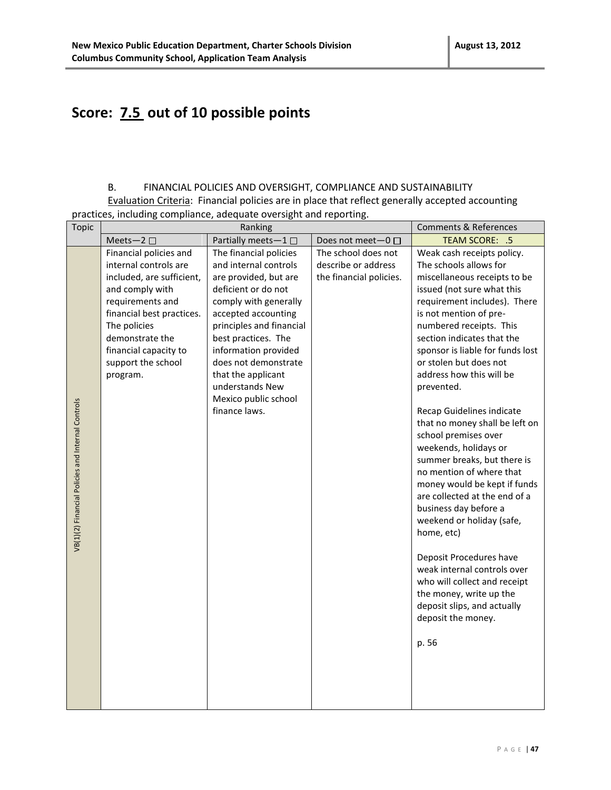## **Score: 7.5 out of 10 possible points**

### B. FINANCIAL POLICIES AND OVERSIGHT, COMPLIANCE AND SUSTAINABILITY

Evaluation Criteria: Financial policies are in place that reflect generally accepted accounting practices, including compliance, adequate oversight and reporting.

| Topic                                             | Ranking                                                                                                                                                                                                                                        |                                                                                                                                                                                                                                                                                                                                      |                                                                       | <b>Comments &amp; References</b>                                                                                                                                                                                                                                                                                                                                                                                                                                                                                                                                                                                                                                                                                                                                                                                                                 |
|---------------------------------------------------|------------------------------------------------------------------------------------------------------------------------------------------------------------------------------------------------------------------------------------------------|--------------------------------------------------------------------------------------------------------------------------------------------------------------------------------------------------------------------------------------------------------------------------------------------------------------------------------------|-----------------------------------------------------------------------|--------------------------------------------------------------------------------------------------------------------------------------------------------------------------------------------------------------------------------------------------------------------------------------------------------------------------------------------------------------------------------------------------------------------------------------------------------------------------------------------------------------------------------------------------------------------------------------------------------------------------------------------------------------------------------------------------------------------------------------------------------------------------------------------------------------------------------------------------|
|                                                   | Meets-2 $\square$                                                                                                                                                                                                                              | Partially meets-1                                                                                                                                                                                                                                                                                                                    | Does not meet-0 □                                                     | TEAM SCORE: .5                                                                                                                                                                                                                                                                                                                                                                                                                                                                                                                                                                                                                                                                                                                                                                                                                                   |
| VB(1)(2) Financial Policies and Internal Controls | Financial policies and<br>internal controls are<br>included, are sufficient,<br>and comply with<br>requirements and<br>financial best practices.<br>The policies<br>demonstrate the<br>financial capacity to<br>support the school<br>program. | The financial policies<br>and internal controls<br>are provided, but are<br>deficient or do not<br>comply with generally<br>accepted accounting<br>principles and financial<br>best practices. The<br>information provided<br>does not demonstrate<br>that the applicant<br>understands New<br>Mexico public school<br>finance laws. | The school does not<br>describe or address<br>the financial policies. | Weak cash receipts policy.<br>The schools allows for<br>miscellaneous receipts to be<br>issued (not sure what this<br>requirement includes). There<br>is not mention of pre-<br>numbered receipts. This<br>section indicates that the<br>sponsor is liable for funds lost<br>or stolen but does not<br>address how this will be<br>prevented.<br>Recap Guidelines indicate<br>that no money shall be left on<br>school premises over<br>weekends, holidays or<br>summer breaks, but there is<br>no mention of where that<br>money would be kept if funds<br>are collected at the end of a<br>business day before a<br>weekend or holiday (safe,<br>home, etc)<br>Deposit Procedures have<br>weak internal controls over<br>who will collect and receipt<br>the money, write up the<br>deposit slips, and actually<br>deposit the money.<br>p. 56 |
|                                                   |                                                                                                                                                                                                                                                |                                                                                                                                                                                                                                                                                                                                      |                                                                       |                                                                                                                                                                                                                                                                                                                                                                                                                                                                                                                                                                                                                                                                                                                                                                                                                                                  |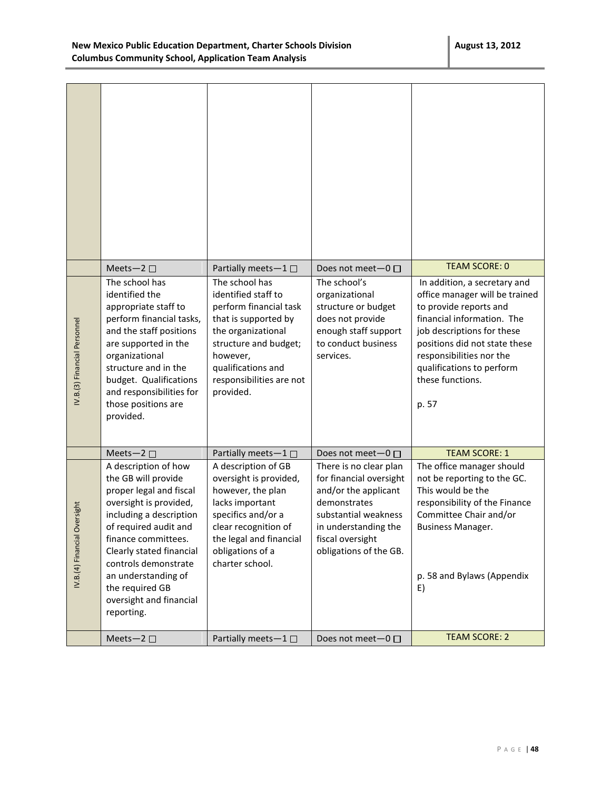|                              | Meets-2 $\square$                                                                                                                                                                                                                                                                                                  | Partially meets-1 $\square$                                                                                                                                                                                       | Does not meet-0 □                                                                                                                                                                       | <b>TEAM SCORE: 0</b>                                                                                                                                                                                                                                                        |
|------------------------------|--------------------------------------------------------------------------------------------------------------------------------------------------------------------------------------------------------------------------------------------------------------------------------------------------------------------|-------------------------------------------------------------------------------------------------------------------------------------------------------------------------------------------------------------------|-----------------------------------------------------------------------------------------------------------------------------------------------------------------------------------------|-----------------------------------------------------------------------------------------------------------------------------------------------------------------------------------------------------------------------------------------------------------------------------|
| V.B.(3) Financial Personnel  | The school has<br>identified the<br>appropriate staff to<br>perform financial tasks,<br>and the staff positions<br>are supported in the<br>organizational<br>structure and in the<br>budget. Qualifications<br>and responsibilities for<br>those positions are<br>provided.                                        | The school has<br>identified staff to<br>perform financial task<br>that is supported by<br>the organizational<br>structure and budget;<br>however,<br>qualifications and<br>responsibilities are not<br>provided. | The school's<br>organizational<br>structure or budget<br>does not provide<br>enough staff support<br>to conduct business<br>services.                                                   | In addition, a secretary and<br>office manager will be trained<br>to provide reports and<br>financial information. The<br>job descriptions for these<br>positions did not state these<br>responsibilities nor the<br>qualifications to perform<br>these functions.<br>p. 57 |
|                              | Meets-2 $\square$                                                                                                                                                                                                                                                                                                  | Partially meets-1                                                                                                                                                                                                 | Does not meet- $0 \Box$                                                                                                                                                                 | <b>TEAM SCORE: 1</b>                                                                                                                                                                                                                                                        |
| IV.B.(4) Financial Oversight | A description of how<br>the GB will provide<br>proper legal and fiscal<br>oversight is provided,<br>including a description<br>of required audit and<br>finance committees.<br>Clearly stated financial<br>controls demonstrate<br>an understanding of<br>the required GB<br>oversight and financial<br>reporting. | A description of GB<br>oversight is provided,<br>however, the plan<br>lacks important<br>specifics and/or a<br>clear recognition of<br>the legal and financial<br>obligations of a<br>charter school.             | There is no clear plan<br>for financial oversight<br>and/or the applicant<br>demonstrates<br>substantial weakness<br>in understanding the<br>fiscal oversight<br>obligations of the GB. | The office manager should<br>not be reporting to the GC.<br>This would be the<br>responsibility of the Finance<br>Committee Chair and/or<br><b>Business Manager.</b><br>p. 58 and Bylaws (Appendix<br>E)                                                                    |
|                              | Meets-2 $\square$                                                                                                                                                                                                                                                                                                  | Partially meets-1 □                                                                                                                                                                                               | Does not meet-0 □                                                                                                                                                                       | <b>TEAM SCORE: 2</b>                                                                                                                                                                                                                                                        |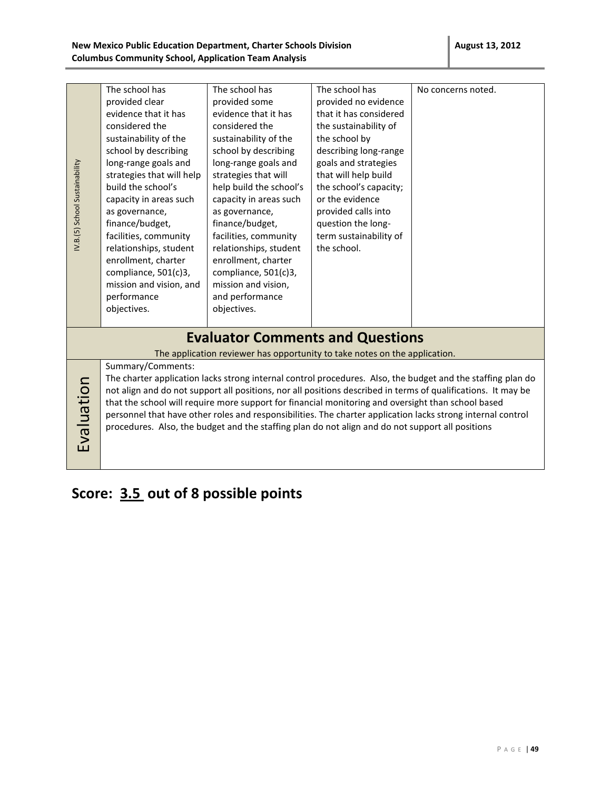|                                | The school has            | The school has                                                                                     | The school has         | No concerns noted.                                                                                            |
|--------------------------------|---------------------------|----------------------------------------------------------------------------------------------------|------------------------|---------------------------------------------------------------------------------------------------------------|
|                                | provided clear            | provided some                                                                                      | provided no evidence   |                                                                                                               |
|                                | evidence that it has      | evidence that it has                                                                               | that it has considered |                                                                                                               |
|                                | considered the            | considered the                                                                                     | the sustainability of  |                                                                                                               |
|                                | sustainability of the     | sustainability of the                                                                              | the school by          |                                                                                                               |
|                                | school by describing      | school by describing                                                                               | describing long-range  |                                                                                                               |
|                                | long-range goals and      | long-range goals and                                                                               | goals and strategies   |                                                                                                               |
|                                | strategies that will help | strategies that will                                                                               | that will help build   |                                                                                                               |
| IV.B.(5) School Sustainability | build the school's        | help build the school's                                                                            | the school's capacity; |                                                                                                               |
|                                | capacity in areas such    | capacity in areas such                                                                             | or the evidence        |                                                                                                               |
|                                | as governance,            | as governance,                                                                                     | provided calls into    |                                                                                                               |
|                                | finance/budget,           | finance/budget,                                                                                    | question the long-     |                                                                                                               |
|                                | facilities, community     | facilities, community                                                                              | term sustainability of |                                                                                                               |
|                                | relationships, student    | relationships, student                                                                             | the school.            |                                                                                                               |
|                                | enrollment, charter       | enrollment, charter                                                                                |                        |                                                                                                               |
|                                | compliance, 501(c)3,      | compliance, 501(c)3,                                                                               |                        |                                                                                                               |
|                                | mission and vision, and   | mission and vision,                                                                                |                        |                                                                                                               |
|                                | performance               | and performance                                                                                    |                        |                                                                                                               |
|                                | objectives.               | objectives.                                                                                        |                        |                                                                                                               |
|                                |                           |                                                                                                    |                        |                                                                                                               |
|                                |                           | <b>Evaluator Comments and Questions</b>                                                            |                        |                                                                                                               |
|                                |                           | The application reviewer has opportunity to take notes on the application.                         |                        |                                                                                                               |
|                                | Summary/Comments:         |                                                                                                    |                        |                                                                                                               |
|                                |                           |                                                                                                    |                        | The charter application lacks strong internal control procedures. Also, the budget and the staffing plan do   |
|                                |                           |                                                                                                    |                        | not align and do not support all positions, nor all positions described in terms of qualifications. It may be |
|                                |                           | that the school will require more support for financial monitoring and oversight than school based |                        |                                                                                                               |
|                                |                           |                                                                                                    |                        | personnel that have other roles and responsibilities. The charter application lacks strong internal control   |
|                                |                           | procedures. Also, the budget and the staffing plan do not align and do not support all positions   |                        |                                                                                                               |
| Evaluation                     |                           |                                                                                                    |                        |                                                                                                               |
|                                |                           |                                                                                                    |                        |                                                                                                               |
|                                |                           |                                                                                                    |                        |                                                                                                               |

# **Score: 3.5 out of 8 possible points**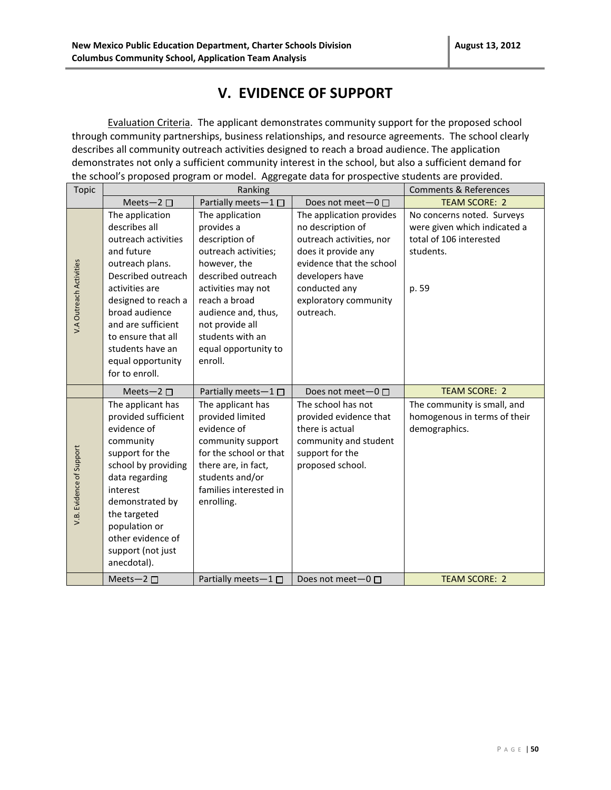### **V. EVIDENCE OF SUPPORT**

Evaluation Criteria. The applicant demonstrates community support for the proposed school through community partnerships, business relationships, and resource agreements. The school clearly describes all community outreach activities designed to reach a broad audience. The application demonstrates not only a sufficient community interest in the school, but also a sufficient demand for the school's proposed program or model. Aggregate data for prospective students are provided.

| <b>Topic</b>             | Ranking                                                                                                                                                                                                                                                                          |                                                                                                                                                                                                                                                       |                                                                                                                                                                                                        | <b>Comments &amp; References</b>                                                                            |
|--------------------------|----------------------------------------------------------------------------------------------------------------------------------------------------------------------------------------------------------------------------------------------------------------------------------|-------------------------------------------------------------------------------------------------------------------------------------------------------------------------------------------------------------------------------------------------------|--------------------------------------------------------------------------------------------------------------------------------------------------------------------------------------------------------|-------------------------------------------------------------------------------------------------------------|
|                          | Meets-2 $\square$                                                                                                                                                                                                                                                                | Partially meets-1                                                                                                                                                                                                                                     | Does not meet- $0 \Box$                                                                                                                                                                                | <b>TEAM SCORE: 2</b>                                                                                        |
| V.A Outreach Activities  | The application<br>describes all<br>outreach activities<br>and future<br>outreach plans.<br>Described outreach<br>activities are<br>designed to reach a<br>broad audience<br>and are sufficient<br>to ensure that all<br>students have an<br>equal opportunity<br>for to enroll. | The application<br>provides a<br>description of<br>outreach activities;<br>however, the<br>described outreach<br>activities may not<br>reach a broad<br>audience and, thus,<br>not provide all<br>students with an<br>equal opportunity to<br>enroll. | The application provides<br>no description of<br>outreach activities, nor<br>does it provide any<br>evidence that the school<br>developers have<br>conducted any<br>exploratory community<br>outreach. | No concerns noted. Surveys<br>were given which indicated a<br>total of 106 interested<br>students.<br>p. 59 |
|                          |                                                                                                                                                                                                                                                                                  |                                                                                                                                                                                                                                                       |                                                                                                                                                                                                        |                                                                                                             |
|                          | Meets-2 $\Box$                                                                                                                                                                                                                                                                   | Partially meets- $1 \Box$                                                                                                                                                                                                                             | Does not meet- $0 \Box$                                                                                                                                                                                | <b>TEAM SCORE: 2</b>                                                                                        |
| V.B. Evidence of Support | The applicant has<br>provided sufficient<br>evidence of<br>community<br>support for the<br>school by providing<br>data regarding<br>interest<br>demonstrated by<br>the targeted<br>population or<br>other evidence of<br>support (not just<br>anecdotal).<br>Meets-2 $\square$   | The applicant has<br>provided limited<br>evidence of<br>community support<br>for the school or that<br>there are, in fact,<br>students and/or<br>families interested in<br>enrolling.<br>Partially meets-1 $\square$                                  | The school has not<br>provided evidence that<br>there is actual<br>community and student<br>support for the<br>proposed school.<br>Does not meet $-0$ $\Box$                                           | The community is small, and<br>homogenous in terms of their<br>demographics.<br><b>TEAM SCORE: 2</b>        |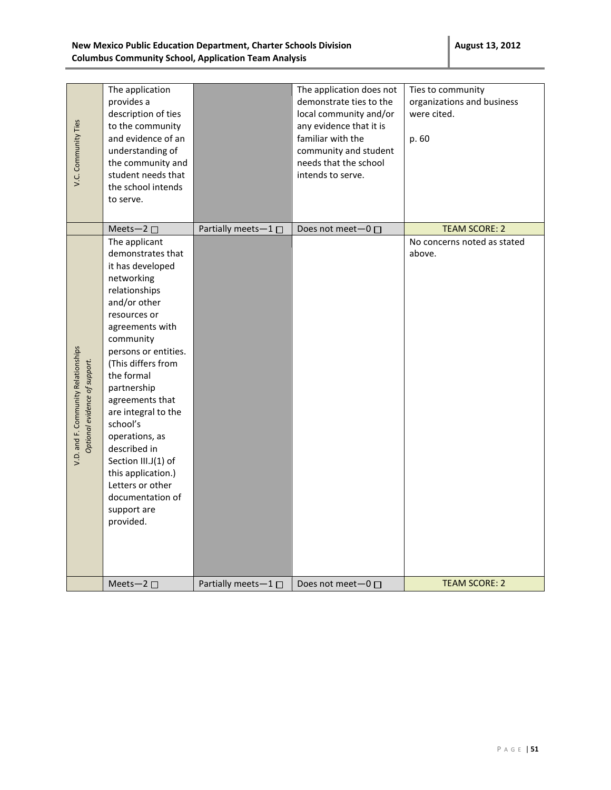| V.C. Community Ties                                                  | The application<br>provides a<br>description of ties<br>to the community<br>and evidence of an<br>understanding of<br>the community and<br>student needs that<br>the school intends<br>to serve.                                                                                                                                                                                                                                          |                             | The application does not<br>demonstrate ties to the<br>local community and/or<br>any evidence that it is<br>familiar with the<br>community and student<br>needs that the school<br>intends to serve. | Ties to community<br>organizations and business<br>were cited.<br>p. 60 |
|----------------------------------------------------------------------|-------------------------------------------------------------------------------------------------------------------------------------------------------------------------------------------------------------------------------------------------------------------------------------------------------------------------------------------------------------------------------------------------------------------------------------------|-----------------------------|------------------------------------------------------------------------------------------------------------------------------------------------------------------------------------------------------|-------------------------------------------------------------------------|
|                                                                      | Meets-2 $\square$                                                                                                                                                                                                                                                                                                                                                                                                                         | Partially meets-1 □         | Does not meet-0 □                                                                                                                                                                                    | <b>TEAM SCORE: 2</b>                                                    |
| V.D. and F. Community Relationships<br>Optional evidence of support. | The applicant<br>demonstrates that<br>it has developed<br>networking<br>relationships<br>and/or other<br>resources or<br>agreements with<br>community<br>persons or entities.<br>(This differs from<br>the formal<br>partnership<br>agreements that<br>are integral to the<br>school's<br>operations, as<br>described in<br>Section III.J(1) of<br>this application.)<br>Letters or other<br>documentation of<br>support are<br>provided. |                             |                                                                                                                                                                                                      | No concerns noted as stated<br>above.                                   |
|                                                                      | Meets-2 $\square$                                                                                                                                                                                                                                                                                                                                                                                                                         | Partially meets $-1$ $\Box$ | Does not meet $-0$ $\Box$                                                                                                                                                                            | <b>TEAM SCORE: 2</b>                                                    |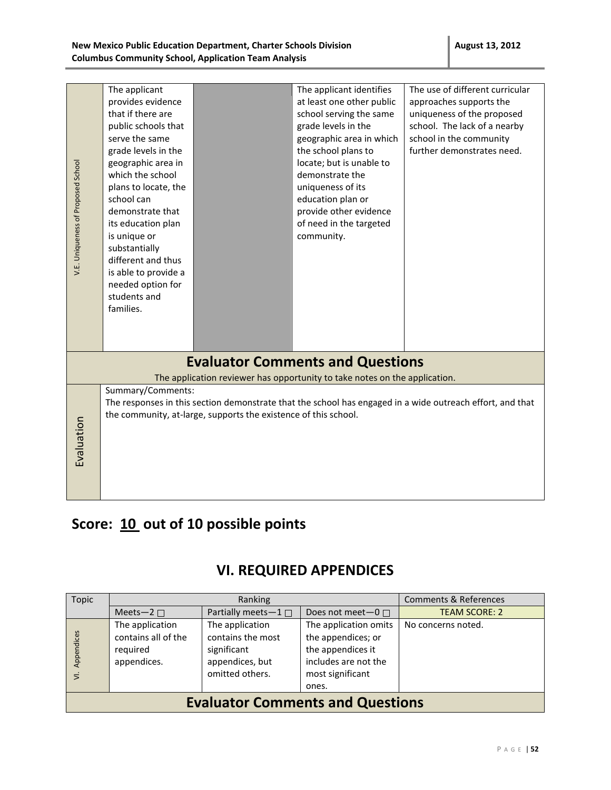|                                    | The applicant        |                                                                 | The applicant identifies                                                   | The use of different curricular                                                                           |  |  |
|------------------------------------|----------------------|-----------------------------------------------------------------|----------------------------------------------------------------------------|-----------------------------------------------------------------------------------------------------------|--|--|
|                                    | provides evidence    |                                                                 | at least one other public                                                  | approaches supports the                                                                                   |  |  |
|                                    | that if there are    |                                                                 | school serving the same                                                    | uniqueness of the proposed                                                                                |  |  |
|                                    | public schools that  |                                                                 | grade levels in the                                                        | school. The lack of a nearby                                                                              |  |  |
|                                    | serve the same       |                                                                 | geographic area in which                                                   | school in the community                                                                                   |  |  |
|                                    | grade levels in the  |                                                                 | the school plans to                                                        | further demonstrates need.                                                                                |  |  |
|                                    | geographic area in   |                                                                 | locate; but is unable to                                                   |                                                                                                           |  |  |
|                                    | which the school     |                                                                 | demonstrate the                                                            |                                                                                                           |  |  |
|                                    | plans to locate, the |                                                                 | uniqueness of its                                                          |                                                                                                           |  |  |
|                                    | school can           |                                                                 | education plan or                                                          |                                                                                                           |  |  |
|                                    | demonstrate that     |                                                                 | provide other evidence                                                     |                                                                                                           |  |  |
|                                    | its education plan   |                                                                 | of need in the targeted                                                    |                                                                                                           |  |  |
|                                    | is unique or         |                                                                 | community.                                                                 |                                                                                                           |  |  |
| V.E. Uniqueness of Proposed School | substantially        |                                                                 |                                                                            |                                                                                                           |  |  |
|                                    | different and thus   |                                                                 |                                                                            |                                                                                                           |  |  |
|                                    | is able to provide a |                                                                 |                                                                            |                                                                                                           |  |  |
|                                    | needed option for    |                                                                 |                                                                            |                                                                                                           |  |  |
|                                    | students and         |                                                                 |                                                                            |                                                                                                           |  |  |
|                                    | families.            |                                                                 |                                                                            |                                                                                                           |  |  |
|                                    |                      |                                                                 |                                                                            |                                                                                                           |  |  |
|                                    |                      |                                                                 |                                                                            |                                                                                                           |  |  |
|                                    |                      |                                                                 |                                                                            |                                                                                                           |  |  |
|                                    |                      |                                                                 | <b>Evaluator Comments and Questions</b>                                    |                                                                                                           |  |  |
|                                    |                      |                                                                 | The application reviewer has opportunity to take notes on the application. |                                                                                                           |  |  |
|                                    | Summary/Comments:    |                                                                 |                                                                            |                                                                                                           |  |  |
|                                    |                      |                                                                 |                                                                            | The responses in this section demonstrate that the school has engaged in a wide outreach effort, and that |  |  |
|                                    |                      | the community, at-large, supports the existence of this school. |                                                                            |                                                                                                           |  |  |
|                                    |                      |                                                                 |                                                                            |                                                                                                           |  |  |
|                                    |                      |                                                                 |                                                                            |                                                                                                           |  |  |
| Evaluation                         |                      |                                                                 |                                                                            |                                                                                                           |  |  |
|                                    |                      |                                                                 |                                                                            |                                                                                                           |  |  |
|                                    |                      |                                                                 |                                                                            |                                                                                                           |  |  |
|                                    |                      |                                                                 |                                                                            |                                                                                                           |  |  |
|                                    |                      |                                                                 |                                                                            |                                                                                                           |  |  |

## **Score: 10 out of 10 possible points**

### **VI. REQUIRED APPENDICES**

| Topic                                   | Ranking                                                           |                                                                                           |                                                                                                                       | <b>Comments &amp; References</b> |
|-----------------------------------------|-------------------------------------------------------------------|-------------------------------------------------------------------------------------------|-----------------------------------------------------------------------------------------------------------------------|----------------------------------|
|                                         | Meets-2 $\square$                                                 | Partially meets- $1 \Box$                                                                 | Does not meet $-0$ $\Box$                                                                                             | <b>TEAM SCORE: 2</b>             |
| Appendices<br>$\overline{5}$            | The application<br>contains all of the<br>required<br>appendices. | The application<br>contains the most<br>significant<br>appendices, but<br>omitted others. | The application omits<br>the appendices; or<br>the appendices it<br>includes are not the<br>most significant<br>ones. | No concerns noted.               |
| <b>Evaluator Comments and Questions</b> |                                                                   |                                                                                           |                                                                                                                       |                                  |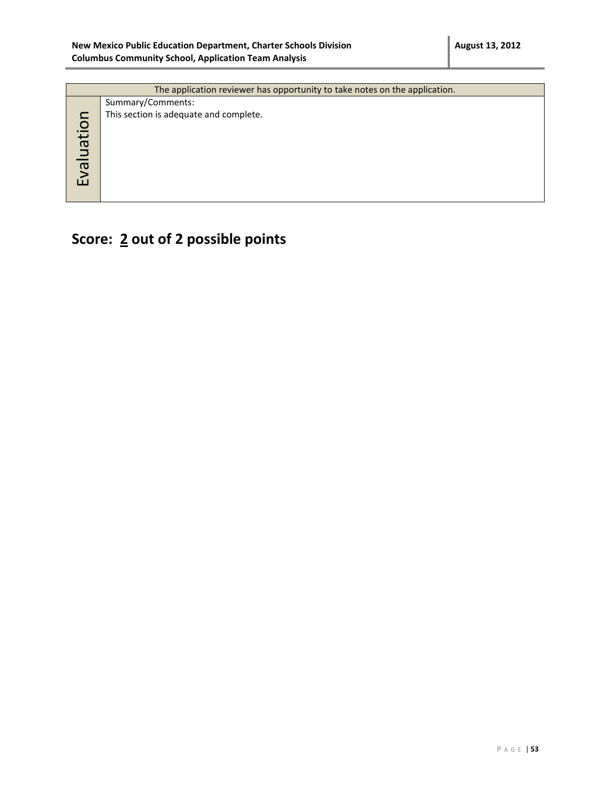| The application reviewer has opportunity to take notes on the application. |                                        |  |  |
|----------------------------------------------------------------------------|----------------------------------------|--|--|
|                                                                            | Summary/Comments:                      |  |  |
|                                                                            | This section is adequate and complete. |  |  |
|                                                                            |                                        |  |  |
|                                                                            |                                        |  |  |
|                                                                            |                                        |  |  |
|                                                                            |                                        |  |  |
| <b>Evaluatio</b>                                                           |                                        |  |  |
|                                                                            |                                        |  |  |
|                                                                            |                                        |  |  |

# **Score: 2 out of 2 possible points**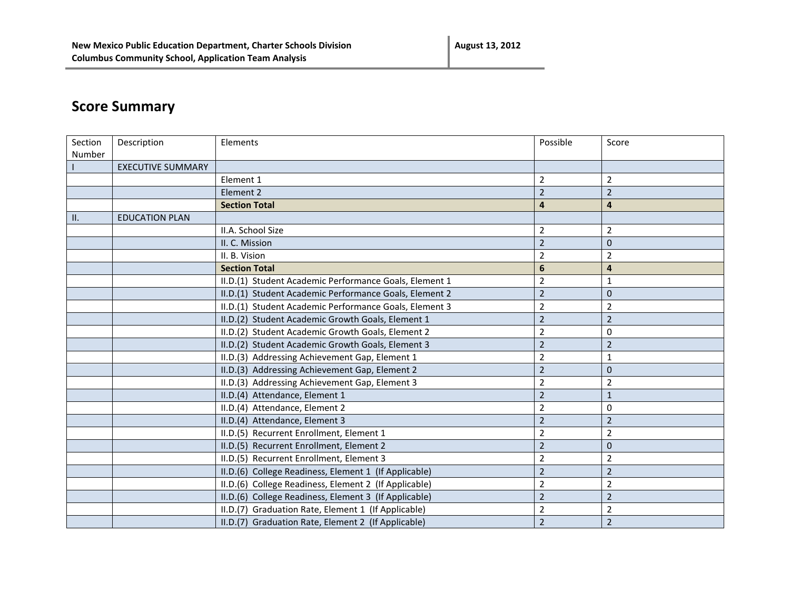# **Score Summary**

| Section | Description              | Elements                                               | Possible                | Score            |
|---------|--------------------------|--------------------------------------------------------|-------------------------|------------------|
| Number  |                          |                                                        |                         |                  |
|         | <b>EXECUTIVE SUMMARY</b> |                                                        |                         |                  |
|         |                          | Element 1                                              | $\overline{2}$          | $\overline{2}$   |
|         |                          | Element 2                                              | $\overline{2}$          | $\overline{2}$   |
|         |                          | <b>Section Total</b>                                   | $\overline{4}$          | $\overline{4}$   |
| $\Box$  | <b>EDUCATION PLAN</b>    |                                                        |                         |                  |
|         |                          | II.A. School Size                                      | 2                       | $\overline{2}$   |
|         |                          | II. C. Mission                                         | $\overline{2}$          | $\mathbf{0}$     |
|         |                          | II. B. Vision                                          | $\overline{2}$          | 2                |
|         |                          | <b>Section Total</b>                                   | 6                       | $\overline{a}$   |
|         |                          | II.D.(1) Student Academic Performance Goals, Element 1 | $\overline{2}$          | 1                |
|         |                          | II.D.(1) Student Academic Performance Goals, Element 2 | $\mathbf 2$             | $\pmb{0}$        |
|         |                          | II.D.(1) Student Academic Performance Goals, Element 3 | $\overline{2}$          | $\overline{2}$   |
|         |                          | II.D.(2) Student Academic Growth Goals, Element 1      | $\overline{2}$          | $\overline{2}$   |
|         |                          | II.D.(2) Student Academic Growth Goals, Element 2      | $\overline{2}$          | $\mathbf 0$      |
|         |                          | II.D.(2) Student Academic Growth Goals, Element 3      | $\overline{2}$          | $\overline{2}$   |
|         |                          | II.D.(3) Addressing Achievement Gap, Element 1         | $\overline{\mathbf{c}}$ | 1                |
|         |                          | II.D.(3) Addressing Achievement Gap, Element 2         | $\overline{2}$          | $\pmb{0}$        |
|         |                          | II.D.(3) Addressing Achievement Gap, Element 3         | $\overline{2}$          | $\overline{2}$   |
|         |                          | II.D.(4) Attendance, Element 1                         | $\overline{2}$          | $\mathbf{1}$     |
|         |                          | II.D.(4) Attendance, Element 2                         | 2                       | $\boldsymbol{0}$ |
|         |                          | II.D.(4) Attendance, Element 3                         | $\overline{2}$          | $\overline{2}$   |
|         |                          | II.D.(5) Recurrent Enrollment, Element 1               | $\overline{\mathbf{c}}$ | $\overline{2}$   |
|         |                          | II.D.(5) Recurrent Enrollment, Element 2               | $\overline{2}$          | $\pmb{0}$        |
|         |                          | II.D.(5) Recurrent Enrollment, Element 3               | $\overline{2}$          | $\overline{2}$   |
|         |                          | II.D.(6) College Readiness, Element 1 (If Applicable)  | $\overline{2}$          | $\overline{2}$   |
|         |                          | II.D.(6) College Readiness, Element 2 (If Applicable)  | 2                       | $\overline{2}$   |
|         |                          | II.D.(6) College Readiness, Element 3 (If Applicable)  | $\overline{2}$          | $\overline{2}$   |
|         |                          | II.D.(7) Graduation Rate, Element 1 (If Applicable)    | $\overline{2}$          | $\overline{2}$   |
|         |                          | II.D.(7) Graduation Rate, Element 2 (If Applicable)    | $\overline{2}$          | $\overline{2}$   |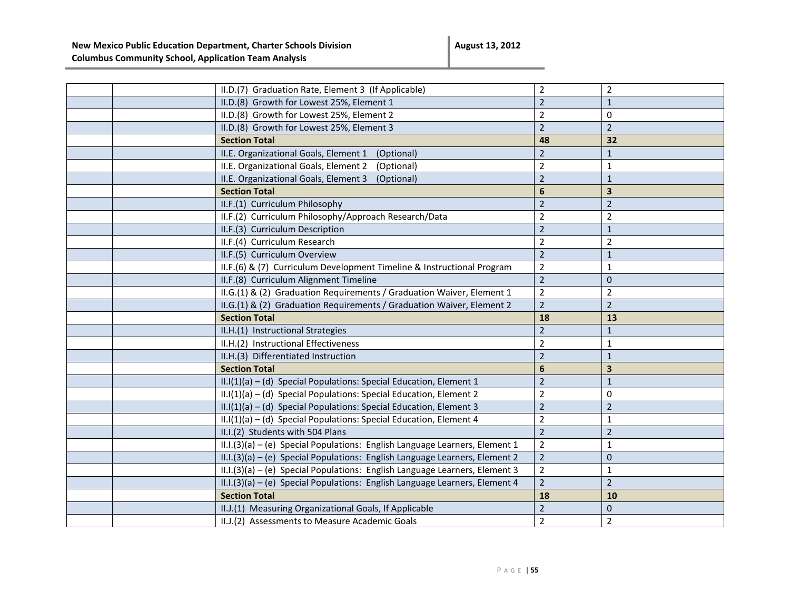|  | II.D.(7) Graduation Rate, Element 3 (If Applicable)                         | $\overline{2}$   | $\overline{2}$          |
|--|-----------------------------------------------------------------------------|------------------|-------------------------|
|  | II.D.(8) Growth for Lowest 25%, Element 1                                   | $\overline{2}$   | $\mathbf{1}$            |
|  | II.D.(8) Growth for Lowest 25%, Element 2                                   | $\overline{2}$   | 0                       |
|  | II.D.(8) Growth for Lowest 25%, Element 3                                   | $\overline{2}$   | $\overline{2}$          |
|  | <b>Section Total</b>                                                        | 48               | 32                      |
|  | II.E. Organizational Goals, Element 1 (Optional)                            | $\overline{2}$   | $\mathbf{1}$            |
|  | II.E. Organizational Goals, Element 2<br>(Optional)                         | $\overline{2}$   | $\mathbf{1}$            |
|  | II.E. Organizational Goals, Element 3<br>(Optional)                         | $\overline{2}$   | $\mathbf{1}$            |
|  | <b>Section Total</b>                                                        | $6\phantom{1}6$  | $\overline{\mathbf{3}}$ |
|  | II.F.(1) Curriculum Philosophy                                              | $\overline{2}$   | $\overline{2}$          |
|  | II.F.(2) Curriculum Philosophy/Approach Research/Data                       | $\overline{2}$   | $\overline{2}$          |
|  | II.F.(3) Curriculum Description                                             | $\overline{2}$   | $\mathbf{1}$            |
|  | II.F.(4) Curriculum Research                                                | $\overline{2}$   | $\overline{2}$          |
|  | II.F.(5) Curriculum Overview                                                | $\overline{2}$   | $1\,$                   |
|  | II.F.(6) & (7) Curriculum Development Timeline & Instructional Program      | $\mathbf 2$      | $\mathbf{1}$            |
|  | II.F.(8) Curriculum Alignment Timeline                                      | $\overline{2}$   | $\mathbf{0}$            |
|  | II.G.(1) & (2) Graduation Requirements / Graduation Waiver, Element 1       | $\overline{2}$   | $\overline{2}$          |
|  | II.G.(1) & (2) Graduation Requirements / Graduation Waiver, Element 2       | $\overline{2}$   | $\overline{2}$          |
|  |                                                                             |                  |                         |
|  | <b>Section Total</b>                                                        | 18               | 13                      |
|  | II.H.(1) Instructional Strategies                                           | $\overline{2}$   | $\mathbf{1}$            |
|  | II.H.(2) Instructional Effectiveness                                        | $\overline{2}$   | $\mathbf{1}$            |
|  | II.H.(3) Differentiated Instruction                                         | $\overline{2}$   | $\mathbf{1}$            |
|  | <b>Section Total</b>                                                        | $\boldsymbol{6}$ | $\overline{\mathbf{3}}$ |
|  | $II.I(1)(a) - (d)$ Special Populations: Special Education, Element 1        | $\overline{2}$   | $\mathbf{1}$            |
|  | II.I(1)(a) - (d) Special Populations: Special Education, Element 2          | $\overline{2}$   | 0                       |
|  | II.I(1)(a) - (d) Special Populations: Special Education, Element 3          | $\overline{2}$   | $\overline{2}$          |
|  | II.I(1)(a) - (d) Special Populations: Special Education, Element 4          | $\mathbf 2$      | $1\,$                   |
|  | II.I.(2) Students with 504 Plans                                            | $\overline{2}$   | $\overline{2}$          |
|  | II.I.(3)(a) - (e) Special Populations: English Language Learners, Element 1 | $\overline{2}$   | $\mathbf 1$             |
|  | II.I.(3)(a) - (e) Special Populations: English Language Learners, Element 2 | $\overline{2}$   | $\mathbf 0$             |
|  | II.I.(3)(a) - (e) Special Populations: English Language Learners, Element 3 | $\mathbf 2$      | $\mathbf{1}$            |
|  | II.I.(3)(a) - (e) Special Populations: English Language Learners, Element 4 | $\overline{2}$   | $\overline{2}$          |
|  | <b>Section Total</b>                                                        | 18               | 10                      |
|  | II.J.(1) Measuring Organizational Goals, If Applicable                      | $\overline{2}$   | $\mathbf 0$             |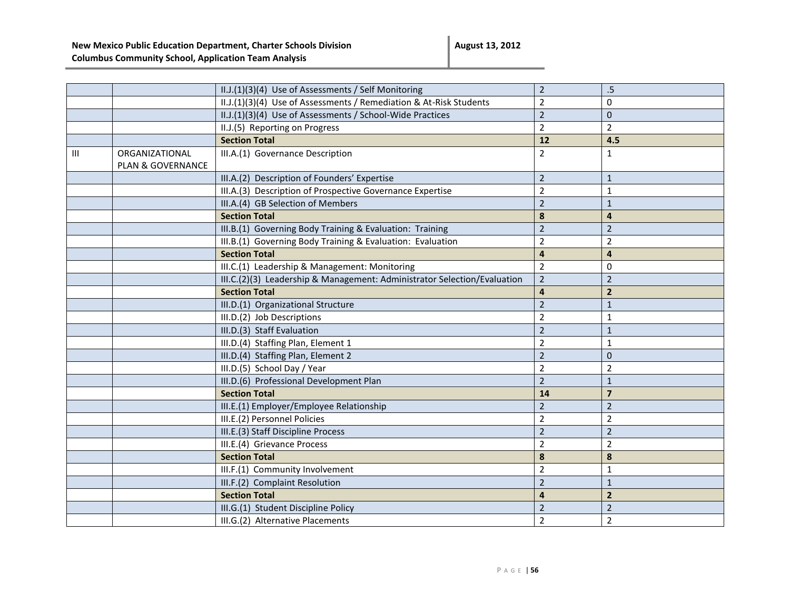|   |                   | II.J.(1)(3)(4) Use of Assessments / Self Monitoring                      | $\overline{2}$ | .5                      |
|---|-------------------|--------------------------------------------------------------------------|----------------|-------------------------|
|   |                   | II.J.(1)(3)(4) Use of Assessments / Remediation & At-Risk Students       | $\overline{2}$ | 0                       |
|   |                   | II.J.(1)(3)(4) Use of Assessments / School-Wide Practices                | $\overline{2}$ | $\mathbf{0}$            |
|   |                   | II.J.(5) Reporting on Progress                                           | $\overline{2}$ | $\overline{2}$          |
|   |                   | <b>Section Total</b>                                                     | 12             | 4.5                     |
| Ш | ORGANIZATIONAL    | III.A.(1) Governance Description                                         | $\overline{2}$ | $\mathbf{1}$            |
|   | PLAN & GOVERNANCE |                                                                          |                |                         |
|   |                   | III.A.(2) Description of Founders' Expertise                             | $\overline{2}$ | $\mathbf 1$             |
|   |                   | III.A.(3) Description of Prospective Governance Expertise                | $\overline{2}$ | $1\,$                   |
|   |                   | III.A.(4) GB Selection of Members                                        | $\overline{2}$ | $1\,$                   |
|   |                   | <b>Section Total</b>                                                     | 8              | 4                       |
|   |                   | III.B.(1) Governing Body Training & Evaluation: Training                 | $\overline{2}$ | $\overline{2}$          |
|   |                   | III.B.(1) Governing Body Training & Evaluation: Evaluation               | $\overline{2}$ | $\overline{2}$          |
|   |                   | <b>Section Total</b>                                                     | $\overline{a}$ | $\overline{4}$          |
|   |                   | III.C.(1) Leadership & Management: Monitoring                            | $\overline{2}$ | $\mathbf 0$             |
|   |                   | III.C.(2)(3) Leadership & Management: Administrator Selection/Evaluation | $\overline{2}$ | $\overline{2}$          |
|   |                   | <b>Section Total</b>                                                     | $\overline{4}$ | $\overline{2}$          |
|   |                   | III.D.(1) Organizational Structure                                       | $\overline{2}$ | $\mathbf{1}$            |
|   |                   | III.D.(2) Job Descriptions                                               | $\overline{2}$ | 1                       |
|   |                   | III.D.(3) Staff Evaluation                                               | $\overline{2}$ | $\mathbf{1}$            |
|   |                   | III.D.(4) Staffing Plan, Element 1                                       | $\overline{2}$ | $\mathbf{1}$            |
|   |                   | III.D.(4) Staffing Plan, Element 2                                       | $\overline{2}$ | $\mathbf 0$             |
|   |                   | III.D.(5) School Day / Year                                              | $\overline{2}$ | $\overline{2}$          |
|   |                   | III.D.(6) Professional Development Plan                                  | $\overline{2}$ | $\mathbf{1}$            |
|   |                   | <b>Section Total</b>                                                     | 14             | $\overline{\mathbf{z}}$ |
|   |                   | III.E.(1) Employer/Employee Relationship                                 | $\overline{2}$ | $\overline{2}$          |
|   |                   | III.E.(2) Personnel Policies                                             | $\overline{2}$ | $\overline{2}$          |
|   |                   | III.E.(3) Staff Discipline Process                                       | $\overline{2}$ | $\overline{2}$          |
|   |                   | III.E.(4) Grievance Process                                              | $\overline{2}$ | $\overline{2}$          |
|   |                   | <b>Section Total</b>                                                     | 8              | 8                       |
|   |                   | III.F.(1) Community Involvement                                          | $\overline{2}$ | $\mathbf{1}$            |
|   |                   | III.F.(2) Complaint Resolution                                           | $\overline{2}$ | $1\,$                   |
|   |                   | <b>Section Total</b>                                                     | $\overline{4}$ | $\overline{2}$          |
|   |                   | III.G.(1) Student Discipline Policy                                      | $\overline{2}$ | $\overline{2}$          |
|   |                   | III.G.(2) Alternative Placements                                         | $\overline{2}$ | $\overline{2}$          |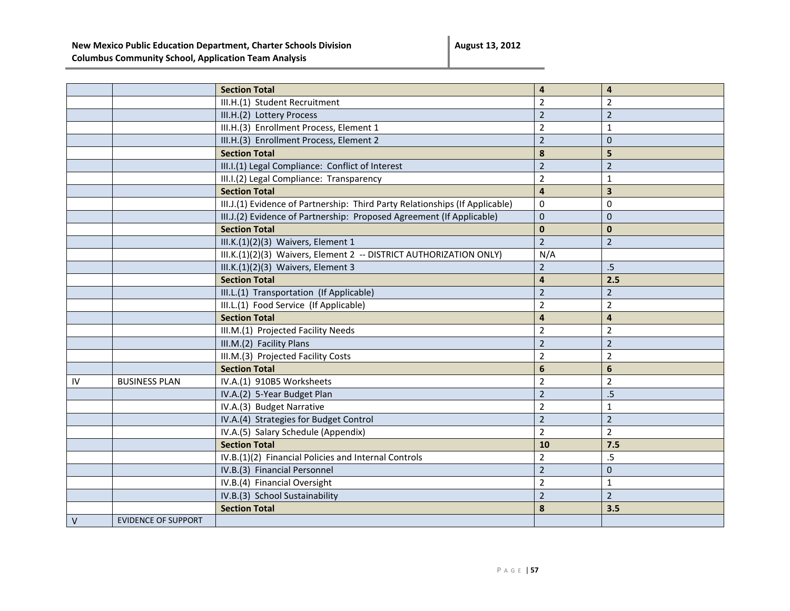**August 13, 2012**

|        |                            | <b>Section Total</b>                                                         | $\overline{\mathbf{4}}$ | $\overline{\mathbf{4}}$ |
|--------|----------------------------|------------------------------------------------------------------------------|-------------------------|-------------------------|
|        |                            | III.H.(1) Student Recruitment                                                | $\overline{2}$          | $\overline{2}$          |
|        |                            | III.H.(2) Lottery Process                                                    | $\overline{2}$          | $\overline{2}$          |
|        |                            | III.H.(3) Enrollment Process, Element 1                                      | $\overline{2}$          | $\mathbf{1}$            |
|        |                            | III.H.(3) Enrollment Process, Element 2                                      | $\overline{2}$          | $\mathbf 0$             |
|        |                            | <b>Section Total</b>                                                         | 8                       | 5                       |
|        |                            | III.I.(1) Legal Compliance: Conflict of Interest                             | $\overline{2}$          | $\overline{2}$          |
|        |                            | III.I.(2) Legal Compliance: Transparency                                     | $\overline{2}$          | $\mathbf{1}$            |
|        |                            | <b>Section Total</b>                                                         | $\overline{\mathbf{4}}$ | $\overline{\mathbf{3}}$ |
|        |                            | III.J.(1) Evidence of Partnership: Third Party Relationships (If Applicable) | 0                       | 0                       |
|        |                            | III.J.(2) Evidence of Partnership: Proposed Agreement (If Applicable)        | $\pmb{0}$               | $\mathbf 0$             |
|        |                            | <b>Section Total</b>                                                         | $\mathbf{0}$            | $\mathbf{0}$            |
|        |                            | III.K.(1)(2)(3) Waivers, Element 1                                           | $\overline{2}$          | $\overline{2}$          |
|        |                            | III.K.(1)(2)(3) Waivers, Element 2 -- DISTRICT AUTHORIZATION ONLY)           | N/A                     |                         |
|        |                            | III.K.(1)(2)(3) Waivers, Element 3                                           | $\overline{2}$          | $.5\phantom{0}$         |
|        |                            | <b>Section Total</b>                                                         | $\overline{\mathbf{4}}$ | 2.5                     |
|        |                            | III.L.(1) Transportation (If Applicable)                                     | $\overline{2}$          | $\overline{2}$          |
|        |                            | III.L.(1) Food Service (If Applicable)                                       | $\overline{2}$          | $\overline{2}$          |
|        |                            | <b>Section Total</b>                                                         | $\overline{\mathbf{4}}$ | $\overline{\mathbf{4}}$ |
|        |                            | III.M.(1) Projected Facility Needs                                           | $\overline{2}$          | $\overline{2}$          |
|        |                            | III.M.(2) Facility Plans                                                     | $\overline{2}$          | $\overline{2}$          |
|        |                            | III.M.(3) Projected Facility Costs                                           | $\overline{2}$          | $\overline{2}$          |
|        |                            | <b>Section Total</b>                                                         | $6\phantom{a}$          | $\boldsymbol{6}$        |
| IV     | <b>BUSINESS PLAN</b>       | IV.A.(1) 910B5 Worksheets                                                    | $\overline{2}$          | $\overline{2}$          |
|        |                            | IV.A.(2) 5-Year Budget Plan                                                  | $\overline{2}$          | .5                      |
|        |                            | IV.A.(3) Budget Narrative                                                    | $\overline{2}$          | $\mathbf{1}$            |
|        |                            | IV.A.(4) Strategies for Budget Control                                       | $\overline{2}$          | $\overline{2}$          |
|        |                            | IV.A.(5) Salary Schedule (Appendix)                                          | $\overline{2}$          | $\overline{2}$          |
|        |                            | <b>Section Total</b>                                                         | 10                      | 7.5                     |
|        |                            | IV.B.(1)(2) Financial Policies and Internal Controls                         | $\overline{2}$          | $.5\,$                  |
|        |                            | IV.B.(3) Financial Personnel                                                 | $\overline{2}$          | $\mathbf 0$             |
|        |                            | IV.B.(4) Financial Oversight                                                 | $\overline{2}$          | $\mathbf{1}$            |
|        |                            | IV.B.(3) School Sustainability                                               | $\overline{2}$          | $\overline{2}$          |
|        |                            | <b>Section Total</b>                                                         | 8                       | 3.5                     |
| $\vee$ | <b>EVIDENCE OF SUPPORT</b> |                                                                              |                         |                         |